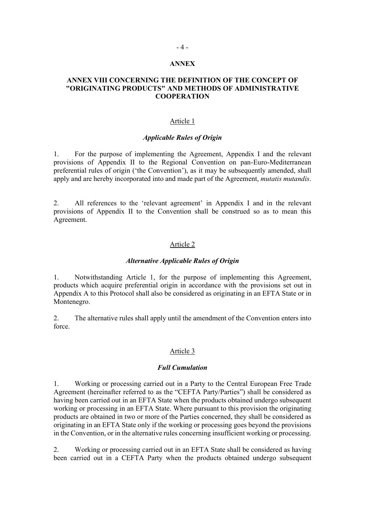#### ANNEX

#### ANNEX VIII CONCERNING THE DEFINITION OF THE CONCEPT OF "ORIGINATING PRODUCTS" AND METHODS OF ADMINISTRATIVE **COOPERATION**

#### Article 1

#### Applicable Rules of Origin

1. For the purpose of implementing the Agreement, Appendix I and the relevant provisions of Appendix II to the Regional Convention on pan-Euro-Mediterranean preferential rules of origin ('the Convention'), as it may be subsequently amended, shall apply and are hereby incorporated into and made part of the Agreement, mutatis mutandis.<br>2. All references to the 'relevant agreement' in Appendix I and in the relevant

provisions of Appendix II to the Convention shall be construed so as to mean this Agreement.

#### Article 2

#### Alternative Applicable Rules of Origin

1. Notwithstanding Article 1, for the purpose of implementing this Agreement, products which acquire preferential origin in accordance with the provisions set out in Appendix A to this Protocol shall also be considered as originating in an EFTA State or in Montenegro.

2. The alternative rules shall apply until the amendment of the Convention enters into force.

#### Article 3

#### Full Cumulation

1. Working or processing carried out in a Party to the Central European Free Trade Agreement (hereinafter referred to as the "CEFTA Party/Parties") shall be considered as having been carried out in an EFTA State when the products obtained undergo subsequent working or processing in an EFTA State. Where pursuant to this provision the originating products are obtained in two or more of the Parties concerned, they shall be considered as originating in an EFTA State only if the working or processing goes beyond the provisions in the Convention, or in the alternative rules concerning insufficient working or processing.

2. Working or processing carried out in an EFTA State shall be considered as having been carried out in a CEFTA Party when the products obtained undergo subsequent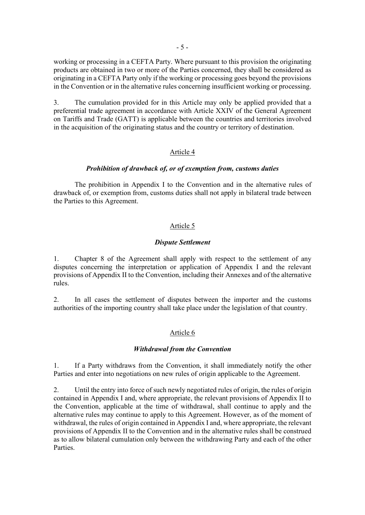working or processing in a CEFTA Party. Where pursuant to this provision the originating products are obtained in two or more of the Parties concerned, they shall be considered as originating in a CEFTA Party only if the working or processing goes beyond the provisions in the Convention or in the alternative rules concerning insufficient working or processing.

3. The cumulation provided for in this Article may only be applied provided that a preferential trade agreement in accordance with Article XXIV of the General Agreement on Tariffs and Trade (GATT) is applicable between the countries and territories involved in the acquisition of the originating status and the country or territory of destination.

#### Article 4

#### Prohibition of drawback of, or of exemption from, customs duties

 The prohibition in Appendix I to the Convention and in the alternative rules of drawback of, or exemption from, customs duties shall not apply in bilateral trade between the Parties to this Agreement.

#### Article 5

#### Dispute Settlement

1. Chapter 8 of the Agreement shall apply with respect to the settlement of any disputes concerning the interpretation or application of Appendix I and the relevant provisions of Appendix II to the Convention, including their Annexes and of the alternative rules.

2. In all cases the settlement of disputes between the importer and the customs authorities of the importing country shall take place under the legislation of that country.

#### Article 6

#### Withdrawal from the Convention

1. If a Party withdraws from the Convention, it shall immediately notify the other Parties and enter into negotiations on new rules of origin applicable to the Agreement.

2. Until the entry into force of such newly negotiated rules of origin, the rules of origin contained in Appendix I and, where appropriate, the relevant provisions of Appendix II to the Convention, applicable at the time of withdrawal, shall continue to apply and the alternative rules may continue to apply to this Agreement. However, as of the moment of withdrawal, the rules of origin contained in Appendix I and, where appropriate, the relevant provisions of Appendix II to the Convention and in the alternative rules shall be construed as to allow bilateral cumulation only between the withdrawing Party and each of the other Parties.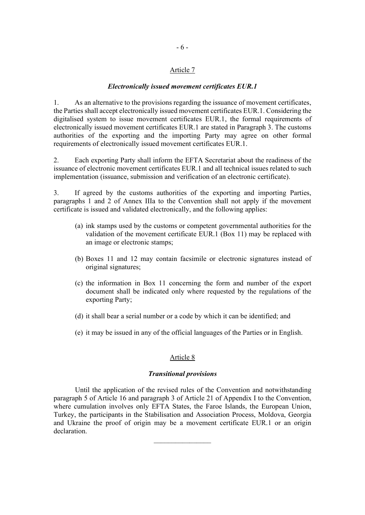#### Article 7

#### Electronically issued movement certificates EUR.1

1. As an alternative to the provisions regarding the issuance of movement certificates, the Parties shall accept electronically issued movement certificates EUR.1. Considering the digitalised system to issue movement certificates EUR.1, the formal requirements of electronically issued movement certificates EUR.1 are stated in Paragraph 3. The customs authorities of the exporting and the importing Party may agree on other formal requirements of electronically issued movement certificates EUR.1.

2. Each exporting Party shall inform the EFTA Secretariat about the readiness of the issuance of electronic movement certificates EUR.1 and all technical issues related to such implementation (issuance, submission and verification of an electronic certificate).

3. If agreed by the customs authorities of the exporting and importing Parties, paragraphs 1 and 2 of Annex IIIa to the Convention shall not apply if the movement certificate is issued and validated electronically, and the following applies:

- (a) ink stamps used by the customs or competent governmental authorities for the validation of the movement certificate EUR.1 (Box 11) may be replaced with an image or electronic stamps;
- (b) Boxes 11 and 12 may contain facsimile or electronic signatures instead of original signatures;
- (c) the information in Box 11 concerning the form and number of the export document shall be indicated only where requested by the regulations of the exporting Party;
- (d) it shall bear a serial number or a code by which it can be identified; and
- (e) it may be issued in any of the official languages of the Parties or in English.

#### Article 8

#### Transitional provisions

Until the application of the revised rules of the Convention and notwithstanding paragraph 5 of Article 16 and paragraph 3 of Article 21 of Appendix I to the Convention, where cumulation involves only EFTA States, the Faroe Islands, the European Union, Turkey, the participants in the Stabilisation and Association Process, Moldova, Georgia and Ukraine the proof of origin may be a movement certificate EUR.1 or an origin declaration.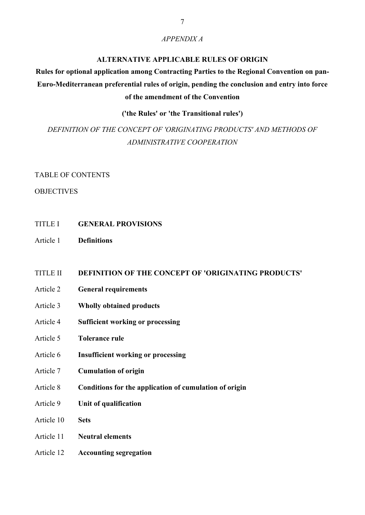#### APPENDIX A

#### ALTERNATIVE APPLICABLE RULES OF ORIGIN

# Rules for optional application among Contracting Parties to the Regional Convention on pan-Euro-Mediterranean preferential rules of origin, pending the conclusion and entry into force of the amendment of the Convention

#### ('the Rules' or 'the Transitional rules')

# DEFINITION OF THE CONCEPT OF 'ORIGINATING PRODUCTS' AND METHODS OF ADMINISTRATIVE COOPERATION

#### TABLE OF CONTENTS

#### **OBJECTIVES**

- TITLE I GENERAL PROVISIONS
- Article 1 Definitions

#### TITLE II DEFINITION OF THE CONCEPT OF 'ORIGINATING PRODUCTS'

- Article 2 General requirements
- Article 3 Wholly obtained products
- Article 4 Sufficient working or processing
- Article 5 Tolerance rule
- Article 6 Insufficient working or processing
- Article 7 Cumulation of origin
- Article 8 Conditions for the application of cumulation of origin
- Article 9 Unit of qualification
- Article 10 Sets
- Article 11 Neutral elements
- Article 12 Accounting segregation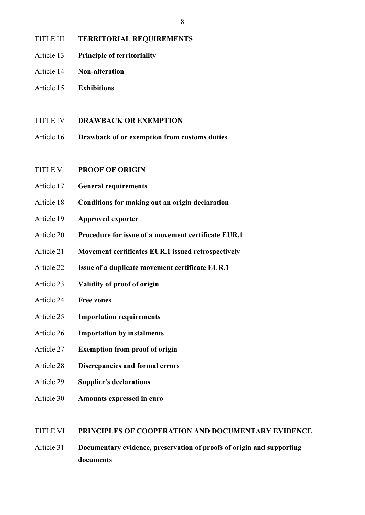## TITLE III TERRITORIAL REQUIREMENTS

- Article 13 Principle of territoriality
- Article 14 Non-alteration
- Article 15 Exhibitions
- TITLE IV DRAWBACK OR EXEMPTION
- 8<br>
TITLE III TERRITORIAL REQUIREMENTS<br>
Article 13 Principle of territoriality<br>
Article 16 Exhibitions<br>
TITLE IV DRAWBACK OR EXEMPTION<br>
Article 16 Drawback of or exemption from customs duties<br>
TITLE V PROOF OF ORIGIN
- TITLE V PROOF OF ORIGIN
- Article 17 General requirements
- Article 18 Conditions for making out an origin declaration
- Article 19 Approved exporter
- Article 20 Procedure for issue of a movement certificate EUR.1
- Article 21 Movement certificates EUR.1 issued retrospectively
- Article 22 Issue of a duplicate movement certificate EUR.1
- Article 23 Validity of proof of origin
- Article 24 Free zones
- Article 25 Importation requirements
- Article 26 Importation by instalments
- Article 27 Exemption from proof of origin
- Article 28 Discrepancies and formal errors
- Article 29 Supplier's declarations
- Article 30 Amounts expressed in euro

#### TITLE VI PRINCIPLES OF COOPERATION AND DOCUMENTARY EVIDENCE

Article 31 Documentary evidence, preservation of proofs of origin and supporting documents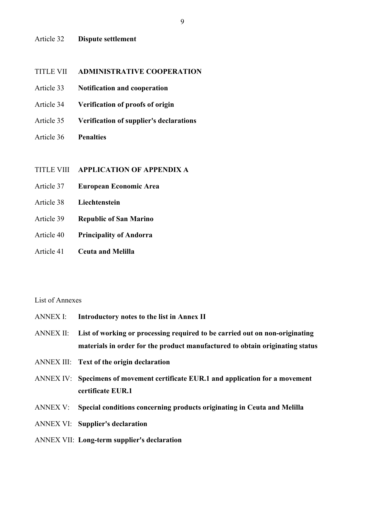#### Article 32 Dispute settlement

# TITLE VII ADMINISTRATIVE COOPERATION 9<br>
Article 32 **Dispute settlement**<br>
TITLE VII **ADMINISTRATIVE COOPERATION**<br>
Article 33 **Notification and cooperation**<br>
Article 36 **Verification of proofs of origin**<br>
Article 36 **Penalties**<br> **PERICATION OF APPENDIX A**<br>
Arti

- Article 33 Notification and cooperation
- Article 34 Verification of proofs of origin
- Article 35 Verification of supplier's declarations
- Article 36 Penalties

- Article 37 European Economic Area
- Article 38 Liechtenstein
- Article 39 Republic of San Marino
- Article 40 Principality of Andorra
- Article 41 Ceuta and Melilla

#### List of Annexes

- ANNEX I: Introductory notes to the list in Annex II
- ANNEX II: List of working or processing required to be carried out on non-originating materials in order for the product manufactured to obtain originating status
- ANNEX III: Text of the origin declaration
- ANNEX IV: Specimens of movement certificate EUR.1 and application for a movement certificate EUR.1
- ANNEX V: Special conditions concerning products originating in Ceuta and Melilla
- ANNEX VI: Supplier's declaration
- ANNEX VII: Long-term supplier's declaration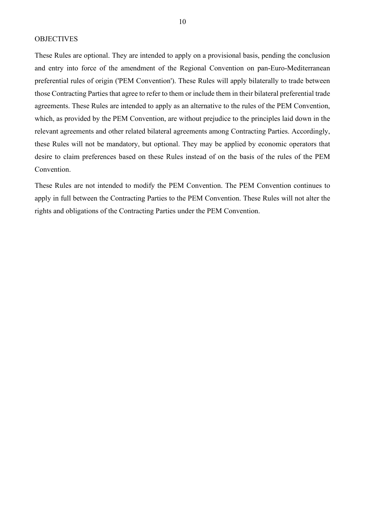These Rules are optional. They are intended to apply on a provisional basis, pending the conclusion and entry into force of the amendment of the Regional Convention on pan-Euro-Mediterranean preferential rules of origin ('PEM Convention'). These Rules will apply bilaterally to trade between those Contracting Parties that agree to refer to them or include them in their bilateral preferential trade agreements. These Rules are intended to apply as an alternative to the rules of the PEM Convention, which, as provided by the PEM Convention, are without prejudice to the principles laid down in the relevant agreements and other related bilateral agreements among Contracting Parties. Accordingly, 10<br>
10<br>
These Rules are optional. They are intended to apply on a provisional basis, pending the conclusion<br>
and entry into force of the amendment of the Regional Convention on pan-Euro-Mediterranean<br>
preferential rules of desire to claim preferences based on these Rules instead of on the basis of the rules of the PEM Convention.

These Rules are not intended to modify the PEM Convention. The PEM Convention continues to apply in full between the Contracting Parties to the PEM Convention. These Rules will not alter the rights and obligations of the Contracting Parties under the PEM Convention.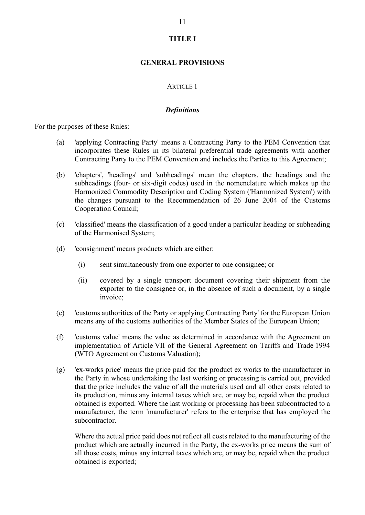# TITLE I

#### GENERAL PROVISIONS

#### ARTICLE 1

#### **Definitions**

For the purposes of these Rules:

- (a) the property of these Rules:<br>
(a)  $\blacksquare$ <br>
(a)  $\blacksquare$  applying Contracting Party' means a Contracting Party to the PEM Convention that<br>
(a)  $\blacksquare$  'applying Contracting Party' means a Contracting Party to the PEM Conven incorporates these Rules in its bilateral preferential trade agreements with another
- TTTLE I<br>
CENERAL PROVISIONS<br>
ARTICLE 1<br>
Definitions<br>
ses of these Rules:<br>
"applying Contracting Party teams a Contracting Party to the PEM Convention that<br>
incorporates these Rules in its bilateral preferential trade agree (b) 'chapters', 'headings' and 'subheadings' mean the chapters, the headings and the subheadings (four- or six-digit codes) used in the nomenclature which makes up the Harmonized Commodity Description and Coding System ('Harmonized System') with the changes pursuant to the Recommendation of 26 June 2004 of the Customs Cooperation Council;
- (c) 'classified' means the classification of a good under a particular heading or subheading of the Harmonised System;
- (d) 'consignment' means products which are either:
	- (i) sent simultaneously from one exporter to one consignee; or
	- (ii) covered by a single transport document covering their shipment from the exporter to the consignee or, in the absence of such a document, by a single invoice;
- (e) 'customs authorities of the Party or applying Contracting Party' for the European Union means any of the customs authorities of the Member States of the European Union;
- (f) 'customs value' means the value as determined in accordance with the Agreement on implementation of Article VII of the General Agreement on Tariffs and Trade 1994 (WTO Agreement on Customs Valuation);
- (g) 'ex-works price' means the price paid for the product ex works to the manufacturer in the Party in whose undertaking the last working or processing is carried out, provided that the price includes the value of all the materials used and all other costs related to its production, minus any internal taxes which are, or may be, repaid when the product obtained is exported. Where the last working or processing has been subcontracted to a manufacturer, the term 'manufacturer' refers to the enterprise that has employed the subcontractor.

 Where the actual price paid does not reflect all costs related to the manufacturing of the product which are actually incurred in the Party, the ex-works price means the sum of all those costs, minus any internal taxes which are, or may be, repaid when the product obtained is exported;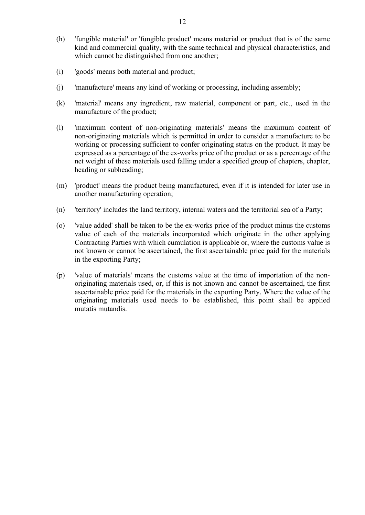- (h) 'fungible material' or 'fungible product' means material or product that is of the same kind and commercial quality, with the same technical and physical characteristics, and which cannot be distinguished from one another;
- (i) 'goods' means both material and product;
- (j) 'manufacture' means any kind of working or processing, including assembly;
- (k) 'material' means any ingredient, raw material, component or part, etc., used in the manufacture of the product;
- (l) 'maximum content of non-originating materials' means the maximum content of non-originating materials which is permitted in order to consider a manufacture to be working or processing sufficient to confer originating status on the product. It may be expressed as a percentage of the ex-works price of the product or as a percentage of the net weight of these materials used falling under a specified group of chapters, chapter, heading or subheading;
- (m) 'product' means the product being manufactured, even if it is intended for later use in another manufacturing operation;
- (n) 'territory' includes the land territory, internal waters and the territorial sea of a Party;
- (o) 'value added' shall be taken to be the ex-works price of the product minus the customs value of each of the materials incorporated which originate in the other applying Contracting Parties with which cumulation is applicable or, where the customs value is not known or cannot be ascertained, the first ascertainable price paid for the materials in the exporting Party;
- (p) 'value of materials' means the customs value at the time of importation of the nonoriginating materials used, or, if this is not known and cannot be ascertained, the first ascertainable price paid for the materials in the exporting Party. Where the value of the originating materials used needs to be established, this point shall be applied mutatis mutandis.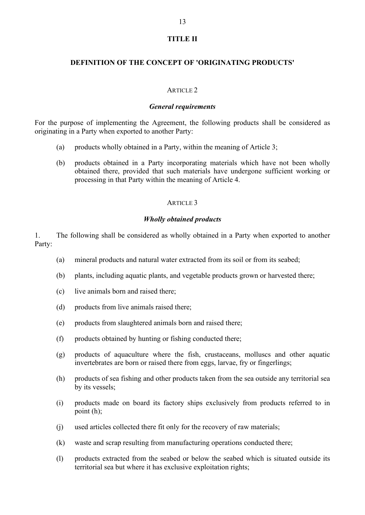#### TITLE II

#### DEFINITION OF THE CONCEPT OF 'ORIGINATING PRODUCTS'

#### ARTICLE 2

#### General requirements

For the purpose of implementing the Agreement, the following products shall be considered as 13<br>
TITLE II<br> **OEFINITION OF THE CONCEPT OF 'ORIGINATING PRODUCTS'**<br>
ARTICLE 2<br> *General requirements*<br>
For the purpose of implementing the Agreement, the following products shall be con<br>
originating in a Party when expo

- 
- (a) products wholly obtained in a Party incorporating of Article 3;<br>
(a) products wholly obtained in a Party, within the meaning of Article 3;<br>
(b) products wholly obtained in a Party, within the meaning of Article 3;<br>
(b) (b) **DEFINITION OF THE CONCEPT OF 'ORIGINATING PRODUCTS'**<br>  $\blacksquare$ <br>  $\blacksquare$ <br>  $\blacksquare$ <br>  $\blacksquare$ <br>  $\blacksquare$ <br>  $\blacksquare$ <br>  $\blacksquare$ <br>  $\blacksquare$ <br>  $\blacksquare$ <br>  $\blacksquare$ <br>
(a)  $\blacksquare$  products wholly obtained in a Party, within the meaning of Article 3;<br> obtained there, provided that such materials have undergone sufficient working or processing in that Party within the meaning of Article 4.

#### ARTICLE 3

## Wholly obtained products

1. The following shall be considered as wholly obtained in a Party when exported to another Party:

- (a) mineral products and natural water extracted from its soil or from its seabed;
- (b) plants, including aquatic plants, and vegetable products grown or harvested there;
- (c) live animals born and raised there;
- (d) products from live animals raised there;
- (e) products from slaughtered animals born and raised there;
- (f) products obtained by hunting or fishing conducted there;
- (g) products of aquaculture where the fish, crustaceans, molluscs and other aquatic invertebrates are born or raised there from eggs, larvae, fry or fingerlings;
- (h) products of sea fishing and other products taken from the sea outside any territorial sea by its vessels;
- (i) products made on board its factory ships exclusively from products referred to in point (h);
- (j) used articles collected there fit only for the recovery of raw materials;
- (k) waste and scrap resulting from manufacturing operations conducted there;
- (l) products extracted from the seabed or below the seabed which is situated outside its territorial sea but where it has exclusive exploitation rights;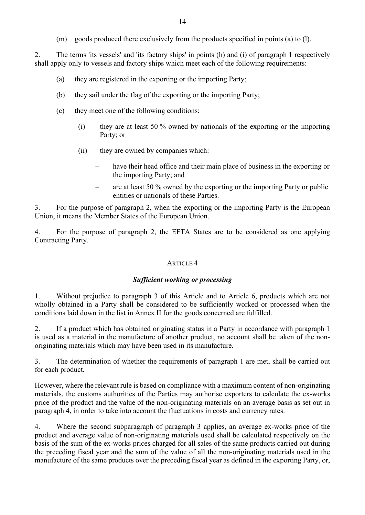(m) goods produced there exclusively from the products specified in points (a) to (l).

2. The terms 'its vessels' and 'its factory ships' in points (h) and (i) of paragraph 1 respectively shall apply only to vessels and factory ships which meet each of the following requirements:

- (a) they are registered in the exporting or the importing Party;
- (b) they sail under the flag of the exporting or the importing Party;
- (c) they meet one of the following conditions:
	- (i) they are at least 50 % owned by nationals of the exporting or the importing Party; or
	-
	- (ii) they are owned by companies which: have their head office and their main place of business in the exporting or the importing Party; and<br>
	– are at least 50 % owned by the exporting or the importing Party or public
		- entities or nationals of these Parties.

3. For the purpose of paragraph 2, when the exporting or the importing Party is the European Union, it means the Member States of the European Union.

4. For the purpose of paragraph 2, the EFTA States are to be considered as one applying Contracting Party.

#### ARTICLE 4

least 50 % owned by nationals of the exporting or the importing<br>med by companies which:<br>merical chere and their main place of business in the exporting or<br>porting Party; and<br>east 50 % owned by the exporting or the importin 1. Without prejudice to paragraph 3 of this Article and to Article 6, products which are not (ii) they are owned by companies which:<br>
- have their head office and their main place of business in the exporting or<br>
the importing Party; and<br>
- are at least 50 % owned by the exporting or the importing Party or public conditions laid down in the list in Annex II for the goods concerned are fulfilled. 2. If a product which has obtained originating status in a product which the paragraph 1 and a product which contained or the EFTA States are to be considered as one applying U.<br>
4. For the purpose of paragraph 2, when the

is used as a material in the manufacture of another product, no account shall be taken of the nonoriginating materials which may have been used in its manufacture.

3. The determination of whether the requirements of paragraph 1 are met, shall be carried out for each product.

However, where the relevant rule is based on compliance with a maximum content of non-originating materials, the customs authorities of the Parties may authorise exporters to calculate the ex-works price of the product and the value of the non-originating materials on an average basis as set out in paragraph 4, in order to take into account the fluctuations in costs and currency rates.

4. Where the second subparagraph of paragraph 3 applies, an average ex-works price of the product and average value of non-originating materials used shall be calculated respectively on the basis of the sum of the ex-works prices charged for all sales of the same products carried out during the preceding fiscal year and the sum of the value of all the non-originating materials used in the manufacture of the same products over the preceding fiscal year as defined in the exporting Party, or,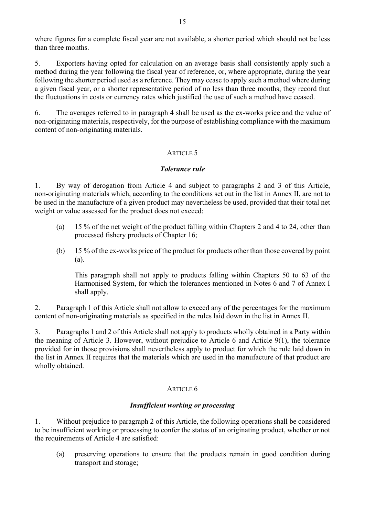where figures for a complete fiscal year are not available, a shorter period which should not be less than three months.

5. Exporters having opted for calculation on an average basis shall consistently apply such a method during the year following the fiscal year of reference, or, where appropriate, during the year following the shorter period used as a reference. They may cease to apply such a method where during a given fiscal year, or a shorter representative period of no less than three months, they record that the fluctuations in costs or currency rates which justified the use of such a method have ceased. where figures for a complete fiscal year are not available, a shorter period which should not be less<br>than three months.<br>
5. Exporters having opted for calculation on an average basis shall consistently apply such a<br>
meth

6. The averages referred to in paragraph 4 shall be used as the ex-works price and the value of non-originating materials, respectively, for the purpose of establishing compliance with the maximum content of non-originating materials.

# ARTICLE 5

## Tolerance rule

non-originating materials which, according to the conditions set out in the list in Annex II, are not to be used in the manufacture of a given product may nevertheless be used, provided that their total net weight or value assessed for the product does not exceed:

- (a) 15 % of the net weight of the product falling within Chapters 2 and 4 to 24, other than processed fishery products of Chapter 16;
- (b) 15 % of the ex-works price of the product for products other than those covered by point (a).

 This paragraph shall not apply to products falling within Chapters 50 to 63 of the Harmonised System, for which the tolerances mentioned in Notes 6 and 7 of Annex I shall apply.

2. Paragraph 1 of this Article shall not allow to exceed any of the percentages for the maximum content of non-originating materials as specified in the rules laid down in the list in Annex II.

3. Paragraphs 1 and 2 of this Article shall not apply to products wholly obtained in a Party within the meaning of Article 3. However, without prejudice to Article 6 and Article 9(1), the tolerance provided for in those provisions shall nevertheless apply to product for which the rule laid down in the list in Annex II requires that the materials which are used in the manufacture of that product are wholly obtained.

#### ARTICLE 6

#### Insufficient working or processing

1. Without prejudice to paragraph 2 of this Article, the following operations shall be considered to be insufficient working or processing to confer the status of an originating product, whether or not the requirements of Article 4 are satisfied:

(a) preserving operations to ensure that the products remain in good condition during transport and storage;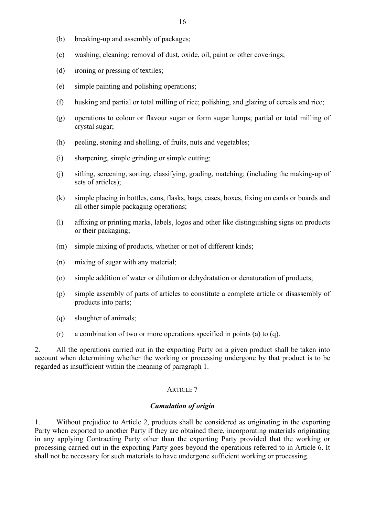- (b) breaking-up and assembly of packages;
- (c) washing, cleaning; removal of dust, oxide, oil, paint or other coverings;
- (d) ironing or pressing of textiles;
- (e) simple painting and polishing operations;
- (f) husking and partial or total milling of rice; polishing, and glazing of cereals and rice;
- (g) operations to colour or flavour sugar or form sugar lumps; partial or total milling of crystal sugar;
- (h) peeling, stoning and shelling, of fruits, nuts and vegetables;
- (i) sharpening, simple grinding or simple cutting;
- (j) sifting, screening, sorting, classifying, grading, matching; (including the making-up of sets of articles);
- (k) simple placing in bottles, cans, flasks, bags, cases, boxes, fixing on cards or boards and all other simple packaging operations;
- (l) affixing or printing marks, labels, logos and other like distinguishing signs on products or their packaging;
- (m) simple mixing of products, whether or not of different kinds;
- (n) mixing of sugar with any material;
- (o) simple addition of water or dilution or dehydratation or denaturation of products;
- (p) simple assembly of parts of articles to constitute a complete article or disassembly of products into parts;
- (q) slaughter of animals;
- (r) a combination of two or more operations specified in points (a) to (q).

2. All the operations carried out in the exporting Party on a given product shall be taken into account when determining whether the working or processing undergone by that product is to be regarded as insufficient within the meaning of paragraph 1.

#### ARTICLE 7

# Cumulation of origin

1. Without prejudice to Article 2, products shall be considered as originating in the exporting Party when exported to another Party if they are obtained there, incorporating materials originating in any applying Contracting Party other than the exporting Party provided that the working or processing carried out in the exporting Party goes beyond the operations referred to in Article 6. It shall not be necessary for such materials to have undergone sufficient working or processing.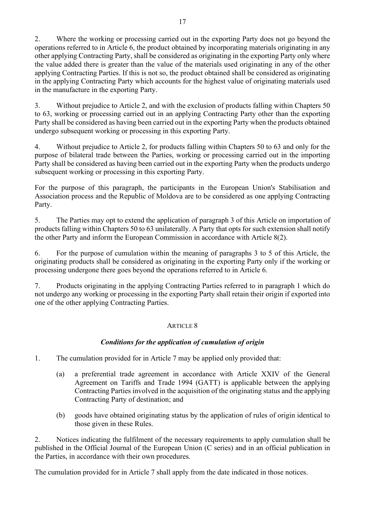2. Where the working or processing carried out in the exporting Party does not go beyond the operations referred to in Article 6, the product obtained by incorporating materials originating in any other applying Contracting Party, shall be considered as originating in the exporting Party only where the value added there is greater than the value of the materials used originating in any of the other applying Contracting Parties. If this is not so, the product obtained shall be considered as originating in the applying Contracting Party which accounts for the highest value of originating materials used in the manufacture in the exporting Party.

3. Without prejudice to Article 2, and with the exclusion of products falling within Chapters 50 to 63, working or processing carried out in an applying Contracting Party other than the exporting Party shall be considered as having been carried out in the exporting Party when the products obtained undergo subsequent working or processing in this exporting Party.

4. Without prejudice to Article 2, for products falling within Chapters 50 to 63 and only for the purpose of bilateral trade between the Parties, working or processing carried out in the importing Party shall be considered as having been carried out in the exporting Party when the products undergo subsequent working or processing in this exporting Party.

For the purpose of this paragraph, the participants in the European Union's Stabilisation and Association process and the Republic of Moldova are to be considered as one applying Contracting Party.

5. The Parties may opt to extend the application of paragraph 3 of this Article on importation of products falling within Chapters 50 to 63 unilaterally. A Party that opts for such extension shall notify the other Party and inform the European Commission in accordance with Article 8(2).

6. For the purpose of cumulation within the meaning of paragraphs 3 to 5 of this Article, the originating products shall be considered as originating in the exporting Party only if the working or processing undergone there goes beyond the operations referred to in Article 6.

7. Products originating in the applying Contracting Parties referred to in paragraph 1 which do not undergo any working or processing in the exporting Party shall retain their origin if exported into one of the other applying Contracting Parties.

# ARTICLE 8

# Conditions for the application of cumulation of origin

- 
- Party.<br>
5. The Parties may opt to extend the application of paragraph 3 of this Article con importation of<br>
products falling within Chapters 50 to 63 unilaterally. A Party that optis for such extension shall notify<br>
the o The Parties may opt to extend the application of paragraph 3 of this Article on importation of<br>s falling with in Chapters 50 to 63 unilaterally. A Party that optis for such extension shall notify<br>a falling with one for th Agreement on Tariffs and Trade 1994 (GATT) is applicable between the applying Contracting Parties involved in the acquisition of the originating status and the applying Contracting Party of destination; and (b) goods shall be considered as originating in the exporting Party only if the working or<br>
ing undergone there goes beyond the operations referred to in Article 6.<br>
Products originating in the applying Contracting Partie 7. Products originating in the applying Contracting Partics referred to in paragraph 1 which do<br>not undergo any working or processing in the exporting Party shall retain their origin if exported into<br>one of the other appl one of the other applying Contracting Partics.<br>
ARTICLE 8<br>
Conditions for the application of cumulation of origin<br>
1. The cumulation provided for in Article 7 may be applied only provided that:<br>
(a) a preferential trade a
	- those given in these Rules.

published in the Official Journal of the European Union (C series) and in an official publication in

The cumulation provided for in Article 7 shall apply from the date indicated in those notices.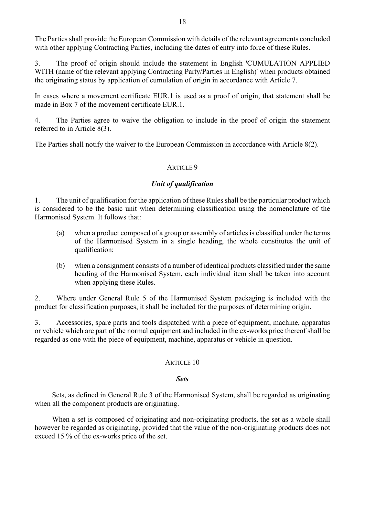The Parties shall provide the European Commission with details of the relevant agreements concluded with other applying Contracting Parties, including the dates of entry into force of these Rules.

3. The proof of origin should include the statement in English 'CUMULATION APPLIED WITH (name of the relevant applying Contracting Party/Parties in English)' when products obtained the originating status by application of cumulation of origin in accordance with Article 7. 4. The Parties agree to waive the obligation to include in the proof of origin the statement 18<br>
18<br>
18<br>
The Parties shall provide the European Commission with details of the relevant agreements concluded<br>
with other applying Contracting Partics, including the dates of entry into force of these Rules.<br>
3. The pro with other applying Contracting Parties, including the dates of entry into force of these Rules.<br>
3. The proof of origin should include the statement in English) CUMULATION APPLIED<br>
WITH (name of the relevant applying Con

In cases where a movement certificate EUR.1 is used as a proof of origin, that statement shall be made in Box 7 of the movement certificate EUR.1.

referred to in Article 8(3).

#### ARTICLE 9

#### Unit of qualification

is considered to be the basic unit when determining classification using the nomenclature of the Harmonised System. It follows that:

- (a) when a product composed of a group or assembly of articles is classified under the terms of the Harmonised System in a single heading, the whole constitutes the unit of qualification;
- (b) when a consignment consists of a number of identical products classified under the same heading of the Harmonised System, each individual item shall be taken into account when applying these Rules.

2. Where under General Rule 5 of the Harmonised System packaging is included with the product for classification purposes, it shall be included for the purposes of determining origin.

3. Accessories, spare parts and tools dispatched with a piece of equipment, machine, apparatus or vehicle which are part of the normal equipment and included in the ex-works price thereof shall be regarded as one with the piece of equipment, machine, apparatus or vehicle in question.

#### ARTICLE 10

#### Sets

Sets, as defined in General Rule 3 of the Harmonised System, shall be regarded as originating when all the component products are originating.

When a set is composed of originating and non-originating products, the set as a whole shall however be regarded as originating, provided that the value of the non-originating products does not exceed 15 % of the ex-works price of the set.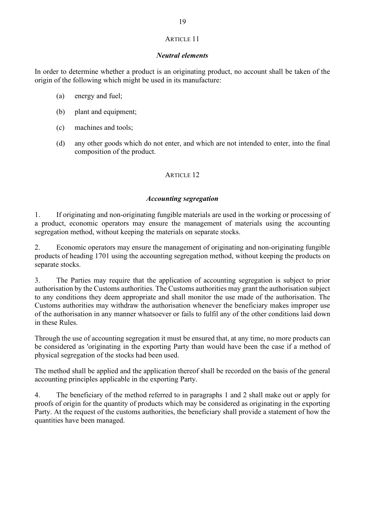# ARTICLE 11

#### Neutral elements

ISP ARTICLE 11<br>
In order to determine whether a product is an originating product, no account shall be taken of the<br>
origin of the following which might be used in its manufacture:<br>
(a) energy and fuel;<br>
(b) plant and equi origin of the following which might be used in its manufacture: 19<br>
ARTICLE 11<br> *Neutral elements*<br>
r to determine whether a product is an originating product, no account sh<br>
of the following which might be used in its manufacture:<br>
(a) energy and fuel;<br>
(b) plant and equipment;<br>
(c) m

- 
- (b) plant and equipment;
- (c) machines and tools;
- (d) any other goods which do not enter, and which are not intended to enter, into the final composition of the product.

# ARTICLE 12

#### Accounting segregation

1. If originating and non-originating fungible materials are used in the working or the full over the set of the set of the set of the set of the set of the materials (a) energy and fuel;<br>
(b) plant and equipment;<br>
(c) mac a product, economic operators may ensure the management of materials using the accounting segregation method, without keeping the materials on separate stocks.

2. Economic operators may ensure the management of originating and non-originating fungible products of heading 1701 using the accounting segregation method, without keeping the products on separate stocks.

3. The Parties may require that the application of accounting segregation is subject to prior authorisation by the Customs authorities. The Customs authorities may grant the authorisation subject to any conditions they deem appropriate and shall monitor the use made of the authorisation. The Customs authorities may withdraw the authorisation whenever the beneficiary makes improper use of the authorisation in any manner whatsoever or fails to fulfil any of the other conditions laid down in these Rules.

Through the use of accounting segregation it must be ensured that, at any time, no more products can be considered as 'originating in the exporting Party than would have been the case if a method of physical segregation of the stocks had been used.

The method shall be applied and the application thereof shall be recorded on the basis of the general accounting principles applicable in the exporting Party.

4. The beneficiary of the method referred to in paragraphs 1 and 2 shall make out or apply for proofs of origin for the quantity of products which may be considered as originating in the exporting Party. At the request of the customs authorities, the beneficiary shall provide a statement of how the quantities have been managed.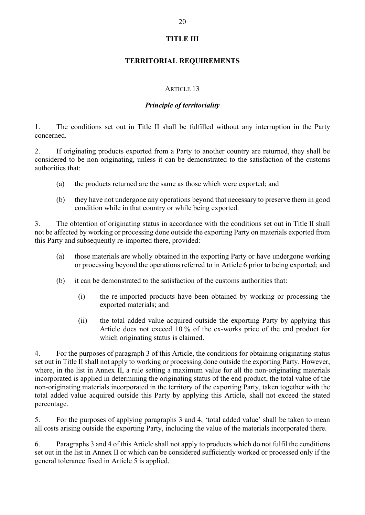# TITLE III

#### TERRITORIAL REQUIREMENTS

#### ARTICLE 13

#### Principle of territoriality

concerned.

20<br>
1. THE III<br>
1. The conditions set out in Title II shall be fulfilled without any interruption in the Party<br>
2. If originating products exported from a Party to another country are returned, they shall be<br>
considered to 2. If originating products exported from a Party to another country are returned, they shall be considered to be non-originating, unless it can be demonstrated to the satisfaction of the customs authorities that: (b) The conditions set out in Title II shall be fulfilled without any interruption in the Party<br>
The originating products exported from a Party to another country are returned, they shall be<br>
tred to be non-originating, un

- (a) the products returned are the same as those which were exported; and
- (b) they have not undergone any operations beyond that necessary to preserve them in good condition while in that country or while being exported.

3. The obtention of originating status in accordance with the conditions set out in Title II shall not be affected by working or processing done outside the exporting Party on materials exported from this Party and subsequently re-imported there, provided: (i) the total added value acquired outside the exported; and the total and the total and the total and the exportion while being exported.<br>
Ention of originating status in accordance with the conditions set out in Title II not is returned are the same as those which were exported; and<br>
are not undergone any operations beyond that necessary to preserve them in good<br>
of originating status in accordance with the conditions set out in Title II s

- (a) those materials are wholly obtained in the exporting Party or have undergone working or processing beyond the operations referred to in Article 6 prior to being exported; and
- - (i) the re-imported products have been obtained by working or processing the exported materials; and
	- which originating status is claimed.

4. For the purposes of paragraph 3 of this Article, the conditions for obtaining originating status set out in Title II shall not apply to working or processing done outside the exporting Party. However, where, in the list in Annex II, a rule setting a maximum value for all the non-originating materials incorporated is applied in determining the originating status of the end product, the total value of the non-originating materials incorporated in the territory of the exporting Party, taken together with the total added value acquired outside this Party by applying this Article, shall not exceed the stated percentage.

5. For the purposes of applying paragraphs 3 and 4, 'total added value' shall be taken to mean all costs arising outside the exporting Party, including the value of the materials incorporated there.

6. Paragraphs 3 and 4 of this Article shall not apply to products which do not fulfil the conditions set out in the list in Annex II or which can be considered sufficiently worked or processed only if the general tolerance fixed in Article 5 is applied.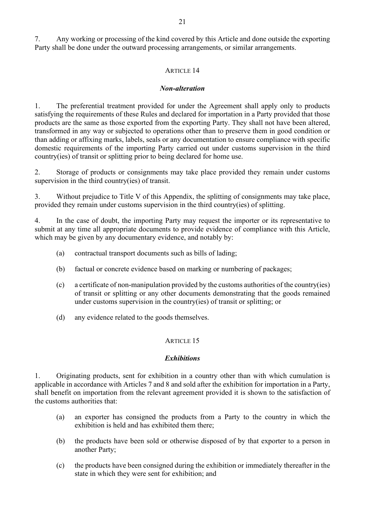7. Any working or processing of the kind covered by this Article and done outside the exporting Party shall be done under the outward processing arrangements, or similar arrangements.

## ARTICLE 14

#### Non-alteration

1. The preferential treatment provided for under the Agreement shall apply only to products satisfying the requirements of these Rules and declared for importation in a Party provided that those products are the same as those exported from the exporting Party. They shall not have been altered, transformed in any way or subjected to operations other than to preserve them in good condition or than adding or affixing marks, labels, seals or any documentation to ensure compliance with specific domestic requirements of the importing Party carried out under customs supervision in the third country(ies) of transit or splitting prior to being declared for home use.

2. Storage of products or consignments may take place provided they remain under customs supervision in the third country(ies) of transit.

3. Without prejudice to Title V of this Appendix, the splitting of consignments may take place, provided they remain under customs supervision in the third country(ies) of splitting.

4. In the case of doubt, the importing Party may request the importer or its representative to submit at any time all appropriate documents to provide evidence of compliance with this Article, which may be given by any documentary evidence, and notably by:

- (a) contractual transport documents such as bills of lading;
- (b) factual or concrete evidence based on marking or numbering of packages;
- (c) a certificate of non-manipulation provided by the customs authorities of the country(ies) of transit or splitting or any other documents demonstrating that the goods remained under customs supervision in the country(ies) of transit or splitting; or
- (d) any evidence related to the goods themselves.

#### ARTICLE 15

#### **Exhibitions**

1. Originating products, sent for exhibition in a country other than with which cumulation is applicable in accordance with Articles 7 and 8 and sold after the exhibition for importation in a Party, shall benefit on importation from the relevant agreement provided it is shown to the satisfaction of the customs authorities that:

- (a) an exporter has consigned the products from a Party to the country in which the exhibition is held and has exhibited them there;
- (b) the products have been sold or otherwise disposed of by that exporter to a person in another Party;
- (c) the products have been consigned during the exhibition or immediately thereafter in the state in which they were sent for exhibition; and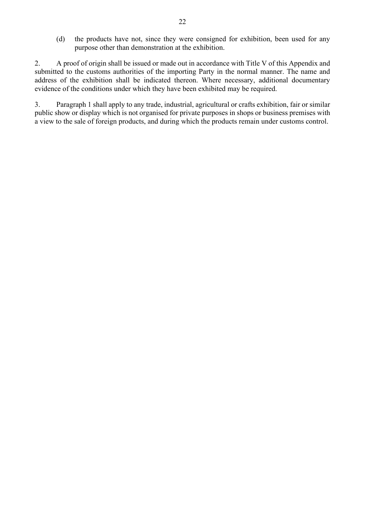(d) the products have not, since they were consigned for exhibition, been used for any purpose other than demonstration at the exhibition.

2. A proof of origin shall be issued or made out in accordance with Title V of this Appendix and 22<br>
(d) the products have not, since they were consigned for exhibition, been used for any<br>
purpose other than demonstration at the exhibition.<br>
2. A proof of origin shall be issued or made out in accordance with Title V o address of the exhibition shall be indicated thereon. Where necessary, additional documentary evidence of the conditions under which they have been exhibited may be required.

3. Paragraph 1 shall apply to any trade, industrial, agricultural or crafts exhibition, fair or similar public show or display which is not organised for private purposes in shops or business premises with a view to the sale of foreign products, and during which the products remain under customs control.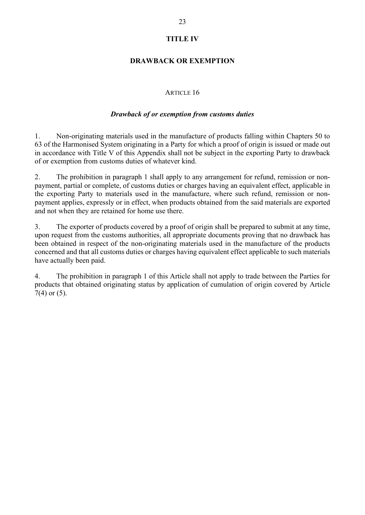## DRAWBACK OR EXEMPTION

# ARTICLE 16

#### Drawback of or exemption from customs duties

23<br>
1. **ITTLE IV**<br>
1. **DRAWBACK OR EXEMPTION**<br>
2. **ARTICLE 16**<br>
1. **Non-originating materials used in the manufacture of products falling within Chapters 50 to<br>
3. <b>Originating materials used in the manufacture of products** 63 of the Harmonised System originating in a Party for which a proof of origin is issued or made out in accordance with Title V of this Appendix shall not be subject in the exporting Party to drawback of or exemption from customs duties of whatever kind.

2. The prohibition in paragraph 1 shall apply to any arrangement for refund, remission or nonpayment, partial or complete, of customs duties or charges having an equivalent effect, applicable in the exporting Party to materials used in the manufacture, where such refund, remission or nonpayment applies, expressly or in effect, when products obtained from the said materials are exported and not when they are retained for home use there.

3. The exporter of products covered by a proof of origin shall be prepared to submit at any time, upon request from the customs authorities, all appropriate documents proving that no drawback has been obtained in respect of the non-originating materials used in the manufacture of the products concerned and that all customs duties or charges having equivalent effect applicable to such materials have actually been paid. 1. Non-originating materials used in the manufacture of products falling within Chapters 50 to 63 of the Harmonised System originating in a Party for which a proof of origin is issued or made out in accordance with Title V

products that obtained originating status by application of cumulation of origin covered by Article 7(4) or (5).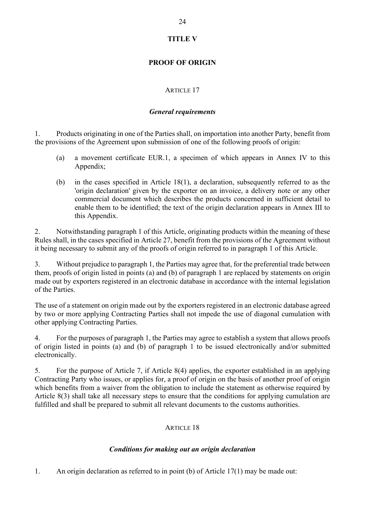# TITLE V

# PROOF OF ORIGIN

# ARTICLE 17

# General requirements

24<br>
TITLE V<br> **PROOF OF ORIGIN**<br>
ARTICLE 17<br> *General requirements*<br>
1. Products originating in one of the Parties shall, on importation into another Party, benefit from<br>
the provisions of the Agreement upon submission of o the provisions of the Agreement upon submission of one of the following proofs of origin:

- Appendix;
- (a) a movement certificate EUR.1, a specimen of which appears in Annex IV to this Appendix;<br>
(a) a movement upon submission of one of the following proofs of origin:<br>
(a) a movement certificate EUR.1, a specimen of which (b) in the cases specified in Article 18(1), a declaration, subsequently referred to as the cases specified in Article 18(1), a declaration, subsequently referred to as the cases specified in Article 18(1), a declaration, 'origin declaration' given by the exporter on an invoice, a delivery note or any other commercial document which describes the products concerned in sufficient detail to enable them to be identified; the text of the origin declaration appears in Annex III to this Appendix.

2. Notwithstanding paragraph 1 of this Article, originating products within the meaning of these Rules shall, in the cases specified in Article 27, benefit from the provisions of the Agreement without it being necessary to submit any of the proofs of origin referred to in paragraph 1 of this Article.

3. Without prejudice to paragraph 1, the Parties may agree that, for the preferential trade between them, proofs of origin listed in points (a) and (b) of paragraph 1 are replaced by statements on origin made out by exporters registered in an electronic database in accordance with the internal legislation of the Parties.

The use of a statement on origin made out by the exporters registered in an electronic database agreed by two or more applying Contracting Parties shall not impede the use of diagonal cumulation with other applying Contracting Parties.

4. For the purposes of paragraph 1, the Parties may agree to establish a system that allows proofs of origin listed in points (a) and (b) of paragraph 1 to be issued electronically and/or submitted electronically.

5. For the purpose of Article 7, if Article 8(4) applies, the exporter established in an applying Contracting Party who issues, or applies for, a proof of origin on the basis of another proof of origin which benefits from a waiver from the obligation to include the statement as otherwise required by Article 8(3) shall take all necessary steps to ensure that the conditions for applying cumulation are fulfilled and shall be prepared to submit all relevant documents to the customs authorities.

# ARTICLE 18

# Conditions for making out an origin declaration

1. An origin declaration as referred to in point (b) of Article 17(1) may be made out: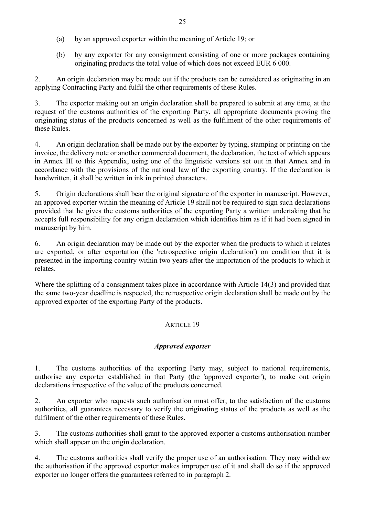- (a) by an approved exporter within the meaning of Article 19; or
- (b) by any exporter for any consignment consisting of one or more packages containing originating products the total value of which does not exceed EUR 6 000.

2. An origin declaration may be made out if the products can be considered as originating in an applying Contracting Party and fulfil the other requirements of these Rules.

3. The exporter making out an origin declaration shall be prepared to submit at any time, at the request of the customs authorities of the exporting Party, all appropriate documents proving the originating status of the products concerned as well as the fulfilment of the other requirements of these Rules.

4. An origin declaration shall be made out by the exporter by typing, stamping or printing on the invoice, the delivery note or another commercial document, the declaration, the text of which appears in Annex III to this Appendix, using one of the linguistic versions set out in that Annex and in accordance with the provisions of the national law of the exporting country. If the declaration is handwritten, it shall be written in ink in printed characters.

5. Origin declarations shall bear the original signature of the exporter in manuscript. However, an approved exporter within the meaning of Article 19 shall not be required to sign such declarations provided that he gives the customs authorities of the exporting Party a written undertaking that he accepts full responsibility for any origin declaration which identifies him as if it had been signed in manuscript by him.

6. An origin declaration may be made out by the exporter when the products to which it relates are exported, or after exportation (the 'retrospective origin declaration') on condition that it is presented in the importing country within two years after the importation of the products to which it relates. moved that he gives the customs authorities of the exporting Party a written undertaking that he are exports full responsibility for any origin declaration which identifies him as if it had been signed in manuscript by him 6.<br>
An origin declaration may be made out by the exporter when the products to which it relates.<br>
are exported, or after exportation (the 'retrospective origin declaration') on condition that it is<br>
presented in the import

Where the splitting of a consignment takes place in accordance with Article 14(3) and provided that the same two-year deadline is respected, the retrospective origin declaration shall be made out by the approved exporter of the exporting Party of the products.

# ARTICLE 19

# Approved exporter

authorise any exporter established in that Party (the 'approved exporter'), to make out origin declarations irrespective of the value of the products concerned.

authorities, all guarantees necessary to verify the originating status of the products as well as the fulfilment of the other requirements of these Rules.

3. The customs authorities shall grant to the approved exporter a customs authorisation number which shall appear on the origin declaration.

4. The customs authorities shall verify the proper use of an authorisation. They may withdraw ARTICLE 19<br> **Approved exporter**<br>
1. The customs authorities of the exporting Party may, subject to national requirements,<br>
authorise any exporter established in that Party (the 'approved exporter'), to make out origin<br>
2. exporter no longer offers the guarantees referred to in paragraph 2.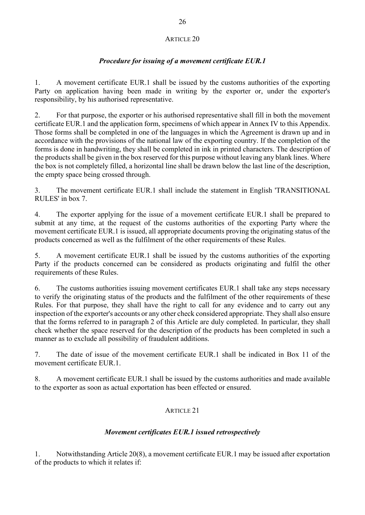# ARTICLE 20

# Procedure for issuing of a movement certificate EUR.1

26<br> **ARTICLE 20**<br> **A movement certificate FUR.1**<br>
1. A movement certificate EUR.1 shall be issued by the customs authorities of the exporting<br>
Party on application having been made in writing by the exporter or, under the Party on application having been made in writing by the exporter or, under the exporter's responsibility, by his authorised representative.

2. For that purpose, the exporter or his authorised representative shall fill in both the movement certificate EUR.1 and the application form, specimens of which appear in Annex IV to this Appendix. Those forms shall be completed in one of the languages in which the Agreement is drawn up and in accordance with the provisions of the national law of the exporting country. If the completion of the forms is done in handwriting, they shall be completed in ink in printed characters. The description of the products shall be given in the box reserved for this purpose without leaving any blank lines. Where the box is not completely filled, a horizontal line shall be drawn below the last line of the description, the empty space being crossed through.

3. The movement certificate EUR.1 shall include the statement in English 'TRANSITIONAL RULES' in box 7.

4. The exporter applying for the issue of a movement certificate EUR.1 shall be prepared to submit at any time, at the request of the customs authorities of the exporting Party where the movement certificate EUR.1 is issued, all appropriate documents proving the originating status of the products concerned as well as the fulfilment of the other requirements of these Rules.

5. A movement certificate EUR.1 shall be issued by the customs authorities of the exporting Party if the products concerned can be considered as products originating and fulfil the other requirements of these Rules.

6. The customs authorities issuing movement certificates EUR.1 shall take any steps necessary to verify the originating status of the products and the fulfilment of the other requirements of these Rules. For that purpose, they shall have the right to call for any evidence and to carry out any inspection of the exporter's accounts or any other check considered appropriate. They shall also ensure that the forms referred to in paragraph 2 of this Article are duly completed. In particular, they shall check whether the space reserved for the description of the products has been completed in such a manner as to exclude all possibility of fraudulent additions.

7. The date of issue of the movement certificate EUR.1 shall be indicated in Box 11 of the movement certificate EUR.1.

8. A movement certificate EUR.1 shall be issued by the customs authorities and made available to the exporter as soon as actual exportation has been effected or ensured.

# ARTICLE 21

# Movement certificates EUR.1 issued retrospectively

1. Notwithstanding Article 20(8), a movement certificate EUR.1 may be issued after exportation of the products to which it relates if: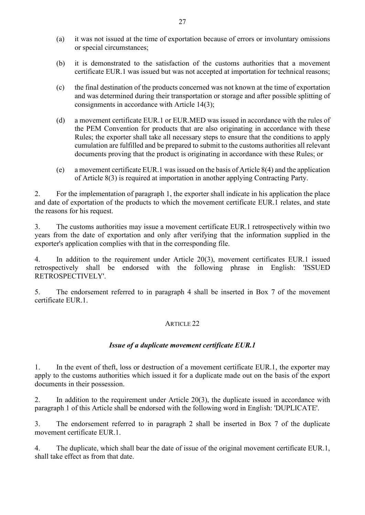- 27<br>
(a) it was not issued at the time of exportation because of errors or involuntary omissions<br>
or special circumstances;<br>
(b) it is demonstrated to the satisfaction of the customs authorities that a movement<br>
certificate or special circumstances;
- (b) it is demonstrated to the satisfaction of the customs authorities that a movement certificate EUR.1 was issued but was not accepted at importation for technical reasons;
- (c) the final destination of the products concerned was not known at the time of exportation and was determined during their transportation or storage and after possible splitting of consignments in accordance with Article 14(3);
- (d) a movement certificate EUR.1 or EUR.MED was issued in accordance with the rules of the PEM Convention for products that are also originating in accordance with these Rules; the exporter shall take all necessary steps to ensure that the conditions to apply cumulation are fulfilled and be prepared to submit to the customs authorities all relevant documents proving that the product is originating in accordance with these Rules; or
- (e) a movement certificate EUR.1 was issued on the basis of Article 8(4) and the application of Article 8(3) is required at importation in another applying Contracting Party.

2. For the implementation of paragraph 1, the exporter shall indicate in his application the place and date of exportation of the products to which the movement certificate EUR.1 relates, and state the reasons for his request.

3. The customs authorities may issue a movement certificate EUR.1 retrospectively within two years from the date of exportation and only after verifying that the information supplied in the exporter's application complies with that in the corresponding file. the reasons for his request.<br>
3. The customs authorities may issue a movement certificate EUR.1 retrospectively within two<br>
exporter's application complies with that in the corresponding file.<br>
4. In addition to the requi

4. In addition to the requirement under Article 20(3), movement certificates EUR.1 issued retrospectively shall be endorsed with the following phrase in English: 'ISSUED RETROSPECTIVELY'.

5. The endorsement referred to in paragraph 4 shall be inserted in Box 7 of the movement certificate EUR.1.

# ARTICLE 22

#### Issue of a duplicate movement certificate EUR.1

apply to the customs authorities which issued it for a duplicate made out on the basis of the export documents in their possession. exporter's application complies with that in the corresponding file.<br>
4. In addition to the requirement under Article 20(3), movement certificates EUR.1 issued<br>
retrospectively shall be cndorsed with the following phrase retrospectively shall be endorsed with the following phrase in English: TSSUED<br>
3. The endorsement referred to in paragraph 4 shall be inserted in Box 7 of the movement<br>
certificate EUR.1.<br>
4. ARTICLE 22<br>
4. ARTICLE 22<br>
4 5. The endorsement referred to in paragraph 4 shall be inserted in Box 7 of the movement<br>certificate EUR.1,<br> $\blacksquare$ <br>*ARTICLE 22*<br>*Issue of a duplicate movement certificate EUR.1*,<br>1. In the cvent of the fl, loss or destruc

paragraph 1 of this Article shall be endorsed with the following word in English: 'DUPLICATE'.

movement certificate EUR.1.

shall take effect as from that date.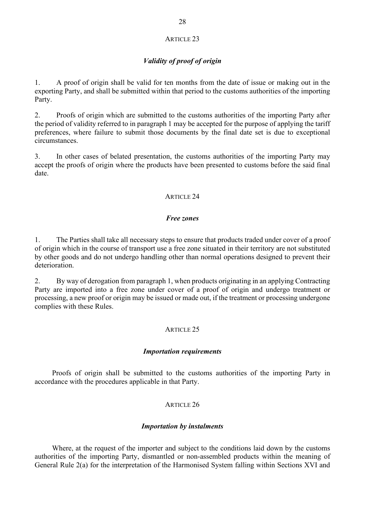#### ARTICLE 23

# Validity of proof of origin

28<br> **1.** A proof of origin shall be valid for ten months from the date of issue or making out in the<br>
exporting Party, and shall be submitted within that period to the customs authorities of the importing<br>
Party.<br>
2. Proof exporting Party, and shall be submitted within that period to the customs authorities of the importing Party.

2. Proofs of origin which are submitted to the customs authorities of the importing Party after the period of validity referred to in paragraph 1 may be accepted for the purpose of applying the tariff preferences, where failure to submit those documents by the final date set is due to exceptional circumstances.

3. In other cases of belated presentation, the customs authorities of the importing Party may accept the proofs of origin where the products have been presented to customs before the said final date.

## ARTICLE 24

#### Free zones

1. The Parties shall take all necessary steps to ensure that products traded under cover of a proof of origin which in the course of transport use a free zone situated in their territory are not substituted by other goods and do not undergo handling other than normal operations designed to prevent their deterioration.

The period of variatily rechered to in paragraph 1 may be accepted for the purpose of applying the tariff<br>the peroferones, where failure to submit those documents by the final date set is due to exceptional<br>circumstances.<br> Party are imported into a free zone under cover of a proof of origin and undergo treatment or processing, a new proof or origin may be issued or made out, if the treatment or processing undergone complies with these Rules.

# ARTICLE 25

#### Importation requirements

Proofs of origin shall be submitted to the customs authorities of the importing Party in accordance with the procedures applicable in that Party.

#### ARTICLE 26

#### Importation by instalments

Where, at the request of the importer and subject to the conditions laid down by the customs authorities of the importing Party, dismantled or non-assembled products within the meaning of General Rule 2(a) for the interpretation of the Harmonised System falling within Sections XVI and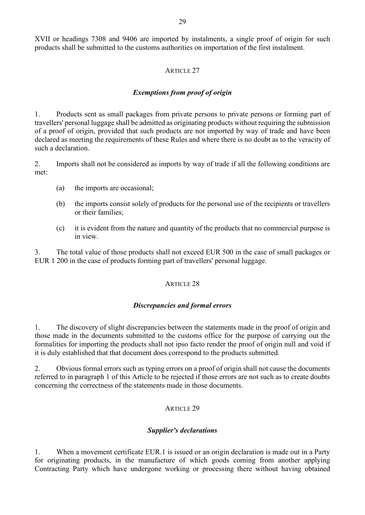29<br>29<br>XVII or headings 7308 and 9406 are imported by instalments, a single proof of origin for such<br>products shall be submitted to the customs authorities on importation of the first instalment.<br>ARTICLE 27 products shall be submitted to the customs authorities on importation of the first instalment.

#### ARTICLE 27

#### Exemptions from proof of origin

29<br>
29<br>
29<br>
29<br>
29<br>
27<br>
27<br>
27<br>
27<br>
28<br>
27<br>
28<br>
27<br>
28<br>
28<br>
27<br>
28<br>
28<br>
27<br>
28<br>
27<br>
28<br>
27<br>
28<br>
27<br>
28<br>
28<br>
27<br>
28<br>
28<br>
27<br>
28<br>
28 Persons of products sent as small packages from private persons to private persons or formi travellers' personal luggage shall be admitted as originating products without requiring the submission of a proof of origin, provided that such products are not imported by way of trade and have been declared as meeting the requirements of these Rules and where there is no doubt as to the veracity of such a declaration.

2. Imports shall not be considered as imports by way of trade if all the following conditions are met:

- (a) the imports are occasional;
- (b) the imports consist solely of products for the personal use of the recipients or travellers or their families;
- (c) it is evident from the nature and quantity of the products that no commercial purpose is in view.

3. The total value of those products shall not exceed EUR 500 in the case of small packages or EUR 1 200 in the case of products forming part of travellers' personal luggage.

#### ARTICLE 28

#### Discrepancies and formal errors

1. The discovery of slight discrepancies between the statements made in the proof of origin and those made in the documents submitted to the customs office for the purpose of carrying out the formalities for importing the products shall not ipso facto render the proof of origin null and void if it is duly established that that document does correspond to the products submitted.

2. Obvious formal errors such as typing errors on a proof of origin shall not cause the documents referred to in paragraph 1 of this Article to be rejected if those errors are not such as to create doubts concerning the correctness of the statements made in those documents.

#### ARTICLE 29

#### Supplier's declarations

1. When a movement certificate EUR.1 is issued or an origin declaration is made out in a Party for originating products, in the manufacture of which goods coming from another applying Contracting Party which have undergone working or processing there without having obtained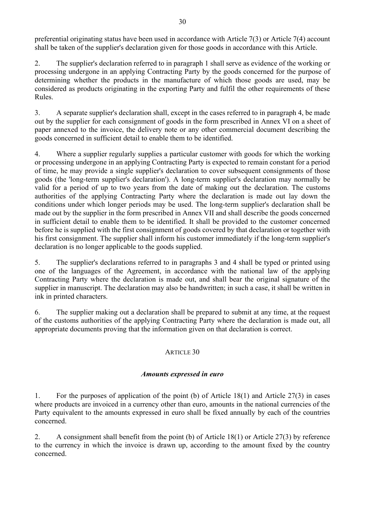preferential originating status have been used in accordance with Article 7(3) or Article 7(4) account shall be taken of the supplier's declaration given for those goods in accordance with this Article.

2. The supplier's declaration referred to in paragraph 1 shall serve as evidence of the working or processing undergone in an applying Contracting Party by the goods concerned for the purpose of determining whether the products in the manufacture of which those goods are used, may be considered as products originating in the exporting Party and fulfil the other requirements of these Rules.

3. A separate supplier's declaration shall, except in the cases referred to in paragraph 4, be made out by the supplier for each consignment of goods in the form prescribed in Annex VI on a sheet of paper annexed to the invoice, the delivery note or any other commercial document describing the goods concerned in sufficient detail to enable them to be identified.

4. Where a supplier regularly supplies a particular customer with goods for which the working or processing undergone in an applying Contracting Party is expected to remain constant for a period 30<br>
30<br>
30<br>
preferential originating status have been used in accordance with Article 7(3) or Article 7(4) account<br>
shall be taken of the supplier's declaration referred to in paragraph 1 shall serve as evidence of the wor goods (the 'long-term supplier's declaration'). A long-term supplier's declaration may normally be valid for a period of up to two years from the date of making out the declaration. The customs authorities of the applying Contracting Party where the declaration is made out lay down the conditions under which longer periods may be used. The long-term supplier's declaration shall be made out by the supplier in the form prescribed in Annex VII and shall describe the goods concerned in sufficient detail to enable them to be identified. It shall be provided to the customer concerned before he is supplied with the first consignment of goods covered by that declaration or together with his first consignment. The supplier shall inform his customer immediately if the long-term supplier's declaration is no longer applicable to the goods supplied.

5. The supplier's declarations referred to in paragraphs 3 and 4 shall be typed or printed using one of the languages of the Agreement, in accordance with the national law of the applying Contracting Party where the declaration is made out, and shall bear the original signature of the supplier in manuscript. The declaration may also be handwritten; in such a case, it shall be written in ink in printed characters.

6. The supplier making out a declaration shall be prepared to submit at any time, at the request of the customs authorities of the applying Contracting Party where the declaration is made out, all appropriate documents proving that the information given on that declaration is correct.

# ARTICLE 30

# Amounts expressed in euro

1. For the purposes of application of the point (b) of Article 18(1) and Article 27(3) in cases where products are invoiced in a currency other than euro, amounts in the national currencies of the Party equivalent to the amounts expressed in euro shall be fixed annually by each of the countries concerned.

2. A consignment shall benefit from the point (b) of Article 18(1) or Article 27(3) by reference to the currency in which the invoice is drawn up, according to the amount fixed by the country concerned.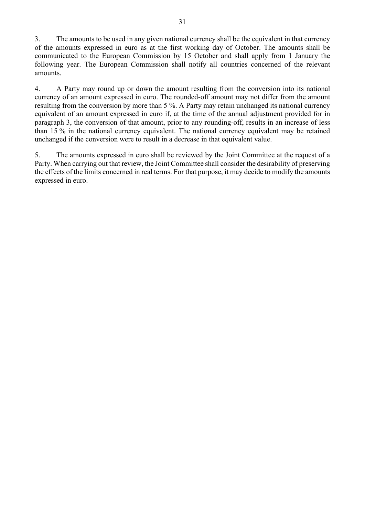3. The amounts to be used in any given national currency shall be the equivalent in that currency 3. The amounts to be used in any given national currency shall be the equivalent in that currency<br>of the amounts expressed in euro as at the first working day of October. The amounts shall be<br>communicated to the European communicated to the European Commission by 15 October and shall apply from 1 January the following year. The European Commission shall notify all countries concerned of the relevant amounts.

4. A Party may round up or down the amount resulting from the conversion into its national currency of an amount expressed in euro. The rounded-off amount may not differ from the amount resulting from the conversion by more than 5 %. A Party may retain unchanged its national currency equivalent of an amount expressed in euro if, at the time of the annual adjustment provided for in paragraph 3, the conversion of that amount, prior to any rounding-off, results in an increase of less than 15 % in the national currency equivalent. The national currency equivalent may be retained unchanged if the conversion were to result in a decrease in that equivalent value.

5. The amounts expressed in euro shall be reviewed by the Joint Committee at the request of a Party. When carrying out that review, the Joint Committee shall consider the desirability of preserving the effects of the limits concerned in real terms. For that purpose, it may decide to modify the amounts expressed in euro.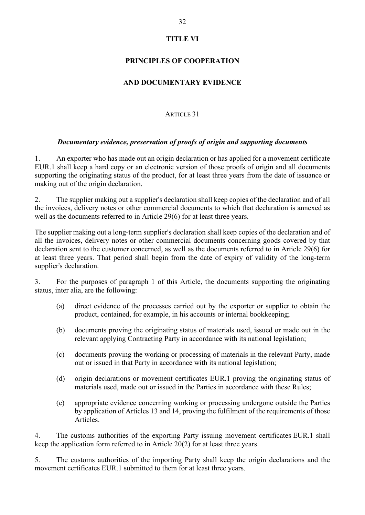# TITLE VI

# PRINCIPLES OF COOPERATION

# AND DOCUMENTARY EVIDENCE

# ARTICLE 31

## Documentary evidence, preservation of proofs of origin and supporting documents

1. An exporter who has made out an origin declaration or has applied for a movement certificate EUR.1 shall keep a hard copy or an electronic version of those proofs of origin and all documents supporting the originating status of the product, for at least three years from the date of issuance or making out of the origin declaration.

2. The supplier making out a supplier's declaration shall keep copies of the declaration and of all the invoices, delivery notes or other commercial documents to which that declaration is annexed as well as the documents referred to in Article 29(6) for at least three years.

The supplier making out a long-term supplier's declaration shall keep copies of the declaration and of all the invoices, delivery notes or other commercial documents concerning goods covered by that declaration sent to the customer concerned, as well as the documents referred to in Article 29(6) for at least three years. That period shall begin from the date of expiry of validity of the long-term supplier's declaration. (a) polier making out a long-term supplier's declaration shall keep copies of the declaration and of<br>tinvoices, delivery notes or other commercial documents concerning goods covered by that<br>to ion sent to the eustomer conc making out a long-term supplier's declaration shall keep copies of the declaration and of<br>ess, edivery notes or other commercial documents concerning goods covered by that<br>nt to the customer concerned, as well as the docum

3. For the purposes of paragraph 1 of this Article, the documents supporting the originating status, inter alia, are the following:

- (a) direct evidence of the processes carried out by the exporter or supplier to obtain the product, contained, for example, in his accounts or internal bookkeeping;
- (b) documents proving the originating status of materials used, issued or made out in the relevant applying Contracting Party in accordance with its national legislation;
- (c) documents proving the working or processing of materials in the relevant Party, made out or issued in that Party in accordance with its national legislation;
- 
- (e) appropriate evidence concerning working or processing undergone outside the Parties by application of Articles 13 and 14, proving the fulfilment of the requirements of those Articles.

4. The customs authorities of the exporting Party issuing movement certificates EUR.1 shall keep the application form referred to in Article 20(2) for at least three years.

5. The customs authorities of the importing Party shall keep the origin declarations and the movement certificates EUR.1 submitted to them for at least three years.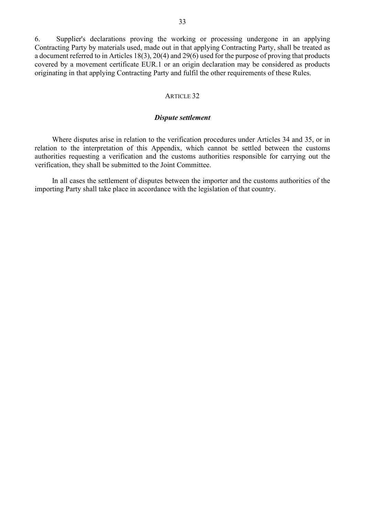6. Supplier's declarations proving the working or processing undergone in an applying Contracting Party by materials used, made out in that applying Contracting Party, shall be treated as a document referred to in Articles 18(3), 20(4) and 29(6) used for the purpose of proving that products 33<br>
6. Supplier's declarations proving the working or processing undergone in an applying<br>
Contracting Party by materials used, made out in that applying Contracting Party, shall be treated as<br>
a document referred to in A originating in that applying Contracting Party and fulfil the other requirements of these Rules.

#### ARTICLE 32

#### Dispute settlement

Where disputes arise in relation to the verification procedures under Articles 34 and 35, or in relation to the interpretation of this Appendix, which cannot be settled between the customs authorities requesting a verification and the customs authorities responsible for carrying out the verification, they shall be submitted to the Joint Committee.

In all cases the settlement of disputes between the importer and the customs authorities of the importing Party shall take place in accordance with the legislation of that country.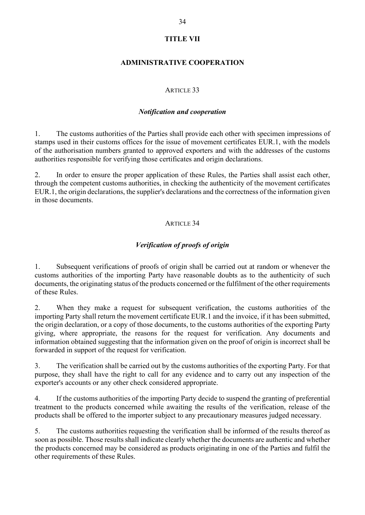# TITLE VII

# ADMINISTRATIVE COOPERATION

# ARTICLE 33

#### Notification and cooperation

34<br>
1. TITLE VII<br>
1. ADMINISTRATIVE COOPERATION<br>
2. ARTICLE 33<br>
2. Notification and cooperation<br>
2. The customs authorities of the Parties shall provide each other with specimen impressions of<br>
2. In order to ensure the pr stamps used in their customs offices for the issue of movement certificates EUR.1, with the models of the authorisation numbers granted to approved exporters and with the addresses of the customs authorities responsible for verifying those certificates and origin declarations.

<sup>34</sup><br> **2. In ADMINISTRATIVE COOPERATION**<br> **2. ANTICLE 33**<br> **2. In order to ensure the Parties shall provide each other with specimen impressions of<br>
3. The customs authorities of the Parties shall provide each other with** TITLE VII<br>
ADMINISTRATIVE COOPERATION<br>
ARTICLE 33<br>
Motification and cooperation<br>
1.<br>
The customs authorities of the Parties shall provide each other with specimen impressions of<br>
stamps used in their customs offices for t EUR.1, the origin declarations, the supplier's declarations and the correctness of the information given in those documents.

# ARTICLE 34

# Verification of proofs of origin

1. Subsequent verifications of proofs of origin shall be carried out at random or whenever the customs authorities of the importing Party have reasonable doubts as to the authenticity of such documents, the originating status of the products concerned or the fulfilment of the other requirements of these Rules.

2. When they make a request for subsequent verification, the customs authorities of the importing Party shall return the movement certificate EUR.1 and the invoice, if it has been submitted, the origin declaration, or a copy of those documents, to the customs authorities of the exporting Party giving, where appropriate, the reasons for the request for verification. Any documents and information obtained suggesting that the information given on the proof of origin is incorrect shall be forwarded in support of the request for verification.

3. The verification shall be carried out by the customs authorities of the exporting Party. For that purpose, they shall have the right to call for any evidence and to carry out any inspection of the exporter's accounts or any other check considered appropriate.

4. If the customs authorities of the importing Party decide to suspend the granting of preferential treatment to the products concerned while awaiting the results of the verification, release of the products shall be offered to the importer subject to any precautionary measures judged necessary.

5. The customs authorities requesting the verification shall be informed of the results thereof as soon as possible. Those results shall indicate clearly whether the documents are authentic and whether the products concerned may be considered as products originating in one of the Parties and fulfil the other requirements of these Rules.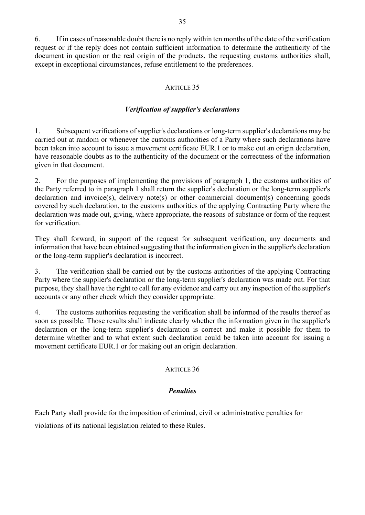6. If in cases of reasonable doubt there is no reply within ten months of the date of the verification request or if the reply does not contain sufficient information to determine the authenticity of the document in question or the real origin of the products, the requesting customs authorities shall, except in exceptional circumstances, refuse entitlement to the preferences.

# ARTICLE 35

# Verification of supplier's declarations

1. Subsequent verifications of supplier's declarations of the date of the verification<br>
1. Subsequent in question or the real origin of the products, the requesting customs authorities shall,<br>
1. Subsequent verifications carried out at random or whenever the customs authorities of a Party where such declarations have been taken into account to issue a movement certificate EUR.1 or to make out an origin declaration, have reasonable doubts as to the authenticity of the document or the correctness of the information given in that document.

2. For the purposes of implementing the provisions of paragraph 1, the customs authorities of the Party referred to in paragraph 1 shall return the supplier's declaration or the long-term supplier's declaration and invoice(s), delivery note(s) or other commercial document(s) concerning goods covered by such declaration, to the customs authorities of the applying Contracting Party where the declaration was made out, giving, where appropriate, the reasons of substance or form of the request for verification.

They shall forward, in support of the request for subsequent verification, any documents and information that have been obtained suggesting that the information given in the supplier's declaration or the long-term supplier's declaration is incorrect.

3. The verification shall be carried out by the customs authorities of the applying Contracting Party where the supplier's declaration or the long-term supplier's declaration was made out. For that purpose, they shall have the right to call for any evidence and carry out any inspection of the supplier's accounts or any other check which they consider appropriate.

4. The customs authorities requesting the verification shall be informed of the results thereof as soon as possible. Those results shall indicate clearly whether the information given in the supplier's declaration or the long-term supplier's declaration is correct and make it possible for them to determine whether and to what extent such declaration could be taken into account for issuing a movement certificate EUR.1 or for making out an origin declaration.

#### ARTICLE 36

#### **Penalties**

Each Party shall provide for the imposition of criminal, civil or administrative penalties for violations of its national legislation related to these Rules.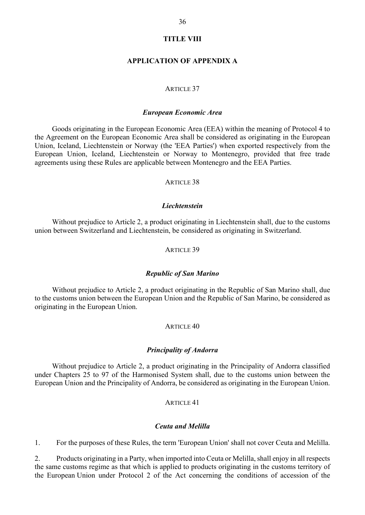#### TITLE VIII

#### APPLICATION OF APPENDIX A

#### ARTICLE 37

#### European Economic Area

36<br>
TITLE VIII<br>
APPLICATION OF APPENDIX A<br>
ARTICLE 37<br>
European Economic Area<br>
Goods originating in the European Economic Area (EEA) within the meaning of Protocol 4 to<br>
I, teland, Liechtenstein or Norway (the "EEA Parties the Agreement on the European Economic Area shall be considered as originating in the European Union, Iceland, Liechtenstein or Norway (the 'EEA Parties') when exported respectively from the European Union, Iceland, Liechtenstein or Norway to Montenegro, provided that free trade agreements using these Rules are applicable between Montenegro and the EEA Parties.

#### ARTICLE 38

#### **Liechtenstein**

Without prejudice to Article 2, a product originating in Liechtenstein shall, due to the customs union between Switzerland and Liechtenstein, be considered as originating in Switzerland.

#### ARTICLE 39

#### Republic of San Marino

Without prejudice to Article 2, a product originating in the Republic of San Marino shall, due to the customs union between the European Union and the Republic of San Marino, be considered as originating in the European Union. It is a more expected as originating in Switzerland.<br>
ARTICLE 39<br> **Republic of San Marino**<br>
Without prejudice to Article 2, a product originating in the Republic of San Marino shall, due<br>
to the customs union between the E

#### ARTICLE 40

#### Principality of Andorra

Without prejudice to Article 2, a product originating in the Principality of Andorra classified under Chapters 25 to 97 of the Harmonised System shall, due to the customs union between the

#### ARTICLE 41

#### Ceuta and Melilla

1. For the purposes of these Rules, the term 'European Union' shall not cover Ceuta and Melilla.

2. Products originating in a Party, when imported into Ceuta or Melilla, shall enjoy in all respects the same customs regime as that which is applied to products originating in the customs territory of the European Union under Protocol 2 of the Act concerning the conditions of accession of the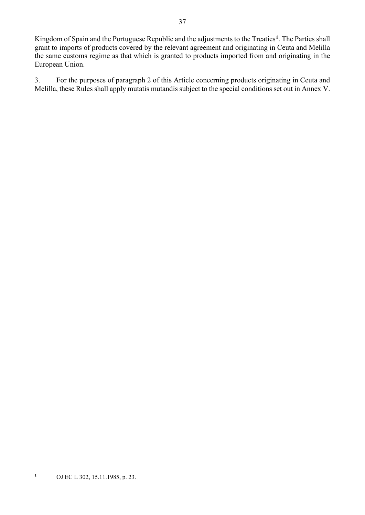Kingdom of Spain and the Portuguese Republic and the adjustments to the Treaties<sup>1</sup>. The Parties shall . The Parties shall<br>Ceuta and Melilla<br>originating in the<br>ting in Ceuta and grant to imports of products covered by the relevant agreement and originating in Ceuta and Melilla the same customs regime as that which is granted to products imported from and originating in the European Union.

3. For the purposes of paragraph 2 of this Article concerning products originating in Ceuta and Melilla, these Rules shall apply mutatis mutandis subject to the special conditions set out in Annex V.

<sup>1</sup> OJ EC L 302, 15.11.1985, p. 23.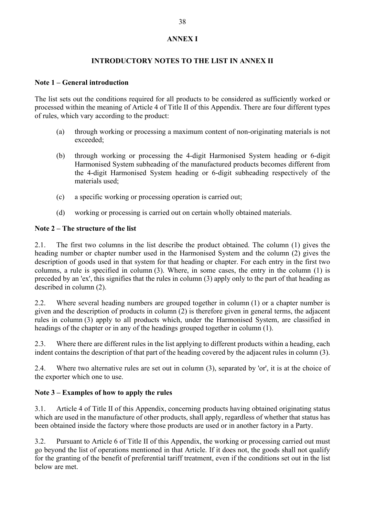# ANNEX I

# INTRODUCTORY NOTES TO THE LIST IN ANNEX II

#### Note 1 – General introduction

The list sets out the conditions required for all products to be considered as sufficiently worked or processed within the meaning of Article 4 of Title II of this Appendix. There are four different types of rules, which vary according to the product:

- (a) through working or processing a maximum content of non-originating materials is not exceeded;
- (b) through working or processing the 4-digit Harmonised System heading or 6-digit Harmonised System subheading of the manufactured products becomes different from the 4-digit Harmonised System heading or 6-digit subheading respectively of the materials used;
- (c) a specific working or processing operation is carried out;
- (d) working or processing is carried out on certain wholly obtained materials.

#### Note 2 – The structure of the list

2.1. The first two columns in the list describe the product obtained. The column (1) gives the heading number or chapter number used in the Harmonised System and the column (2) gives the description of goods used in that system for that heading or chapter. For each entry in the first two of rules, which vary according to the product:<br>
(a) through working or processing a maximum content of non-originating materials is not exceeded;<br>
(b) through working or processing the 4-digit Harmonised System heading or preceded by an 'ex', this signifies that the rules in column (3) apply only to the part of that heading as described in column (2).

2.2. Where several heading numbers are grouped together in column (1) or a chapter number is given and the description of products in column (2) is therefore given in general terms, the adjacent rules in column (3) apply to all products which, under the Harmonised System, are classified in headings of the chapter or in any of the headings grouped together in column (1).

2.3. Where there are different rules in the list applying to different products within a heading, each indent contains the description of that part of the heading covered by the adjacent rules in column (3).

2.4. Where two alternative rules are set out in column (3), separated by 'or', it is at the choice of the exporter which one to use.

# Note 3 – Examples of how to apply the rules

3.1. Article 4 of Title II of this Appendix, concerning products having obtained originating status which are used in the manufacture of other products, shall apply, regardless of whether that status has been obtained inside the factory where those products are used or in another factory in a Party.

3.2. Pursuant to Article 6 of Title II of this Appendix, the working or processing carried out must go beyond the list of operations mentioned in that Article. If it does not, the goods shall not qualify for the granting of the benefit of preferential tariff treatment, even if the conditions set out in the list below are met.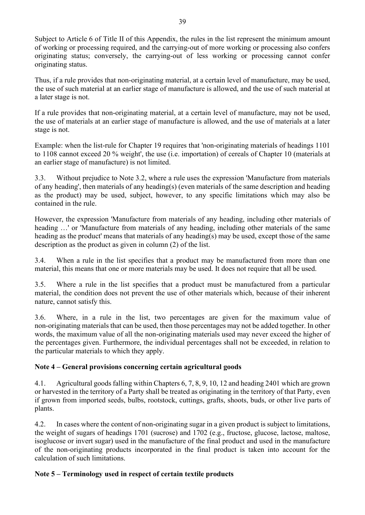originating status; conversely, the carrying-out of less working or processing cannot confer

originating status.

Thus, if a rule provides that non-originating material, at a certain level of manufacture, may be used, the use of such material at an earlier stage of manufacture is allowed, and the use of such material at a later stage is not. 39<br>39<br>39<br>Subject to Article 6 of Title II of this Appendix, the rules in the list represent the minimum amount<br>of working or processing required, and the carrying-out of less working or processing cannot confer<br>originating

the use of materials at an earlier stage of manufacture is allowed, and the use of materials at a later stage is not.

Example: when the list-rule for Chapter 19 requires that 'non-originating materials of headings 1101 to 1108 cannot exceed 20 % weight', the use (i.e. importation) of cereals of Chapter 10 (materials at an earlier stage of manufacture) is not limited.

3.3. Without prejudice to Note 3.2, where a rule uses the expression 'Manufacture from materials of any heading', then materials of any heading(s) (even materials of the same description and heading as the product) may be used, subject, however, to any specific limitations which may also be contained in the rule.

However, the expression 'Manufacture from materials of any heading, including other materials of heading ...' or 'Manufacture from materials of any heading, including other materials of the same heading as the product' means that materials of any heading(s) may be used, except those of the same description as the product as given in column (2) of the list.

3.4. When a rule in the list specifies that a product may be manufactured from more than one material, this means that one or more materials may be used. It does not require that all be used.

3.5. Where a rule in the list specifies that a product must be manufactured from a particular material, the condition does not prevent the use of other materials which, because of their inherent nature, cannot satisfy this.

3.6. Where, in a rule in the list, two percentages are given for the maximum value of non-originating materials that can be used, then those percentages may not be added together. In other words, the maximum value of all the non-originating materials used may never exceed the higher of the percentages given. Furthermore, the individual percentages shall not be exceeded, in relation to the particular materials to which they apply.

# Note 4 – General provisions concerning certain agricultural goods

4.1. Agricultural goods falling within Chapters 6, 7, 8, 9, 10, 12 and heading 2401 which are grown or harvested in the territory of a Party shall be treated as originating in the territory of that Party, even if grown from imported seeds, bulbs, rootstock, cuttings, grafts, shoots, buds, or other live parts of plants.

4.2. In cases where the content of non-originating sugar in a given product is subject to limitations, the weight of sugars of headings 1701 (sucrose) and 1702 (e.g., fructose, glucose, lactose, maltose, isoglucose or invert sugar) used in the manufacture of the final product and used in the manufacture of the non-originating products incorporated in the final product is taken into account for the calculation of such limitations.

# Note 5 – Terminology used in respect of certain textile products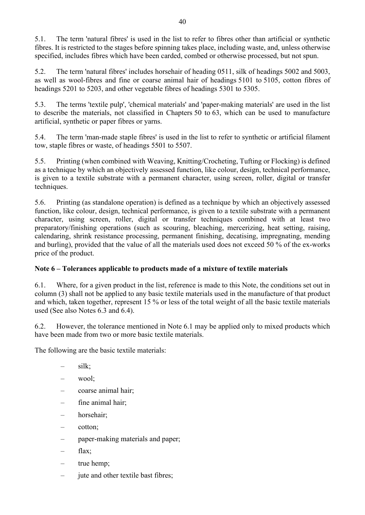5.1. The term 'natural fibres' is used in the list to refer to fibres other than artificial or synthetic fibres. It is restricted to the stages before spinning takes place, including waste, and, unless otherwise specified, includes fibres which have been carded, combed or otherwise processed, but not spun. 5.1. The term 'natural fibres' is used in the list to refer to fibres other than artificial or synthetic<br>fibres. It is restricted to the stages before spinning takes place, including waste, and, unless otherwise<br>specified 40<br>
5.1. The term 'natural fibres' is used in the list to refer to fibres other than artificial or synthetic<br>
fibres. It is restricted to the stages before spinning takes place, including waste, and, unless otherwise<br>
spec

40<br>5.1. The term 'natural fibres' is used in the list to refer to fibres other than artificial or sy<br>fibres. It is restricted to the stages before spinning takes place, including waste, and, unless of<br>specified, includes f 5.3. The terms 'textile pulp', 'chemical materials' and 'paper-making materials' are used in the list to describe the materials, not classified in Chapters 50 to 63, which can be used to manufacture artificial, synthetic or paper fibres or yarns.

5.4. The term 'man-made staple fibres' is used in the list to refer to synthetic or artificial filament tow, staple fibres or waste, of headings 5501 to 5507.

5.5. Printing (when combined with Weaving, Knitting/Crocheting, Tufting or Flocking) is defined as a technique by which an objectively assessed function, like colour, design, technical performance, is given to a textile substrate with a permanent character, using screen, roller, digital or transfer techniques.

5.6. Printing (as standalone operation) is defined as a technique by which an objectively assessed function, like colour, design, technical performance, is given to a textile substrate with a permanent character, using screen, roller, digital or transfer techniques combined with at least two preparatory/finishing operations (such as scouring, bleaching, mercerizing, heat setting, raising, calendaring, shrink resistance processing, permanent finishing, decatising, impregnating, mending and burling), provided that the value of all the materials used does not exceed 50 % of the ex-works price of the product.

### Note 6 – Tolerances applicable to products made of a mixture of textile materials

6.1. Where, for a given product in the list, reference is made to this Note, the conditions set out in column (3) shall not be applied to any basic textile materials used in the manufacture of that product and which, taken together, represent 15 % or less of the total weight of all the basic textile materials used (See also Notes 6.3 and 6.4).

6.2. However, the tolerance mentioned in Note 6.1 may be applied only to mixed products which have been made from two or more basic textile materials.

- 
- 
- 
- 
- 
- 
- The following are the basic textile materials:<br>
 silk;<br>
 wool;<br>
 coarse animal hair;<br>
 fine animal hair;<br>
 horsehair;<br>
 cotton;<br>
 paper-making materials and paper;<br>
 flax;<br>
 true hemp;<br>
 jute and other textile ba
	-
	-
	-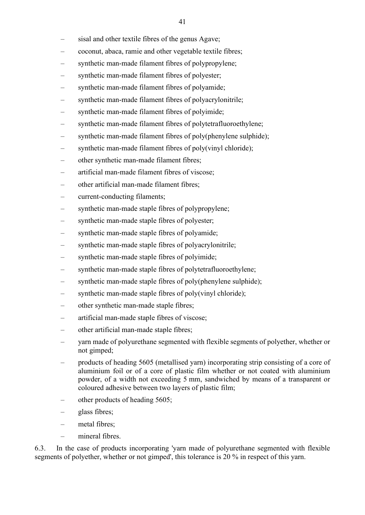- sisal and other textile fibres of the genus Agave; coconut, abaca, ramie and other vegetable textile fibres;
- 
- synthetic man-made filament fibres of polypropylene;
- 
- 
- 
- 
- 
- 
- 
- 
- 
- 
- 
- 
- 
- 
- 
- 
- 
- 
- 
- 
- 
- 
- synthetic man-made filament fibres of polyester;<br>
synthetic man-made filament fibres of polyavide;<br>
 synthetic man-made filament fibres of polyavidyonitrile;<br>
 synthetic man-made filament fibres of polycitrafluorocthyl
- not gimped;<br>products of heading 5605 (metallised yarn) incorporating strip consisting of a core of aluminium foil or of a core of plastic film whether or not coated with aluminium powder, of a width not exceeding 5 mm, sandwiched by means of a transparent or coloured adhesive between two layers of plastic film;<br>
– other products of heading 5605;<br>
– glass fibres;<br>
– metal fibres;<br>
– mineral fibres
- 
- 
- 
- 

6.3. In the case of products incorporating 'yarn made of polyurethane segmented with flexible segments of polyether, whether or not gimped', this tolerance is 20 % in respect of this yarn.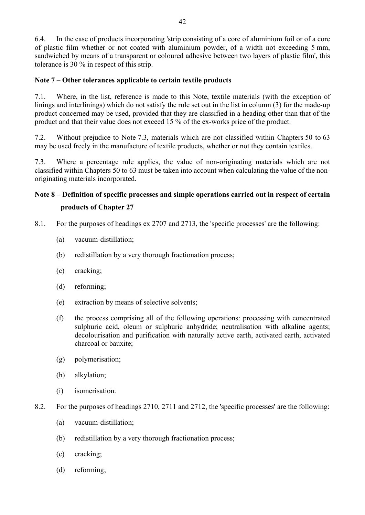6.4. In the case of products incorporating 'strip consisting of a core of aluminium foil or of a core of plastic film whether or not coated with aluminium powder, of a width not exceeding 5 mm, sandwiched by means of a transparent or coloured adhesive between two layers of plastic film', this tolerance is 30 % in respect of this strip.

### Note 7 – Other tolerances applicable to certain textile products

7.1. Where, in the list, reference is made to this Note, textile materials (with the exception of linings and interlinings) which do not satisfy the rule set out in the list in column (3) for the made-up product concerned may be used, provided that they are classified in a heading other than that of the product and that their value does not exceed 15 % of the ex-works price of the product. 42<br>42<br>42<br>6.4. In the case of products incorporating 'strip consisting of a core of aluminium foil or of a core<br>of plastic film whether or not coated with aluminium powder, of a width not exceeding 5 mm,<br>sandwiched by means 42<br>42<br>42<br>6.4. In the case of products incorporating 'strip consisting of a core of plastic film whether or not coated with aluminium powder, of a width not exceeding 5 mm,<br>sandwiched by means of a transparent or coloured a

may be used freely in the manufacture of textile products, whether or not they contain textiles.

7.3. Where a percentage rule applies, the value of non-originating materials which are not originating materials incorporated.

# Note 8 – Definition of specific processes and simple operations carried out in respect of certain products of Chapter 27

- 8.1. For the purposes of headings ex 2707 and 2713, the 'specific processes' are the following:
	- (a) vacuum-distillation;
	- (b) redistillation by a very thorough fractionation process;
	- (c) cracking;
	- (d) reforming;
	- (e) extraction by means of selective solvents;
	- (f) the process comprising all of the following operations: processing with concentrated sulphuric acid, oleum or sulphuric anhydride; neutralisation with alkaline agents; decolourisation and purification with naturally active earth, activated earth, activated charcoal or bauxite;
	- (g) polymerisation;
	- (h) alkylation;
	- (i) isomerisation.
- 8.2. For the purposes of headings 2710, 2711 and 2712, the 'specific processes' are the following:
	- (a) vacuum-distillation;
	- (b) redistillation by a very thorough fractionation process;
	- (c) cracking;
	- (d) reforming;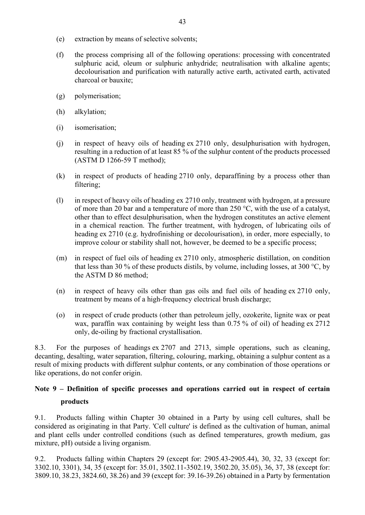- (e) extraction by means of selective solvents;
- (f) the process comprising all of the following operations: processing with concentrated sulphuric acid, oleum or sulphuric anhydride; neutralisation with alkaline agents; decolourisation and purification with naturally active earth, activated earth, activated charcoal or bauxite; 43<br>
(e) extraction by means of selective solvents;<br>
(f) the process comprising all of the following operations: processing with concentrated<br>
sulphuric acid, oleum or sulphuric anhydride; neutralisation with alkaline agen
- (g) polymerisation;
- (h) alkylation;
- (i) isomerisation;
- resulting in a reduction of at least 85 % of the sulphur content of the products processed (ASTM D 1266-59 T method);
- (k) in respect of products of heading 2710 only, deparaffining by a process other than filtering;
- (f) the process comprising all of the following operations: processing with concentrated sulphuric acid, oleum or sulphuric anhydride; neutralisation with alkaline agents; decolourisation and purification with naturally a of more than 20 bar and a temperature of more than 250 °C, with the use of a catalyst, other than to effect desulphurisation, when the hydrogen constitutes an active element in a chemical reaction. The further treatment, with hydrogen, of lubricating oils of heading ex 2710 (e.g. hydrofinishing or decolourisation), in order, more especially, to improve colour or stability shall not, however, be deemed to be a specific process; (h) alkylation;<br>
(i) isomerisation;<br>
(i) in respect of heavy oils of heading ex 2710 only, desulphurisation with hydrogen,<br>
resulting in a reduction of at least 85 % of the sulphur content of the products processed<br>
(ASTM
- that less than 30 % of these products distils, by volume, including losses, at 300 °C, by the ASTM D 86 method;
- (n) in respect of heavy oils other than gas oils and fuel oils of heading ex 2710 only, treatment by means of a high-frequency electrical brush discharge;
- (o) in respect of crude products (other than petroleum jelly, ozokerite, lignite wax or peat wax, paraffin wax containing by weight less than 0.75 % of oil) of heading ex 2712 only, de-oiling by fractional crystallisation.

8.3. For the purposes of headings ex 2707 and 2713, simple operations, such as cleaning, decanting, desalting, water separation, filtering, colouring, marking, obtaining a sulphur content as a result of mixing products with different sulphur contents, or any combination of those operations or like operations, do not confer origin.

# Note 9 – Definition of specific processes and operations carried out in respect of certain products

9.1. Products falling within Chapter 30 obtained in a Party by using cell cultures, shall be considered as originating in that Party. 'Cell culture' is defined as the cultivation of human, animal and plant cells under controlled conditions (such as defined temperatures, growth medium, gas mixture, pH) outside a living organism.

9.2. Products falling within Chapters 29 (except for: 2905.43-2905.44), 30, 32, 33 (except for: 3302.10, 3301), 34, 35 (except for: 35.01, 3502.11-3502.19, 3502.20, 35.05), 36, 37, 38 (except for: 3809.10, 38.23, 3824.60, 38.26) and 39 (except for: 39.16-39.26) obtained in a Party by fermentation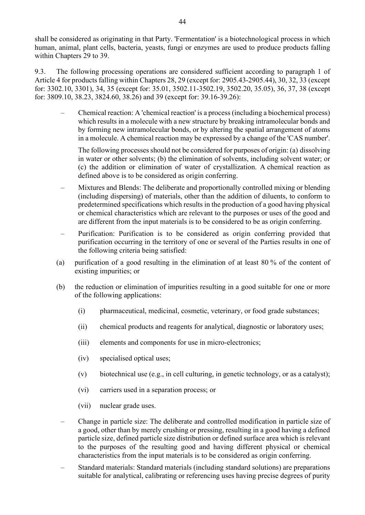shall be considered as originating in that Party. 'Fermentation' is a biotechnological process in which human, animal, plant cells, bacteria, yeasts, fungi or enzymes are used to produce products falling within Chapters 29 to 39.

9.3. The following processing operations are considered sufficient according to paragraph 1 of Article 4 for products falling within Chapters 28, 29 (except for: 2905.43-2905.44), 30, 32, 33 (except for: 3302.10, 3301), 34, 35 (except for: 35.01, 3502.11-3502.19, 3502.20, 35.05), 36, 37, 38 (except for: 3809.10, 38.23, 3824.60, 38.26) and 39 (except for: 39.16-39.26):

– Chemical reaction: A 'chemical reaction' is a process (including a biochemical process) which results in a molecule with a new structure by breaking intramolecular bonds and by forming new intramolecular bonds, or by altering the spatial arrangement of atoms 44<br>
ered as originating in that Party. 'Fermentation' is a biotechnological process in which<br>
1, plant cells, bacteria, yeasts, fingi or enzymes are used to produce products falling<br>
5 29 to 39.<br>
lowing processing operatio

The following processes should not be considered for purposes of origin: (a) dissolving in water or other solvents; (b) the elimination of solvents, including solvent water; or (c) the addition or elimination of water of crystallization. A chemical reaction as

- defined above is to be considered as origin conferring.<br>Mixtures and Blends: The deliberate and proportionally controlled mixing or blending (including dispersing) of materials, other than the addition of diluents, to conform to predetermined specifications which results in the production of a good having physical or chemical characteristics which are relevant to the purposes or uses of the good and are different from the input materials is to be considered to be as origin conferring.
- Purification: Purification is to be considered as origin conferring provided that purification occurring in the territory of one or several of the Parties results in one of the following criteria being satisfied:
- (a) purification of a good resulting in the elimination of at least 80 % of the content of existing impurities; or
- (b) the reduction or elimination of impurities resulting in a good suitable for one or more of the following applications:
	- (i) pharmaceutical, medicinal, cosmetic, veterinary, or food grade substances;
	- (ii) chemical products and reagents for analytical, diagnostic or laboratory uses;
	- (iii) elements and components for use in micro-electronics;
	- (iv) specialised optical uses;
	- (v) biotechnical use (e.g., in cell culturing, in genetic technology, or as a catalyst);
	- (vi) carriers used in a separation process; or
	-
- (vii) nuclear grade uses.<br>
Change in particle size: The deliberate and controlled modification in particle size of a good, other than by merely crushing or pressing, resulting in a good having a defined particle size, defined particle size distribution or defined surface area which is relevant to the purposes of the resulting good and having different physical or chemical characteristics from the input materials is to be considered as origin conferring.<br>Standard materials: Standard materials (including standard solutions) are preparations
- suitable for analytical, calibrating or referencing uses having precise degrees of purity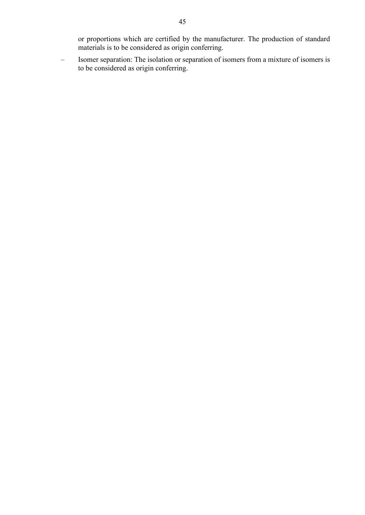or proportions which are certified by the manufacturer. The production of standard

or proportions which are certified by the manufacturer. The production of standard<br>materials is to be considered as origin conferring.<br>Isomer separation: The isolation or separation of isomers from a mixture of isomers is<br> to be considered as origin conferring.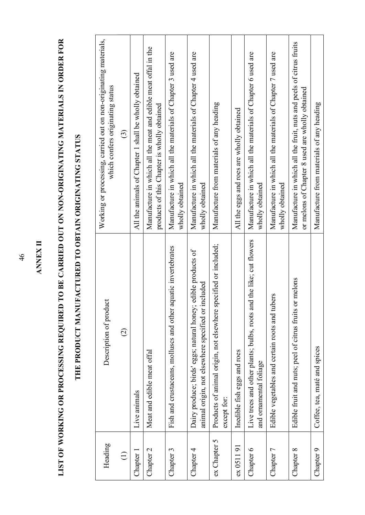|                   | IST OF WORKING OR PROCESSING REQUIRED TO BE CARRIED OUT ON NON-ORIGINATING MATERIALS IN ORDER FOR                   |                                                                                                                        |
|-------------------|---------------------------------------------------------------------------------------------------------------------|------------------------------------------------------------------------------------------------------------------------|
|                   | THE PRODUCT MANUFACTURED TO OBTAIN ORIGINATING STATUS                                                               |                                                                                                                        |
| Heading           | Description of product                                                                                              | processing, carried out on non-originating materials,<br>which confers originating status<br>Working or                |
| $\ominus$         | $\widehat{\infty}$                                                                                                  | $\widehat{\mathbb{G}}$                                                                                                 |
| Chapter 1         | Live animals                                                                                                        | All the animals of Chapter 1 shall be wholly obtained                                                                  |
| hapter 2          | Meat and edible meat offal                                                                                          | Manufacture in which all the meat and edible meat offal in the<br>products of this Chapter is wholly obtained          |
| Chapter 3         | Fish and crustaceans, molluscs and other aquatic invertebrates                                                      | Manufacture in which all the materials of Chapter 3 used are<br>wholly obtained                                        |
| Chapter 4         | Dairy produce; birds' eggs; natural honey; edible products of<br>animal origin, not elsewhere specified or included | Manufacture in which all the materials of Chapter 4 used are<br>wholly obtained                                        |
| $\sim$<br>Chapter | Products of animal origin, not elsewhere specified or included;<br>except for:                                      | Manufacture from materials of any heading                                                                              |
| 051191            | Inedible fish eggs and roes                                                                                         | and roes are wholly obtained<br>All the eggs                                                                           |
| Chapter 6         | Live trees and other plants; bulbs, roots and the like; cut flowers<br>and ornamental foliage                       | Manufacture in which all the materials of Chapter 6 used are<br>wholly obtained                                        |
| hapter 7          | Edible vegetables and certain roots and tubers                                                                      | Manufacture in which all the materials of Chapter 7 used are<br>wholly obtained                                        |
| hapter 8          | Edible fruit and nuts; peel of citrus fruits or melons                                                              | Manufacture in which all the fruit, nuts and peels of citrus fruits<br>or melons of Chapter 8 used are wholly obtained |
| Chapter 9         | Coffee, tea, maté and spices                                                                                        | Manufacture from materials of any heading                                                                              |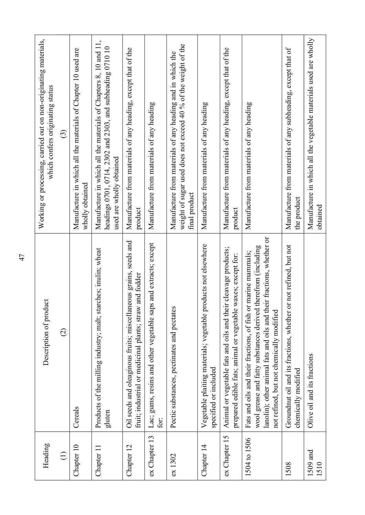| Heading          | Description of product                                                                                                                                                                                                                             | Working or processing, carried out on non-originating materials,<br>which confers originating status                                                       |
|------------------|----------------------------------------------------------------------------------------------------------------------------------------------------------------------------------------------------------------------------------------------------|------------------------------------------------------------------------------------------------------------------------------------------------------------|
| $\bigoplus$      | $\widehat{\varpropto}$                                                                                                                                                                                                                             | $\widehat{\odot}$                                                                                                                                          |
| Chapter 10       | Cereals                                                                                                                                                                                                                                            | Manufacture in which all the materials of Chapter 10 used are<br>wholly obtained                                                                           |
| Chapter 11       | Products of the milling industry; malt; starches; inulin; wheat<br>gluten                                                                                                                                                                          | Manufacture in which all the materials of Chapters 8, 10 and 11,<br>headings 0701, 0714, 2302 and 2303, and subheading 0710 10<br>used are wholly obtained |
| Chapter 12       | Oil seeds and oleaginous fruits; miscellaneous grains, seeds and<br>fruit; industrial or medicinal plants; straw and fodder                                                                                                                        | Manufacture from materials of any heading, except that of the<br>product                                                                                   |
| ex Chapter 13    | Lac; gums, resins and other vegetable saps and extracts; except<br>for:                                                                                                                                                                            | Manufacture from materials of any heading                                                                                                                  |
| ex1302           | Pectic substances, pectinates and pectates                                                                                                                                                                                                         | weight of sugar used does not exceed 40 % of the weight of the<br>Manufacture from materials of any heading and in which the<br>final product              |
| Chapter 14       | Vegetable plaiting materials; vegetable products not elsewhere<br>specified or included                                                                                                                                                            | Manufacture from materials of any heading                                                                                                                  |
| ex Chapter 15    | Animal or vegetable fats and oils and their cleavage products;<br>prepared edible fats; animal or vegetable waxes; except for:                                                                                                                     | Manufacture from materials of any heading, except that of the<br>product                                                                                   |
| 1504 to 1506     | lanolin); other animal fats and oils and their fractions, whether or<br>wool grease and fatty substances derived therefrom (including<br>Fats and oils and their fractions, of fish or marine mammals;<br>not refined, but not chemically modified | Manufacture from materials of any heading                                                                                                                  |
| 1508             | Groundnut oil and its fractions, whether or not refined, but not<br>chemically modified                                                                                                                                                            | Manufacture from materials of any subheading, except that of<br>the product                                                                                |
| 1509 and<br>1510 | Olive oil and its fractions                                                                                                                                                                                                                        | Manufacture in which all the vegetable materials used are wholly<br>obtained                                                                               |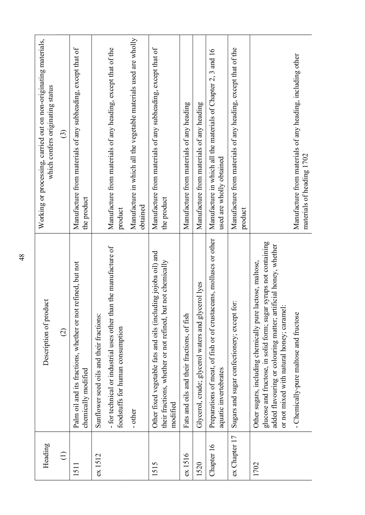| Heading       | Description of product                                                                                                                                                                                                                       | Working or processing, carried out on non-originating materials,<br>which confers originating status |
|---------------|----------------------------------------------------------------------------------------------------------------------------------------------------------------------------------------------------------------------------------------------|------------------------------------------------------------------------------------------------------|
| $\bigoplus$   | $\widehat{\circ}$                                                                                                                                                                                                                            | $\odot$                                                                                              |
| 1511          | but not<br>Palm oil and its fractions, whether or not refined,<br>chemically modified                                                                                                                                                        | Manufacture from materials of any subheading, except that of<br>the product                          |
| ex 1512       | Sunflower seed oils and their fractions:                                                                                                                                                                                                     |                                                                                                      |
|               | - for technical or industrial uses other than the manufacture of<br>foodstuffs for human consumption                                                                                                                                         | Manufacture from materials of any heading, except that of the<br>product                             |
|               | other                                                                                                                                                                                                                                        | Manufacture in which all the vegetable materials used are wholly<br>obtained                         |
| 1515          | Other fixed vegetable fats and oils (including jojoba oil) and<br>their fractions, whether or not refined, but not chemically<br>modified                                                                                                    | Manufacture from materials of any subheading, except that of<br>the product                          |
| ex1516        | Fats and oils and their fractions, of fish                                                                                                                                                                                                   | Manufacture from materials of any heading                                                            |
| 1520          | Glycerol, crude; glycerol waters and glycerol lyes                                                                                                                                                                                           | Manufacture from materials of any heading                                                            |
| Chapter 16    | Preparations of meat, of fish or of crustaceans, molluscs or other<br>aquatic invertebrates                                                                                                                                                  | Manufacture in which all the materials of Chapter 2, 3 and 16<br>used are wholly obtained            |
| ex Chapter 17 | Sugars and sugar confectionery; except for:                                                                                                                                                                                                  | Manufacture from materials of any heading, except that of the<br>product                             |
| 1702          | glucose and fructose, in solid form; sugar syrups not containing<br>added flavouring or colouring matter; artificial honey, whether<br>Other sugars, including chemically pure lactose, maltose<br>or not mixed with natural honey; caramel: |                                                                                                      |
|               | - Chemically-pure maltose and fructose                                                                                                                                                                                                       | Manufacture from materials of any heading, including other<br>materials of heading 1702              |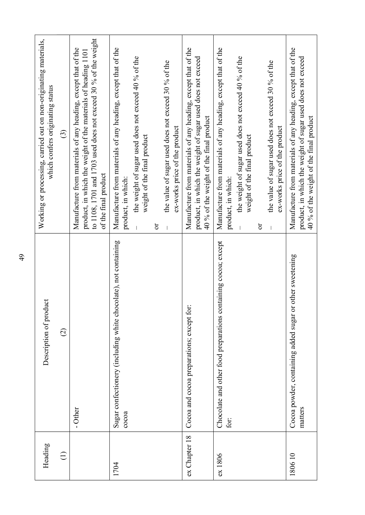| Heading          | Description of product                                                   | processing, carried out on non-originating materials,<br>which confers originating status<br>Working or                                                                                                                                                                                                            |
|------------------|--------------------------------------------------------------------------|--------------------------------------------------------------------------------------------------------------------------------------------------------------------------------------------------------------------------------------------------------------------------------------------------------------------|
| $\ominus$        | $\widehat{c}$                                                            | $\odot$                                                                                                                                                                                                                                                                                                            |
|                  | - Other                                                                  | to 1108, 1701 and 1703 used does not exceed 30 % of the weight<br>Manufacture from materials of any heading, except that of the<br>product, in which the weight of the materials of heading 1101<br>of the final product                                                                                           |
| 1704             | Sugar confectionery (including white chocolate), not containing<br>cocca | Manufacture from materials of any heading, except that of the<br>the weight of sugar used does not exceed 40 % of the<br>the value of sugar used does not exceed 30 % of the<br>ex-works price of the product<br>weight of the final product<br>product, in which:<br>$\mathfrak{S}% _{C}^{\ast}(\mathbb{R}^{2n})$ |
| Chapter 18<br>ex | Cocoa and cocoa preparations; except for:                                | Manufacture from materials of any heading, except that of the<br>product, in which the weight of sugar used does not exceed<br>40 % of the weight of the final product                                                                                                                                             |
| 1806<br>ex       | Chocolate and other food preparations containing cocoa; except<br>for:   | Manufacture from materials of any heading, except that of the<br>the weight of sugar used does not exceed 40 % of the<br>the value of sugar used does not exceed 30 % of the<br>ex-works price of the product<br>weight of the final product<br>product, in which:<br>$\sigma$                                     |
| 180610           | Cocoa powder, containing added sugar or other sweetening<br>matters      | Manufacture from materials of any heading, except that of the<br>product, in which the weight of sugar used does not exceed<br>40 % of the weight of the final product                                                                                                                                             |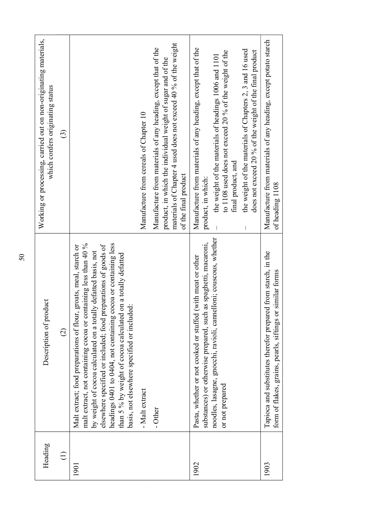| Heading     | Description of product                                                                                                                                                                                                                                                                                                                                                                                                                                    | Working or processing, carried out on non-originating materials,<br>which confers originating status                                                                                                                                                                                                                                                |
|-------------|-----------------------------------------------------------------------------------------------------------------------------------------------------------------------------------------------------------------------------------------------------------------------------------------------------------------------------------------------------------------------------------------------------------------------------------------------------------|-----------------------------------------------------------------------------------------------------------------------------------------------------------------------------------------------------------------------------------------------------------------------------------------------------------------------------------------------------|
| $\bigoplus$ | $\widehat{\varpi}$                                                                                                                                                                                                                                                                                                                                                                                                                                        | $\odot$                                                                                                                                                                                                                                                                                                                                             |
|             | headings 0401 to 0404, not containing cocoa or containing less<br>malt extract, not containing cocoa or containing less than 40 %<br>elsewhere specified or included; food preparations of goods of<br>Malt extract; food preparations of flour, groats, meal, starch or<br>by weight of cocoa calculated on a totally defatted basis, not<br>than 5 % by weight of cocoa calculated on a totally defatted<br>basis, not elsewhere specified or included: |                                                                                                                                                                                                                                                                                                                                                     |
|             | - Malt extract                                                                                                                                                                                                                                                                                                                                                                                                                                            | Manufacture from cereals of Chapter 10                                                                                                                                                                                                                                                                                                              |
|             | - Other                                                                                                                                                                                                                                                                                                                                                                                                                                                   | materials of Chapter 4 used does not exceed 40 % of the weight<br>Manufacture from materials of any heading, except that of the<br>product, in which the individual weight of sugar and of the<br>of the final product                                                                                                                              |
|             | noodles, lasagne, gnocchi, ravioli, cannelloni; couscous, whether<br>substances) or otherwise prepared, such as spaghetti, macaroni,<br>Pasta, whether or not cooked or stuffed (with meat or other<br>or not prepared                                                                                                                                                                                                                                    | Manufacture from materials of any heading, except that of the<br>the weight of the materials of Chapters 2, 3 and 16 used<br>to 1108 used does not exceed 20 % of the weight of the<br>does not exceed 20 % of the weight of the final product<br>the weight of the materials of headings 1006 and 1101<br>final product, and<br>product, in which: |
|             | Tapioca and substitutes therefor prepared from starch, in the<br>form of flakes, grains, pearls, siftings or similar forms                                                                                                                                                                                                                                                                                                                                | Manufacture from materials of any heading, except potato starch<br>of heading 1108                                                                                                                                                                                                                                                                  |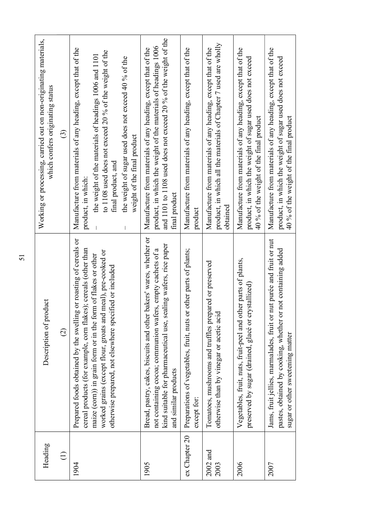| Heading            | Description of product                                                                                                                                                                                                                                                                                                          | Working or processing, carried out on non-originating materials,<br>which confers originating status                                                                                                                                                                                                                |
|--------------------|---------------------------------------------------------------------------------------------------------------------------------------------------------------------------------------------------------------------------------------------------------------------------------------------------------------------------------|---------------------------------------------------------------------------------------------------------------------------------------------------------------------------------------------------------------------------------------------------------------------------------------------------------------------|
| $\bigoplus$        | $\widehat{\Omega}$                                                                                                                                                                                                                                                                                                              | $\widehat{\mathbb{C}}$                                                                                                                                                                                                                                                                                              |
| 1904               | Prepared foods obtained by the swelling or roasting of cereals or<br>cereal products (for example, corn flakes); cereals (other than<br>worked grains (except flour, groats and meal), pre-cooked or<br>maize (com)) in grain form or in the form of flakes or other<br>otherwise prepared, not elsewhere specified or included | Manufacture from materials of any heading, except that of the<br>to 1108 used does not exceed 20 % of the weight of the<br>the weight of the materials of headings 1006 and 1101<br>the weight of sugar used does not exceed 40 % of the<br>weight of the final product<br>final product, and<br>product, in which: |
| 1905               | Bread, pastry, cakes, biscuits and other bakers' wares, whether or<br>kind suitable for pharmaceutical use, sealing wafers, rice paper<br>not containing cocoa; communion wafers, empty cachets of a<br>and similar products                                                                                                    | and 1101 to 1108 used does not exceed 20 % of the weight of the<br>product, in which the weight of the materials of headings 1006<br>Manufacture from materials of any heading, except that of the<br>final product                                                                                                 |
| ex Chapter 20      | other parts of plants;<br>Preparations of vegetables, fruit, nuts or<br>except for:                                                                                                                                                                                                                                             | Manufacture from materials of any heading, except that of the<br>product                                                                                                                                                                                                                                            |
| $2002$ and<br>2003 | Tomatoes, mushrooms and truffles prepared or preserved<br>otherwise than by vinegar or acetic acid                                                                                                                                                                                                                              | product, in which all the materials of Chapter 7 used are wholly<br>Manufacture from materials of any heading, except that of the<br>obtained                                                                                                                                                                       |
| 2006               | Vegetables, fruit, nuts, fruit-peel and other parts of plants,<br>stallized)<br>preserved by sugar (drained, glacé or cry                                                                                                                                                                                                       | Manufacture from materials of any heading, except that of the<br>product, in which the weight of sugar used does not exceed<br>40 % of the weight of the final product                                                                                                                                              |
| 2007               | Jams, fruit jellies, marmalades, fruit or nut purée and fruit or nut<br>not containing added<br>pastes, obtained by cooking, whether or<br>sugar or other sweetening matter                                                                                                                                                     | Manufacture from materials of any heading, except that of the<br>product, in which the weight of sugar used does not exceed<br>40 % of the weight of the final product                                                                                                                                              |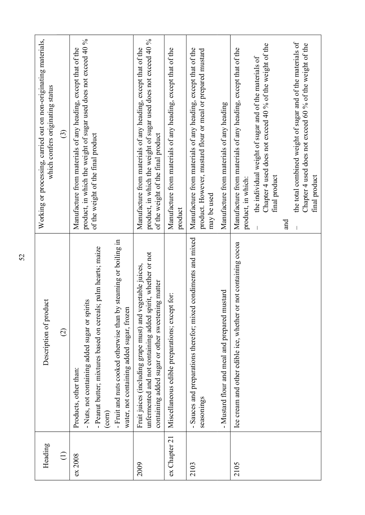| Heading       | Description of product                                                                                                                                                                                                                                              | carried out on non-originating materials,<br>which confers originating status<br>Working or processing,                                                                                                                           |
|---------------|---------------------------------------------------------------------------------------------------------------------------------------------------------------------------------------------------------------------------------------------------------------------|-----------------------------------------------------------------------------------------------------------------------------------------------------------------------------------------------------------------------------------|
| $\bigoplus$   | $\widehat{\vartriangle}$                                                                                                                                                                                                                                            | $\widehat{\mathbb{C}}$                                                                                                                                                                                                            |
| ex 2008       | - Fruit and nuts cooked otherwise than by steaming or boiling in<br>- Peanut butter; mixtures based on cereals; palm hearts; maize<br>- Nuts, not containing added sugar or spirits<br>water, not containing added sugar, frozen<br>Products, other than:<br>(corn) | product, in which the weight of sugar used does not exceed 40 %<br>Manufacture from materials of any heading, except that of the<br>of the weight of the final product                                                            |
| 2009          | unfermented and not containing added spirit, whether or not<br>Fruit juices (including grape must) and vegetable juices,<br>containing added sugar or other sweetening matter                                                                                       | product, in which the weight of sugar used does not exceed 40 %<br>Manufacture from materials of any heading, except that of the<br>of the weight of the final product                                                            |
| ex Chapter 21 | Miscellaneous edible preparations; except for:                                                                                                                                                                                                                      | Manufacture from materials of any heading, except that of the<br>product                                                                                                                                                          |
| 2103          | - Sauces and preparations therefor; mixed condiments and mixed<br>seasonings                                                                                                                                                                                        | Manufacture from materials of any heading, except that of the<br>product. However, mustard flour or meal or prepared mustard<br>may be used                                                                                       |
|               | - Mustard flour and meal and prepared mustard                                                                                                                                                                                                                       | Manufacture from materials of any heading                                                                                                                                                                                         |
| 2105          | Ice cream and other edible ice, whether or not containing cocoa                                                                                                                                                                                                     | Chapter 4 used does not exceed 40 % of the weight of the<br>Manufacture from materials of any heading, except that of the<br>the individual weight of sugar and of the materials of<br>final product<br>product, in which:<br>and |
|               |                                                                                                                                                                                                                                                                     | weight of sugar and of the materials of<br>Chapter 4 used does not exceed 60 % of the weight of the<br>the total combined<br>final product                                                                                        |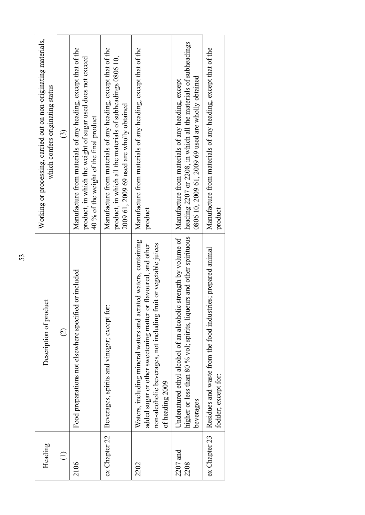| Heading            | Description of product                                                                                                                                                                                                   | Working or processing, carried out on non-originating materials,<br>which confers originating status                                                                            |
|--------------------|--------------------------------------------------------------------------------------------------------------------------------------------------------------------------------------------------------------------------|---------------------------------------------------------------------------------------------------------------------------------------------------------------------------------|
|                    | $\widehat{\Omega}$                                                                                                                                                                                                       | $\odot$                                                                                                                                                                         |
| 2106               | Food preparations not elsewhere specified or included                                                                                                                                                                    | Manufacture from materials of any heading, except that of the<br>the weight of sugar used does not exceed<br>40 % of the weight of the final product<br>product, in which       |
| ex Chapter 22      | Beverages, spirits and vinegar; except for:                                                                                                                                                                              | Manufacture from materials of any heading, except that of the<br>all the materials of subheadings 0806 10,<br>used are wholly obtained<br>product, in which<br>2009 61, 2009 69 |
| 2202               | Waters, including mineral waters and aerated waters, containing<br>non-alcoholic beverages, not including fruit or vegetable juices<br>added sugar or other sweetening matter or flavoured, and other<br>of heading 2009 | Manufacture from materials of any heading, except that of the<br>product                                                                                                        |
| $2207$ and<br>2208 | higher or less than 80 % vol; spirits, liqueurs and other spirituous<br>Undenatured ethyl alcohol of an alcoholic strength by volume of<br>beverages                                                                     | heading 2207 or 2208, in which all the materials of subheadings<br>, 2009 69 used are wholly obtained<br>Manufacture from materials of any heading, except<br>0806 10, 2009 61  |
| ex Chapter 23      | Residues and waste from the food industries; prepared animal<br>fodder; except for:                                                                                                                                      | Manufacture from materials of any heading, except that of the<br>product                                                                                                        |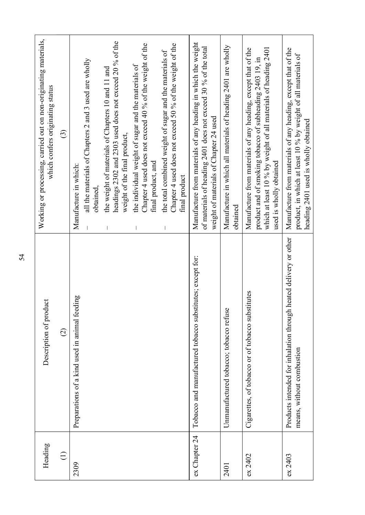| leading<br>$\mathbf{\Xi}$ | Description of product                                                                         | ocessing, carried out on non-originating materials,<br>which confers originating status<br>Working or pr                                                                                                                     |
|---------------------------|------------------------------------------------------------------------------------------------|------------------------------------------------------------------------------------------------------------------------------------------------------------------------------------------------------------------------------|
| $\widehat{\Xi}$           | $\widehat{\infty}$                                                                             | $\odot$                                                                                                                                                                                                                      |
| 2309                      | Preparations of a kind used in animal feeding                                                  | all the materials of Chapters 2 and 3 used are wholly<br>Manufacture in which:<br>obtained                                                                                                                                   |
|                           |                                                                                                | headings 2302 and 2303 used does not exceed 20 % of the<br>the weight of materials of Chapters 10 and 11 and<br>weight of the final product,                                                                                 |
|                           |                                                                                                | Chapter 4 used does not exceed 40 % of the weight of the<br>the individual weight of sugar and the materials of<br>final product, and                                                                                        |
|                           |                                                                                                | 4 used does not exceed 50 % of the weight of the<br>the total combined weight of sugar and the materials of<br>final product<br>Chapter                                                                                      |
| ex Chapter 24             | Tobacco and manufactured tobacco substitutes; except for:                                      | Manufacture from materials of any heading in which the weight<br>of materials of heading 2401 does not exceed 30 % of the total<br>weight of materials of Chapter 24 used                                                    |
| 2401                      | Unmanufactured tobacco; tobacco refuse                                                         | Manufacture in which all materials of heading 2401 are wholly<br>obtained                                                                                                                                                    |
| ex 2402                   | Cigarettes, of tobacco or of tobacco substitutes                                               | which at least 10 % by weight of all materials of heading 2401<br>Manufacture from materials of any heading, except that of the<br>smoking tobacco of subheading 2403 19, in<br>obtained<br>product and of<br>used is wholly |
| ex 2403                   | Products intended for inhalation through heated delivery or other<br>means, without combustion | Manufacture from materials of any heading, except that of the<br>product, in which at least 10 % by weight of all materials of<br>heading 2401 used is wholly obtained                                                       |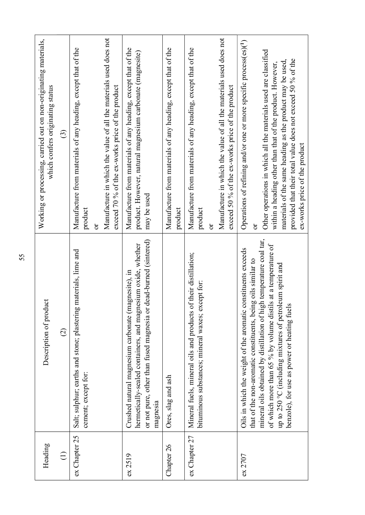| Heading       | Description of product                                                                                                                                                                                                                                                                                                                                                           | Working or processing, carried out on non-originating materials,<br>which confers originating status                                                                                                                                                                                                                                                                   |
|---------------|----------------------------------------------------------------------------------------------------------------------------------------------------------------------------------------------------------------------------------------------------------------------------------------------------------------------------------------------------------------------------------|------------------------------------------------------------------------------------------------------------------------------------------------------------------------------------------------------------------------------------------------------------------------------------------------------------------------------------------------------------------------|
| $\bigoplus$   | $\widehat{\circ}$                                                                                                                                                                                                                                                                                                                                                                | $\odot$                                                                                                                                                                                                                                                                                                                                                                |
| ex Chapter 25 | Salt; sulphur; earths and stone; plastering materials, lime and<br>cement; except for:                                                                                                                                                                                                                                                                                           | Manufacture from materials of any heading, except that of the<br>product<br>ð                                                                                                                                                                                                                                                                                          |
|               |                                                                                                                                                                                                                                                                                                                                                                                  | Manufacture in which the value of all the materials used does not<br>exceed 70 % of the ex-works price of the product                                                                                                                                                                                                                                                  |
| ex 2519       | or not pure, other than fused magnesia or dead-burned (sintered)<br>hermetically-sealed containers, and magnesium oxide, whether<br>Crushed natural magnesium carbonate (magnesite), in<br>magnesia                                                                                                                                                                              | Manufacture from materials of any heading, except that of the<br>product. However, natural magnesium carbonate (magnesite)<br>may be used                                                                                                                                                                                                                              |
| Chapter 26    | Ores, slag and ash                                                                                                                                                                                                                                                                                                                                                               | Manufacture from materials of any heading, except that of the<br>product                                                                                                                                                                                                                                                                                               |
| ex Chapter 27 | Mineral fuels, mineral oils and products of their distillation;<br>bituminous substances; mineral waxes; except for:                                                                                                                                                                                                                                                             | Manufacture in which the value of all the materials used does not<br>Manufacture from materials of any heading, except that of the<br>% of the ex-works price of the product<br>exceed 50<br>product<br>$\sigma$                                                                                                                                                       |
| ex 2707       | mineral oils obtained by distillation of high temperature coal tar,<br>of which more than 65 % by volume distils at a temperature of<br>Oils in which the weight of the aromatic constituents exceeds<br>that of the non-aromatic constituents, being oils similar to<br>up to 250 °C (including mixtures of petroleum spirit and<br>benzole), for use as power or heating fuels | of refining and/or one or more specific process(es)(1)<br>Other operations in which all the materials used are classified<br>provided that their total value does not exceed 50 % of the<br>materials of the same heading as the product may be used,<br>within a heading other than that of the product. However,<br>ex-works price of the product<br>Operations<br>ð |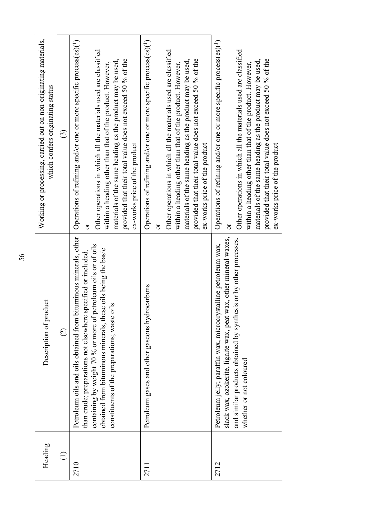|           | 56                                                                                                                                                                                                                                                                                                                   |                                                                                                                                                                                                                                                                                                                                                                               |
|-----------|----------------------------------------------------------------------------------------------------------------------------------------------------------------------------------------------------------------------------------------------------------------------------------------------------------------------|-------------------------------------------------------------------------------------------------------------------------------------------------------------------------------------------------------------------------------------------------------------------------------------------------------------------------------------------------------------------------------|
| Heading   | Description of product                                                                                                                                                                                                                                                                                               | Working or processing, carried out on non-originating materials,<br>which confers originating status                                                                                                                                                                                                                                                                          |
| $\ominus$ | $\widehat{\circ}$                                                                                                                                                                                                                                                                                                    | $\widehat{\mathbb{C}}$                                                                                                                                                                                                                                                                                                                                                        |
| 2710      | Petroleum oils and oils obtained from bituminous minerals, other<br>containing by weight 70 % or more of petroleum oils or of oils<br>obtained from bituminous minerals, these oils being the basic<br>than crude; preparations not elsewhere specified or included,<br>constituents of the preparations; waste oils | of refining and/or one or more specific process(es)(1)<br>Other operations in which all the materials used are classified<br>provided that their total value does not exceed 50 % of the<br>materials of the same heading as the product may be used,<br>within a heading other than that of the product. However,<br>ex-works price of the product<br>Operations<br>ör       |
| 2711      | Petroleum gases and other gaseous hydrocarbons                                                                                                                                                                                                                                                                       | of refining and/or one or more specific process(es)(1)<br>Other operations in which all the materials used are classified<br>provided that their total value does not exceed 50 % of the<br>materials of the same heading as the product may be used,<br>within a heading other than that of the product. However,<br>ex-works price of the product<br>Operations<br>$\sigma$ |
| 2712      | slack wax, ozokerite, lignite wax, peat wax, other mineral waxes,<br>and similar products obtained by synthesis or by other processes,<br>Petroleum jelly; paraffin wax, microcrystalline petroleum wax,<br>whether or not coloured                                                                                  | of refining and/or one or more specific process(es)(1)<br>Other operations in which all the materials used are classified<br>provided that their total value does not exceed 50 % of the<br>materials of the same heading as the product may be used,<br>within a heading other than that of the product. However,<br>ex-works price of the product<br>Operations<br>$\sigma$ |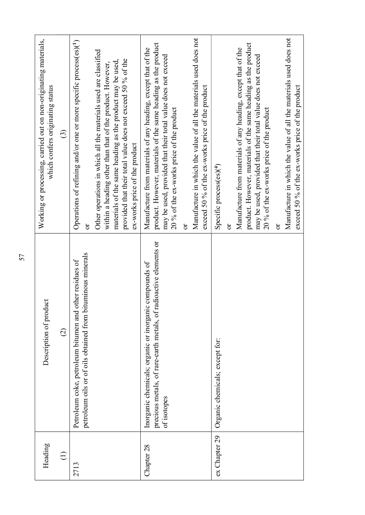| Heading             | Description of product                                                                                                                     | Working or processing, carried out on non-originating materials,<br>which confers originating status                                                                                                                                                                                      |
|---------------------|--------------------------------------------------------------------------------------------------------------------------------------------|-------------------------------------------------------------------------------------------------------------------------------------------------------------------------------------------------------------------------------------------------------------------------------------------|
| $\mathord{\subset}$ | $\widehat{\infty}$                                                                                                                         | $\widehat{\odot}$                                                                                                                                                                                                                                                                         |
| 2713                | petroleum oils or of oils obtained from bituminous minerals<br>Petroleum coke, petroleum bitumen and other residues of                     | Operations of refining and/or one or more specific process(es)(1)<br>ð                                                                                                                                                                                                                    |
|                     |                                                                                                                                            | Other operations in which all the materials used are classified<br>provided that their total value does not exceed 50 % of the<br>materials of the same heading as the product may be used,<br>within a heading other than that of the product. However,<br>ex-works price of the product |
| 28<br>Chapter       | precious metals, of rare-earth metals, of radioactive elements or<br>Inorganic chemicals; organic or inorganic compounds of<br>of isotopes | ; materials of the same heading as the product<br>Manufacture from materials of any heading, except that of the<br>may be used, provided that their total value does not exceed<br>20 % of the ex-works price of the product<br>product. However                                          |
|                     |                                                                                                                                            | Manufacture in which the value of all the materials used does not<br>exceed 50 % of the ex-works price of the product<br>ör                                                                                                                                                               |
| ex Chapter 29       | Organic chemicals; except for:                                                                                                             | Specific process(es)(4)                                                                                                                                                                                                                                                                   |
|                     |                                                                                                                                            | product. However, materials of the same heading as the product<br>Manufacture from materials of any heading, except that of the<br>may be used, provided that their total value does not exceed<br>20 % of the ex-works price of the product<br>$\sigma$                                  |
|                     |                                                                                                                                            | Manufacture in which the value of all the materials used does not<br>exceed 50 % of the ex-works price of the product<br>ör                                                                                                                                                               |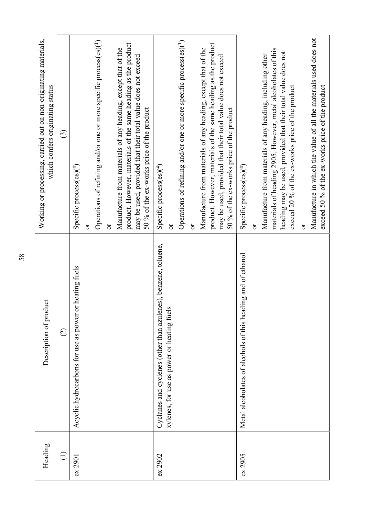| Heading     | Description of product                                         | Working or processing, carried out on non-originating materials,<br>which confers originating status                                                                                                                                             |
|-------------|----------------------------------------------------------------|--------------------------------------------------------------------------------------------------------------------------------------------------------------------------------------------------------------------------------------------------|
| $\bigoplus$ | $\widehat{\varpropto}$                                         | $\widehat{\mathbb{C}}$                                                                                                                                                                                                                           |
| ex 2901     | Acyclic hydrocarbons for use as power or heating fuels         | Specific process(es)(4)                                                                                                                                                                                                                          |
|             |                                                                | Operations of refining and/or one or more specific process(es)(1)<br>ð                                                                                                                                                                           |
|             |                                                                | $\delta$                                                                                                                                                                                                                                         |
|             |                                                                | product. However, materials of the same heading as the product<br>Manufacture from materials of any heading, except that of the<br>may be used, provided that their total value does not exceed<br>50 % of the ex-works price of the product     |
| ex 2902     | Cyclanes and cyclenes (other than azulenes), benzene, toluene, | Specific process(es) <sup>(4)</sup>                                                                                                                                                                                                              |
|             | xylenes, for use as power or heating fuels                     | ð                                                                                                                                                                                                                                                |
|             |                                                                | Operations of refining and/or one or more specific process(es)(1)                                                                                                                                                                                |
|             |                                                                | ð                                                                                                                                                                                                                                                |
|             |                                                                | product. However, materials of the same heading as the product<br>Manufacture from materials of any heading, except that of the<br>may be used, provided that their total value does not exceed<br>50 % of the ex-works price of the product     |
| ex 2905     | Metal alcoholates of alcohols of this heading and of ethanol   | Specific process(es) <sup>(4)</sup>                                                                                                                                                                                                              |
|             |                                                                | ð                                                                                                                                                                                                                                                |
|             |                                                                | materials of heading 2905. However, metal alcoholates of this<br>heading may be used, provided that their total value does not<br>Manufacture from materials of any heading, including other<br>exceed 20 % of the ex-works price of the product |
|             |                                                                | ð                                                                                                                                                                                                                                                |
|             |                                                                | Manufacture in which the value of all the materials used does not<br>exceed 50 % of the ex-works price of the product                                                                                                                            |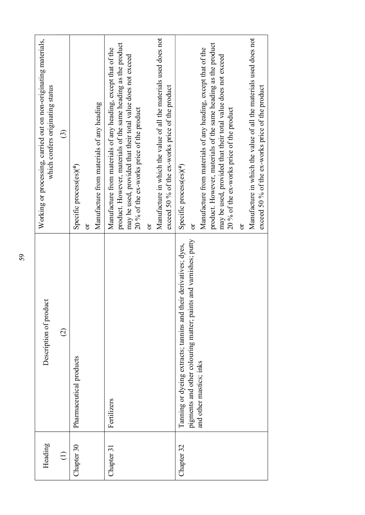| Manufacture in which the value of all the materials used does not<br>Manufacture in which the value of all the materials used does not<br>Working or processing, carried out on non-originating materials,<br>product. However, materials of the same heading as the product<br>product. However, materials of the same heading as the product<br>Manufacture from materials of any heading, except that of the<br>Manufacture from materials of any heading, except that of the<br>may be used, provided that their total value does not exceed<br>may be used, provided that their total value does not exceed<br>exceed 50 % of the ex-works price of the product<br>which confers originating status<br>Manufacture from materials of any heading<br>20 % of the ex-works price of the product<br>20 % of the ex-works price of the product<br>$\odot$<br>Specific process(es)(4)<br>Specific process(es) <sup>(4)</sup><br>ör<br>ör<br>ð<br>ð<br>pigments and other colouring matter; paints and varnishes; putty<br>their derivatives; dyes,<br>Description of product<br>Tanning or dyeing extracts; tannins and a<br>$\widehat{\Omega}$<br>Pharmaceutical products<br>and other mastics; inks<br>Fertilizers<br>Heading<br>Chapter 30<br>Chapter 32<br>Chapter 31<br>$\bigoplus$ |
|------------------------------------------------------------------------------------------------------------------------------------------------------------------------------------------------------------------------------------------------------------------------------------------------------------------------------------------------------------------------------------------------------------------------------------------------------------------------------------------------------------------------------------------------------------------------------------------------------------------------------------------------------------------------------------------------------------------------------------------------------------------------------------------------------------------------------------------------------------------------------------------------------------------------------------------------------------------------------------------------------------------------------------------------------------------------------------------------------------------------------------------------------------------------------------------------------------------------------------------------------------------------------------------|
|                                                                                                                                                                                                                                                                                                                                                                                                                                                                                                                                                                                                                                                                                                                                                                                                                                                                                                                                                                                                                                                                                                                                                                                                                                                                                          |
|                                                                                                                                                                                                                                                                                                                                                                                                                                                                                                                                                                                                                                                                                                                                                                                                                                                                                                                                                                                                                                                                                                                                                                                                                                                                                          |
|                                                                                                                                                                                                                                                                                                                                                                                                                                                                                                                                                                                                                                                                                                                                                                                                                                                                                                                                                                                                                                                                                                                                                                                                                                                                                          |
|                                                                                                                                                                                                                                                                                                                                                                                                                                                                                                                                                                                                                                                                                                                                                                                                                                                                                                                                                                                                                                                                                                                                                                                                                                                                                          |
|                                                                                                                                                                                                                                                                                                                                                                                                                                                                                                                                                                                                                                                                                                                                                                                                                                                                                                                                                                                                                                                                                                                                                                                                                                                                                          |
|                                                                                                                                                                                                                                                                                                                                                                                                                                                                                                                                                                                                                                                                                                                                                                                                                                                                                                                                                                                                                                                                                                                                                                                                                                                                                          |
|                                                                                                                                                                                                                                                                                                                                                                                                                                                                                                                                                                                                                                                                                                                                                                                                                                                                                                                                                                                                                                                                                                                                                                                                                                                                                          |
|                                                                                                                                                                                                                                                                                                                                                                                                                                                                                                                                                                                                                                                                                                                                                                                                                                                                                                                                                                                                                                                                                                                                                                                                                                                                                          |
|                                                                                                                                                                                                                                                                                                                                                                                                                                                                                                                                                                                                                                                                                                                                                                                                                                                                                                                                                                                                                                                                                                                                                                                                                                                                                          |
| exceed 50 % of the ex-works price of the product                                                                                                                                                                                                                                                                                                                                                                                                                                                                                                                                                                                                                                                                                                                                                                                                                                                                                                                                                                                                                                                                                                                                                                                                                                         |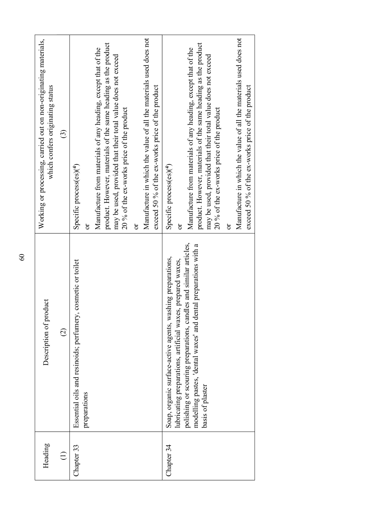| Heading     | Description of product                                                                                                                                                                                                                                                                | Working or processing, carried out on non-originating materials,<br>which confers originating status                                                                                                                                                                                     |
|-------------|---------------------------------------------------------------------------------------------------------------------------------------------------------------------------------------------------------------------------------------------------------------------------------------|------------------------------------------------------------------------------------------------------------------------------------------------------------------------------------------------------------------------------------------------------------------------------------------|
| $\bigoplus$ | $\widehat{\circ}$                                                                                                                                                                                                                                                                     | $\odot$                                                                                                                                                                                                                                                                                  |
| Chapter 33  | Essential oils and resinoids; perfumery, cosmetic or toilet<br>preparations                                                                                                                                                                                                           | Specific process(es)(4)<br>ð                                                                                                                                                                                                                                                             |
|             |                                                                                                                                                                                                                                                                                       | product. However, materials of the same heading as the product<br>Manufacture from materials of any heading, except that of the<br>may be used, provided that their total value does not exceed<br>20 % of the ex-works price of the product                                             |
|             |                                                                                                                                                                                                                                                                                       | Manufacture in which the value of all the materials used does not<br>exceed 50 % of the ex-works price of the product<br>$\sigma$                                                                                                                                                        |
| Chapter 34  | polishing or scouring preparations, candles and similar articles,<br>modelling pastes, 'dental waxes' and dental preparations with a<br>Soap, organic surface-active agents, washing preparations,<br>lubricating preparations, artificial waxes, prepared waxes,<br>basis of plaster | product. However, materials of the same heading as the product<br>Manufacture from materials of any heading, except that of the<br>may be used, provided that their total value does not exceed<br>20 % of the ex-works price of the product<br>Specific process(es) <sup>(4)</sup><br>ð |
|             |                                                                                                                                                                                                                                                                                       | Manufacture in which the value of all the materials used does not<br>exceed 50 % of the ex-works price of the product<br>ð                                                                                                                                                               |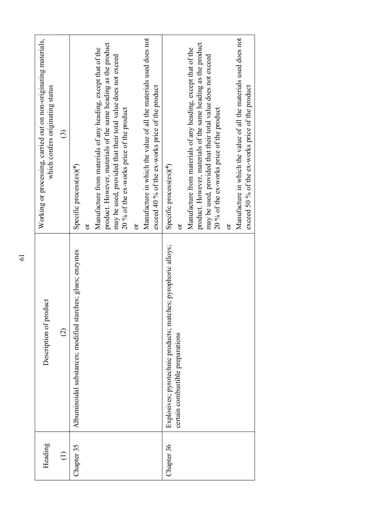| Heading                    | Description of product                                                                            | Working or processing, carried out on non-originating materials,<br>which confers originating status                                                                                                                                            |
|----------------------------|---------------------------------------------------------------------------------------------------|-------------------------------------------------------------------------------------------------------------------------------------------------------------------------------------------------------------------------------------------------|
| $\bigoplus$                | $\widehat{c}$                                                                                     | $\odot$                                                                                                                                                                                                                                         |
| 35<br>Chapter <sup>:</sup> | Albuminoidal substances; modified starches; glues; enzymes                                        | Specific process(es)(4)                                                                                                                                                                                                                         |
|                            |                                                                                                   | product. However, materials of the same heading as the product<br>materials of any heading, except that of the<br>may be used, provided that their total value does not exceed<br>Manufacture from<br>$\sigma$                                  |
|                            |                                                                                                   | 20 % of the ex-works price of the product<br>$\sigma$                                                                                                                                                                                           |
|                            |                                                                                                   | Manufacture in which the value of all the materials used does not<br>exceed 40 % of the ex-works price of the product                                                                                                                           |
| 36<br>Chapter              | Explosives; pyrotechnic products; matches; pyrophoric alloys;<br>certain combustible preparations | Specific process(es)(4)<br>$\sigma$                                                                                                                                                                                                             |
|                            |                                                                                                   | product. However, materials of the same heading as the product<br>materials of any heading, except that of the<br>may be used, provided that their total value does not exceed<br>20 % of the ex-works price of the product<br>Manufacture from |
|                            |                                                                                                   | $\sigma$                                                                                                                                                                                                                                        |
|                            |                                                                                                   | Manufacture in which the value of all the materials used does not<br>exceed 50 % of the ex-works price of the product                                                                                                                           |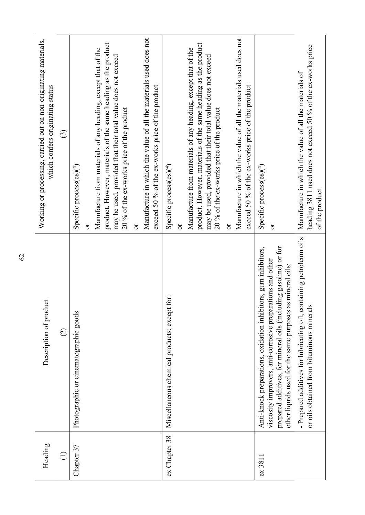| Heading       | Description of product                                                                                                                                                                                                                                        | Working or processing, carried out on non-originating materials,<br>which confers originating status                                                                                                                                                                                                                                                                                                                                 |
|---------------|---------------------------------------------------------------------------------------------------------------------------------------------------------------------------------------------------------------------------------------------------------------|--------------------------------------------------------------------------------------------------------------------------------------------------------------------------------------------------------------------------------------------------------------------------------------------------------------------------------------------------------------------------------------------------------------------------------------|
| $\bigoplus$   | $\widehat{\infty}$                                                                                                                                                                                                                                            | $\odot$                                                                                                                                                                                                                                                                                                                                                                                                                              |
| Chapter 37    | Photographic or cinematographic goods                                                                                                                                                                                                                         | Manufacture in which the value of all the materials used does not<br>product. However, materials of the same heading as the product<br>Manufacture from materials of any heading, except that of the<br>may be used, provided that their total value does not exceed<br>exceed 50 % of the ex-works price of the product<br>20 % of the ex-works price of the product<br>Specific process(es)(4)<br>$\overline{5}$<br>$\overline{5}$ |
| ex Chapter 38 | Miscellaneous chemical products; except for:                                                                                                                                                                                                                  | Manufacture in which the value of all the materials used does not<br>product. However, materials of the same heading as the product<br>Manufacture from materials of any heading, except that of the<br>may be used, provided that their total value does not exceed<br>exceed 50 % of the ex-works price of the product<br>20 % of the ex-works price of the product<br>Specific process(es)(4)<br>$\overline{\sigma}$<br>ð         |
| $ex$ 3811     | prepared additives, for mineral oils (including gasoline) or for<br>Anti-knock preparations, oxidation inhibitors, gum inhibitors,<br>viscosity improvers, anti-corrosive preparations and other<br>other liquids used for the same purposes as mineral oils: | Specific process(es)(4)<br>$\overline{\sigma}$                                                                                                                                                                                                                                                                                                                                                                                       |
|               | - Prepared additives for lubricating oil, containing petroleum oils<br>or oils obtained from bituminous minerals                                                                                                                                              | heading 3811 used does not exceed 50 % of the ex-works price<br>Manufacture in which the value of all the materials of<br>of the product                                                                                                                                                                                                                                                                                             |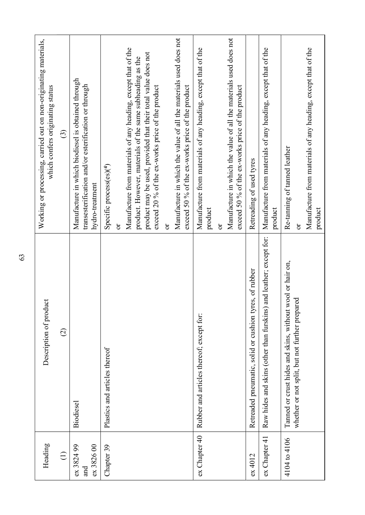| Heading                         | Description of product                                                                                         | Working or processing, carried out on non-originating materials,<br>which confers originating status                                                                                                                                                                                                                                                                                                          |
|---------------------------------|----------------------------------------------------------------------------------------------------------------|---------------------------------------------------------------------------------------------------------------------------------------------------------------------------------------------------------------------------------------------------------------------------------------------------------------------------------------------------------------------------------------------------------------|
| $\bigoplus$                     | $\odot$                                                                                                        | $\circ$                                                                                                                                                                                                                                                                                                                                                                                                       |
| ex 3824 99<br>ex 3826 00<br>and | Biodiesel                                                                                                      | Manufacture in which biodiesel is obtained through<br>transesterification and/or esterification or through<br>hydro-treatment                                                                                                                                                                                                                                                                                 |
| Chapter 39                      | Plastics and articles thereof                                                                                  | Manufacture in which the value of all the materials used does not<br>Manufacture from materials of any heading, except that of the<br>product may be used, provided that their total value does not<br>product. However, materials of the same subheading as the<br>exceed 20 % of the ex-works price of the product<br>exceed 50 % of the ex-works price of the product<br>Specific process(es)(4)<br>ð<br>ö |
| ex Chapter 40                   | Rubber and articles thereof; except for:                                                                       | Manufacture in which the value of all the materials used does not<br>Manufacture from materials of any heading, except that of the<br>exceed 50 % of the ex-works price of the product<br>product<br>ð                                                                                                                                                                                                        |
| ex 4012                         | Retreaded pneumatic, solid or cushion tyres, of rubber                                                         | Retreading of used tyres                                                                                                                                                                                                                                                                                                                                                                                      |
| ex Chapter 41                   | Raw hides and skins (other than furskins) and leather; except for:                                             | Manufacture from materials of any heading, except that of the<br>product                                                                                                                                                                                                                                                                                                                                      |
| 4104 to 4106                    | wool or hair on,<br>whether or not split, but not further prepared<br>Tanned or crust hides and skins, without | Manufacture from materials of any heading, except that of the<br>Re-tanning of tanned leather<br>product<br>ð                                                                                                                                                                                                                                                                                                 |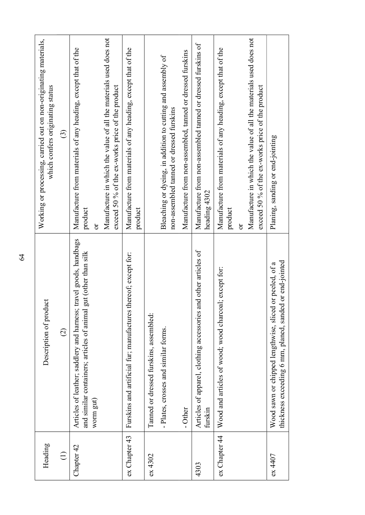| Heading       | Description of product                                                                                                                                 | Working or processing, carried out on non-originating materials,<br>which confers originating status                  |
|---------------|--------------------------------------------------------------------------------------------------------------------------------------------------------|-----------------------------------------------------------------------------------------------------------------------|
| $\bigodot$    | $\widehat{\varpropto}$                                                                                                                                 | $\odot$                                                                                                               |
| Chapter 42    | travel goods, handbags<br>gut (other than silk<br>Articles of leather; saddlery and hamess;<br>and similar containers; articles of animal<br>worm gut) | Manufacture from materials of any heading, except that of the<br>product<br>ð                                         |
|               |                                                                                                                                                        | Manufacture in which the value of all the materials used does not<br>exceed 50 % of the ex-works price of the product |
| ex Chapter 43 | thereof; except for:<br>Furskins and artificial fur; manufactures                                                                                      | Manufacture from materials of any heading, except that of the<br>product                                              |
| ex 4302       | Tanned or dressed furskins, assembled:                                                                                                                 |                                                                                                                       |
|               | - Plates, crosses and similar forms.                                                                                                                   | Bleaching or dyeing, in addition to cutting and assembly of<br>non-assembled tanned or dressed furskins               |
|               | - Other                                                                                                                                                | Manufacture from non-assembled, tanned or dressed furskins                                                            |
| 4303          | and other articles of<br>Articles of apparel, clothing accessories<br>furskin                                                                          | Manufacture from non-assembled tanned or dressed furskins of<br>heading 4302                                          |
| ex Chapter 44 | Wood and articles of wood; wood charcoal; except for:                                                                                                  | Manufacture from materials of any heading, except that of the<br>product<br>ð                                         |
|               |                                                                                                                                                        | Manufacture in which the value of all the materials used does not<br>exceed 50 % of the ex-works price of the product |
| ех 4407       | thickness exceeding 6 mm, planed, sanded or end-jointed<br>Wood sawn or chipped lengthwise, sliced or peeled, of a                                     | Planing, sanding or end-jointing                                                                                      |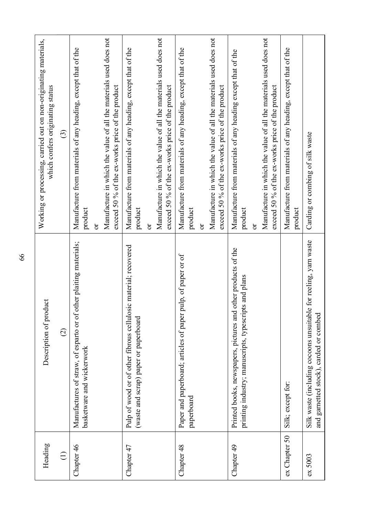| Heading               | Description of product                                                                                                 | Working or processing, carried out on non-originating materials,<br>which confers originating status                                                      |
|-----------------------|------------------------------------------------------------------------------------------------------------------------|-----------------------------------------------------------------------------------------------------------------------------------------------------------|
| $\bigoplus$           | $\widehat{\varphi}$                                                                                                    | $\odot$                                                                                                                                                   |
| $\circ$<br>Chapter 4  | Manufactures of straw, of esparto or of other plaiting materials;<br>basketware and wickerwork                         | Manufacture in which the value of all the materials used does not<br>Manufacture from materials of any heading, except that of the<br>product<br>$\delta$ |
| Chapter 4             | Pulp of wood or of other fibrous cellulosic material; recovered                                                        | Manufacture from materials of any heading, except that of the<br>exceed 50 % of the ex-works price of the product                                         |
|                       | (waste and scrap) paper or paperboard                                                                                  | product<br>$\sigma$                                                                                                                                       |
|                       |                                                                                                                        | Manufacture in which the value of all the materials used does not<br>exceed 50 % of the ex-works price of the product                                     |
| $\infty$<br>Chapter 4 | Paper and paperboard; articles of paper pulp, of paper or of<br>paperboard                                             | Manufacture from materials of any heading, except that of the<br>product<br>$\delta$                                                                      |
|                       |                                                                                                                        | Manufacture in which the value of all the materials used does not<br>exceed 50 % of the ex-works price of the product                                     |
| Ó<br>Chapter 4        | Printed books, newspapers, pictures and other products of the<br>printing industry; manuscripts, typescripts and plans | Manufacture from materials of any heading except that of the<br>product<br>$\sigma$                                                                       |
|                       |                                                                                                                        | Manufacture in which the value of all the materials used does not<br>exceed 50 % of the ex-works price of the product                                     |
| ex Chapter 50         | Silk; except for:                                                                                                      | Manufacture from materials of any heading, except that of the<br>product                                                                                  |
| ex 5003               | Silk waste (including cocoons unsuitable for reeling, yarn waste<br>and garnetted stock), carded or combed             | Carding or combing of silk waste                                                                                                                          |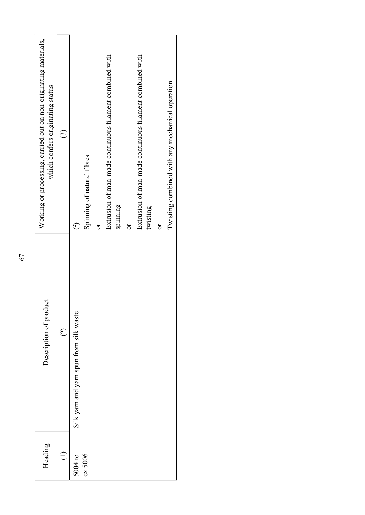|    | Working or processing, carried out on non-originating materials,<br>which confers originating status | $\odot$           | Spinning of natural fibres<br>$\bigodot$ | $\sigma$ | Extrusion of man-made continuous filament combined with | spinning | $\sigma$ | Extrusion of man-made continuous filament combined with<br>twisting | ör | Twisting combined with any mechanical operation |
|----|------------------------------------------------------------------------------------------------------|-------------------|------------------------------------------|----------|---------------------------------------------------------|----------|----------|---------------------------------------------------------------------|----|-------------------------------------------------|
| 67 |                                                                                                      |                   |                                          |          |                                                         |          |          |                                                                     |    |                                                 |
|    | Description of product                                                                               | $\widehat{\odot}$ | Silk yarn and yarn spun from silk waste  |          |                                                         |          |          |                                                                     |    |                                                 |
|    | Heading                                                                                              | $\ominus$         | ех 5006<br>5004 to                       |          |                                                         |          |          |                                                                     |    |                                                 |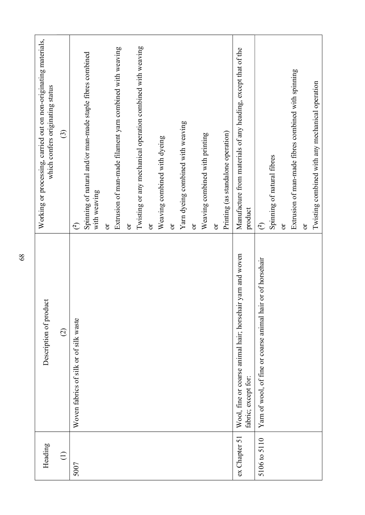| Heading       | Description of product                                                            | Working or processing, carried out on non-originating materials,<br>which confers originating status |
|---------------|-----------------------------------------------------------------------------------|------------------------------------------------------------------------------------------------------|
| $\bigoplus$   | $\odot$                                                                           | $\odot$                                                                                              |
| 5007          | Woven fabrics of silk or of silk waste                                            | $\widehat{c}$                                                                                        |
|               |                                                                                   | Spinning of natural and/or man-made staple fibres combined<br>with weaving                           |
|               |                                                                                   | ör                                                                                                   |
|               |                                                                                   | Extrusion of man-made filament yarn combined with weaving                                            |
|               |                                                                                   | ör                                                                                                   |
|               |                                                                                   | Twisting or any mechanical operation combined with weaving                                           |
|               |                                                                                   | ð                                                                                                    |
|               |                                                                                   | Weaving combined with dyeing                                                                         |
|               |                                                                                   | $\sigma$                                                                                             |
|               |                                                                                   | Yarn dyeing combined with weaving                                                                    |
|               |                                                                                   | ð                                                                                                    |
|               |                                                                                   | Weaving combined with printing                                                                       |
|               |                                                                                   | $\sigma$                                                                                             |
|               |                                                                                   | Printing (as standalone operation)                                                                   |
| ex Chapter 51 | Wool, fine or coarse animal hair; horsehair yarn and woven<br>fabric; except for: | Manufacture from materials of any heading, except that of the<br>product                             |
| 5106 to 5110  | Yarn of wool, of fine or coarse animal hair or of horsehair                       | $\widetilde{C}$                                                                                      |
|               |                                                                                   | Spinning of natural fibres                                                                           |
|               |                                                                                   | $\mathfrak{b}$                                                                                       |
|               |                                                                                   | Extrusion of man-made fibres combined with spinning                                                  |
|               |                                                                                   | ð                                                                                                    |
|               |                                                                                   | Twisting combined with any mechanical operation                                                      |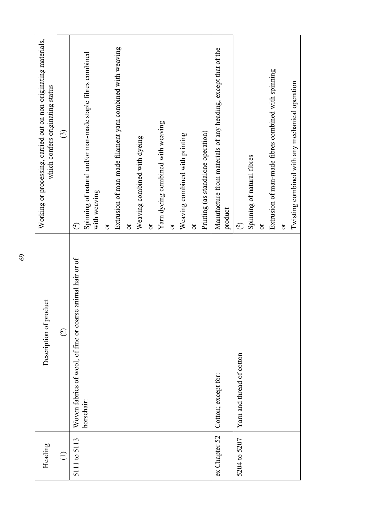| Heading       | Description of product                                                      | Working or processing, carried out on non-originating materials,<br>which confers originating status |
|---------------|-----------------------------------------------------------------------------|------------------------------------------------------------------------------------------------------|
| $\bigoplus$   | $\widehat{c}$                                                               | $\odot$                                                                                              |
| 5111 to 5113  | animal hair or of<br>Woven fabrics of wool, of fine or coarse<br>horsehair: | Spinning of natural and/or man-made staple fibres combined<br>with weaving<br>$\bigodot$             |
|               |                                                                             | ð                                                                                                    |
|               |                                                                             | Extrusion of man-made filament yarn combined with weaving                                            |
|               |                                                                             | ð                                                                                                    |
|               |                                                                             | Weaving combined with dyeing<br>$\sigma$                                                             |
|               |                                                                             | Yarn dyeing combined with weaving                                                                    |
|               |                                                                             | $\sigma$                                                                                             |
|               |                                                                             | Weaving combined with printing                                                                       |
|               |                                                                             | ör                                                                                                   |
|               |                                                                             | Printing (as standalone operation)                                                                   |
| ex Chapter 52 | Cotton; except for:                                                         | Manufacture from materials of any heading, except that of the                                        |
|               |                                                                             | product                                                                                              |
| 5204 to 5207  | Yarn and thread of cotton                                                   | $\bigodot$                                                                                           |
|               |                                                                             | Spinning of natural fibres                                                                           |
|               |                                                                             | ð                                                                                                    |
|               |                                                                             | Extrusion of man-made fibres combined with spinning                                                  |
|               |                                                                             | $\delta$                                                                                             |
|               |                                                                             | Twisting combined with any mechanical operation                                                      |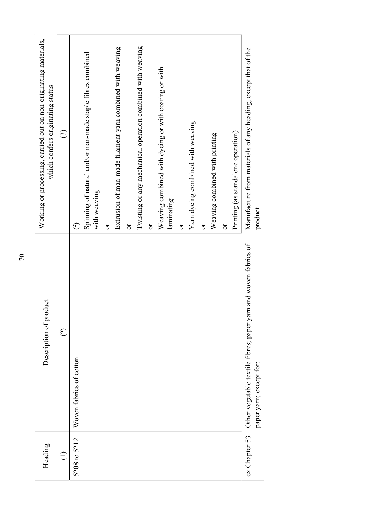| Heading       | Description of product                                                                     | Working or processing, carried out on non-originating materials,<br>which confers originating status |
|---------------|--------------------------------------------------------------------------------------------|------------------------------------------------------------------------------------------------------|
| $\ominus$     | $\odot$                                                                                    | $\odot$                                                                                              |
| 5208 to 5212  | Woven fabrics of cotton                                                                    | Spinning of natural and/or man-made staple fibres combined<br>with weaving<br>$\widetilde{C}$        |
|               |                                                                                            | Extrusion of man-made filament yarn combined with weaving<br>$\overline{\text{C}}$                   |
|               |                                                                                            | ð                                                                                                    |
|               |                                                                                            | Twisting or any mechanical operation combined with weaving<br>ð                                      |
|               |                                                                                            | Weaving combined with dyeing or with coating or with<br>laminating                                   |
|               |                                                                                            | ör                                                                                                   |
|               |                                                                                            | Yarn dyeing combined with weaving<br>ð                                                               |
|               |                                                                                            | Weaving combined with printing                                                                       |
|               |                                                                                            | $\sigma$                                                                                             |
|               |                                                                                            | Printing (as standalone operation)                                                                   |
| ex Chapter 53 | Other vegetable textile fibres; paper yarn and woven fabrics of<br>paper yarn; except for: | Manufacture from materials of any heading, except that of the<br>product                             |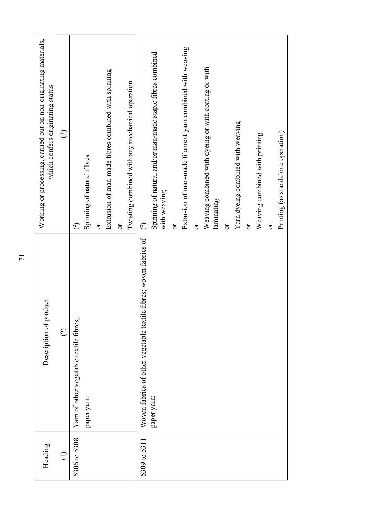|              | 71                                                                   |                                                                                                      |
|--------------|----------------------------------------------------------------------|------------------------------------------------------------------------------------------------------|
| Heading      | luct<br>Description of prod                                          | Working or processing, carried out on non-originating materials,<br>which confers originating status |
| $\bigoplus$  | $\odot$                                                              | $\odot$                                                                                              |
| 5306 to 5308 | Yam of other vegetable textile fibres;                               | $\bigodot$                                                                                           |
|              | paper yarn                                                           | Spinning of natural fibres                                                                           |
|              |                                                                      | ör                                                                                                   |
|              |                                                                      | Extrusion of man-made fibres combined with spinning                                                  |
|              |                                                                      | $\mathfrak{S}% _{C}^{\ast}(\mathbb{R}^{2n})$                                                         |
|              |                                                                      | Twisting combined with any mechanical operation                                                      |
| 5309 to 5311 | fibres; woven fabrics of<br>Woven fabrics of other vegetable textile | $\widehat{c}$                                                                                        |
|              | paper yarn:                                                          | Spinning of natural and/or man-made staple fibres combined<br>with weaving                           |
|              |                                                                      | $\sigma$                                                                                             |
|              |                                                                      | Extrusion of man-made filament yarn combined with weaving                                            |
|              |                                                                      | $\sigma$                                                                                             |
|              |                                                                      | Weaving combined with dyeing or with coating or with<br>laminating                                   |
|              |                                                                      |                                                                                                      |
|              |                                                                      | $\sigma$                                                                                             |
|              |                                                                      | Yarn dyeing combined with weaving                                                                    |
|              |                                                                      | $\sigma$                                                                                             |
|              |                                                                      | Weaving combined with printing                                                                       |
|              |                                                                      | $\sigma$                                                                                             |
|              |                                                                      | Printing (as standalone operation)                                                                   |
|              |                                                                      |                                                                                                      |
|              |                                                                      |                                                                                                      |
|              |                                                                      |                                                                                                      |
|              |                                                                      |                                                                                                      |
|              |                                                                      |                                                                                                      |
|              |                                                                      |                                                                                                      |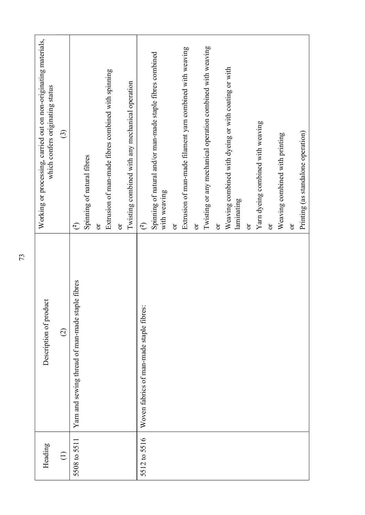| Twisting or any mechanical operation combined with weaving<br>Extrusion of man-made filament yarn combined with weaving<br>Spinning of natural and/or man-made staple fibres combined<br>Weaving combined with dyeing or with coating or with<br>Extrusion of man-made fibres combined with spinning<br>Twisting combined with any mechanical operation<br>Yarn dyeing combined with weaving<br>Printing (as standalone operation)<br>Weaving combined with printing<br>Spinning of natural fibres<br>with weaving<br>laminating<br>$\overline{\text{C}}$<br>$\widehat{c}$<br>$\overline{\text{C}}$<br>$\widehat{c}$<br>ð<br>öľ<br>ð<br>$\sigma$<br>ð<br>ð<br>Yarn and sewing thread of man-made staple fibres<br>Woven fabrics of man-made staple fibres:<br>5512 to 5516<br>5508 to 5511<br>$\bigoplus$ |  | Description of product<br>$\widehat{\infty}$ | Working or processing, carried out on non-originating materials,<br>which confers originating status<br>$\odot$ |
|-----------------------------------------------------------------------------------------------------------------------------------------------------------------------------------------------------------------------------------------------------------------------------------------------------------------------------------------------------------------------------------------------------------------------------------------------------------------------------------------------------------------------------------------------------------------------------------------------------------------------------------------------------------------------------------------------------------------------------------------------------------------------------------------------------------|--|----------------------------------------------|-----------------------------------------------------------------------------------------------------------------|
|                                                                                                                                                                                                                                                                                                                                                                                                                                                                                                                                                                                                                                                                                                                                                                                                           |  |                                              |                                                                                                                 |
|                                                                                                                                                                                                                                                                                                                                                                                                                                                                                                                                                                                                                                                                                                                                                                                                           |  |                                              |                                                                                                                 |
|                                                                                                                                                                                                                                                                                                                                                                                                                                                                                                                                                                                                                                                                                                                                                                                                           |  |                                              |                                                                                                                 |
|                                                                                                                                                                                                                                                                                                                                                                                                                                                                                                                                                                                                                                                                                                                                                                                                           |  |                                              |                                                                                                                 |
|                                                                                                                                                                                                                                                                                                                                                                                                                                                                                                                                                                                                                                                                                                                                                                                                           |  |                                              |                                                                                                                 |
|                                                                                                                                                                                                                                                                                                                                                                                                                                                                                                                                                                                                                                                                                                                                                                                                           |  |                                              |                                                                                                                 |
|                                                                                                                                                                                                                                                                                                                                                                                                                                                                                                                                                                                                                                                                                                                                                                                                           |  |                                              |                                                                                                                 |
|                                                                                                                                                                                                                                                                                                                                                                                                                                                                                                                                                                                                                                                                                                                                                                                                           |  |                                              |                                                                                                                 |
|                                                                                                                                                                                                                                                                                                                                                                                                                                                                                                                                                                                                                                                                                                                                                                                                           |  |                                              |                                                                                                                 |
|                                                                                                                                                                                                                                                                                                                                                                                                                                                                                                                                                                                                                                                                                                                                                                                                           |  |                                              |                                                                                                                 |
|                                                                                                                                                                                                                                                                                                                                                                                                                                                                                                                                                                                                                                                                                                                                                                                                           |  |                                              |                                                                                                                 |
|                                                                                                                                                                                                                                                                                                                                                                                                                                                                                                                                                                                                                                                                                                                                                                                                           |  |                                              |                                                                                                                 |
|                                                                                                                                                                                                                                                                                                                                                                                                                                                                                                                                                                                                                                                                                                                                                                                                           |  |                                              |                                                                                                                 |
|                                                                                                                                                                                                                                                                                                                                                                                                                                                                                                                                                                                                                                                                                                                                                                                                           |  |                                              |                                                                                                                 |
|                                                                                                                                                                                                                                                                                                                                                                                                                                                                                                                                                                                                                                                                                                                                                                                                           |  |                                              |                                                                                                                 |
|                                                                                                                                                                                                                                                                                                                                                                                                                                                                                                                                                                                                                                                                                                                                                                                                           |  |                                              |                                                                                                                 |
|                                                                                                                                                                                                                                                                                                                                                                                                                                                                                                                                                                                                                                                                                                                                                                                                           |  |                                              |                                                                                                                 |
|                                                                                                                                                                                                                                                                                                                                                                                                                                                                                                                                                                                                                                                                                                                                                                                                           |  |                                              |                                                                                                                 |
|                                                                                                                                                                                                                                                                                                                                                                                                                                                                                                                                                                                                                                                                                                                                                                                                           |  |                                              |                                                                                                                 |
|                                                                                                                                                                                                                                                                                                                                                                                                                                                                                                                                                                                                                                                                                                                                                                                                           |  |                                              |                                                                                                                 |
|                                                                                                                                                                                                                                                                                                                                                                                                                                                                                                                                                                                                                                                                                                                                                                                                           |  |                                              |                                                                                                                 |
|                                                                                                                                                                                                                                                                                                                                                                                                                                                                                                                                                                                                                                                                                                                                                                                                           |  |                                              |                                                                                                                 |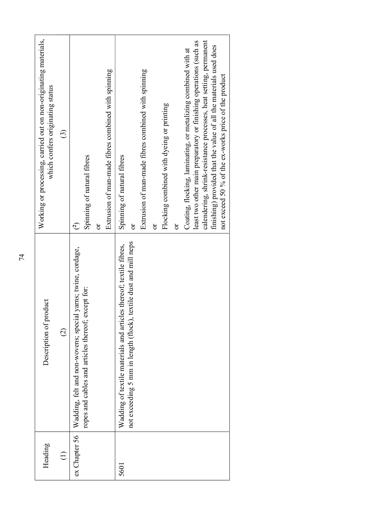| Working or processing, carried out on non-originating materials,<br>calendering, shrink-resistance processes, heat setting, permanent<br>least two other main preparatory or finishing operations (such as<br>finishing) provided that the value of all the materials used does<br>Coating, flocking, laminating, or metalizing combined with at<br>Extrusion of man-made fibres combined with spinning<br>Extrusion of man-made fibres combined with spinning<br>not exceed 50 % of the ex-works price of the product<br>which confers originating status<br>Flocking combined with dyeing or printing<br>ල<br>Spinning of natural fibres<br>Spinning of natural fibres<br>ð<br>$\infty$<br>ð<br>ör<br>ð<br>not exceeding 5 mm in length (flock), textile dust and mill neps<br>Wadding of textile materials and articles thereof; textile fibres,<br>Wadding, felt and non-wovens; special yarns; twine, cordage,<br>ropes and cables and articles thereof; except for:<br>Description of product<br>$\widehat{\odot}$ |
|--------------------------------------------------------------------------------------------------------------------------------------------------------------------------------------------------------------------------------------------------------------------------------------------------------------------------------------------------------------------------------------------------------------------------------------------------------------------------------------------------------------------------------------------------------------------------------------------------------------------------------------------------------------------------------------------------------------------------------------------------------------------------------------------------------------------------------------------------------------------------------------------------------------------------------------------------------------------------------------------------------------------------|
|                                                                                                                                                                                                                                                                                                                                                                                                                                                                                                                                                                                                                                                                                                                                                                                                                                                                                                                                                                                                                          |
|                                                                                                                                                                                                                                                                                                                                                                                                                                                                                                                                                                                                                                                                                                                                                                                                                                                                                                                                                                                                                          |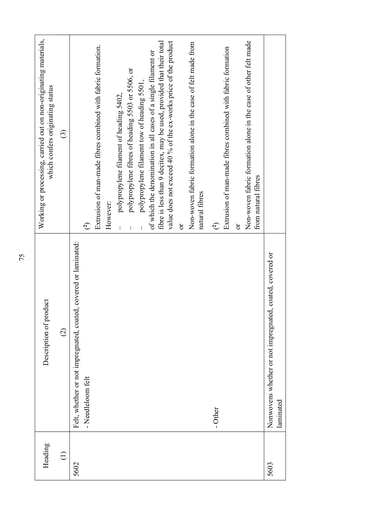| fibre is less than 9 decitex, may be used, provided that their total<br>of which the denomination in all cases of a single filament or<br>polypropylene fibres of heading 5503 or 5506, or<br>polypropylene filament tow of heading 5501,<br>which confers originating status<br>polypropylene filament of heading 5402,<br>$\odot$<br>from natural fibres<br>natural fibres<br>However:<br>$\sigma$<br>$\widehat{c}$<br>$\widetilde{C}$<br>ör<br>covered or laminated:<br>coated, covered or<br>Description of product<br>Felt, whether or not impregnated, coated,<br>Nonwovens whether or not impregnated,<br>$\widehat{\omega}$<br>- Needleloom felt<br>laminated<br>- Other<br>Heading<br>$\bigoplus$<br>5603<br>5602 |  |                                                                  |
|----------------------------------------------------------------------------------------------------------------------------------------------------------------------------------------------------------------------------------------------------------------------------------------------------------------------------------------------------------------------------------------------------------------------------------------------------------------------------------------------------------------------------------------------------------------------------------------------------------------------------------------------------------------------------------------------------------------------------|--|------------------------------------------------------------------|
|                                                                                                                                                                                                                                                                                                                                                                                                                                                                                                                                                                                                                                                                                                                            |  | Working or processing, carried out on non-originating materials, |
|                                                                                                                                                                                                                                                                                                                                                                                                                                                                                                                                                                                                                                                                                                                            |  |                                                                  |
|                                                                                                                                                                                                                                                                                                                                                                                                                                                                                                                                                                                                                                                                                                                            |  |                                                                  |
|                                                                                                                                                                                                                                                                                                                                                                                                                                                                                                                                                                                                                                                                                                                            |  | Extrusion of man-made fibres combined with fabric formation.     |
|                                                                                                                                                                                                                                                                                                                                                                                                                                                                                                                                                                                                                                                                                                                            |  |                                                                  |
|                                                                                                                                                                                                                                                                                                                                                                                                                                                                                                                                                                                                                                                                                                                            |  |                                                                  |
|                                                                                                                                                                                                                                                                                                                                                                                                                                                                                                                                                                                                                                                                                                                            |  |                                                                  |
|                                                                                                                                                                                                                                                                                                                                                                                                                                                                                                                                                                                                                                                                                                                            |  |                                                                  |
|                                                                                                                                                                                                                                                                                                                                                                                                                                                                                                                                                                                                                                                                                                                            |  |                                                                  |
|                                                                                                                                                                                                                                                                                                                                                                                                                                                                                                                                                                                                                                                                                                                            |  | value does not exceed 40 % of the ex-works price of the product  |
|                                                                                                                                                                                                                                                                                                                                                                                                                                                                                                                                                                                                                                                                                                                            |  |                                                                  |
|                                                                                                                                                                                                                                                                                                                                                                                                                                                                                                                                                                                                                                                                                                                            |  | Non-woven fabric formation alone in the case of felt made from   |
|                                                                                                                                                                                                                                                                                                                                                                                                                                                                                                                                                                                                                                                                                                                            |  |                                                                  |
|                                                                                                                                                                                                                                                                                                                                                                                                                                                                                                                                                                                                                                                                                                                            |  | Extrusion of man-made fibres combined with fabric formation      |
|                                                                                                                                                                                                                                                                                                                                                                                                                                                                                                                                                                                                                                                                                                                            |  |                                                                  |
|                                                                                                                                                                                                                                                                                                                                                                                                                                                                                                                                                                                                                                                                                                                            |  | Non-woven fabric formation alone in the case of other felt made  |
|                                                                                                                                                                                                                                                                                                                                                                                                                                                                                                                                                                                                                                                                                                                            |  |                                                                  |
|                                                                                                                                                                                                                                                                                                                                                                                                                                                                                                                                                                                                                                                                                                                            |  |                                                                  |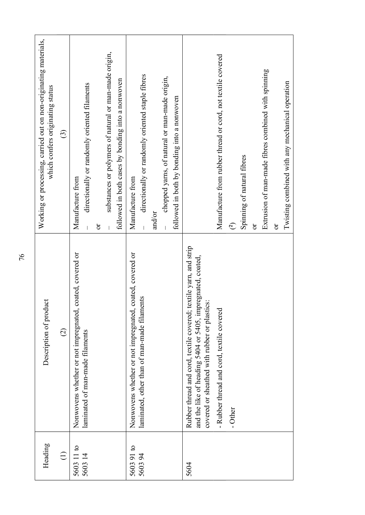| Heading              | Description of product                                                                                                                                                            | Working or processing, carried out on non-originating materials,<br>which confers originating status                            |
|----------------------|-----------------------------------------------------------------------------------------------------------------------------------------------------------------------------------|---------------------------------------------------------------------------------------------------------------------------------|
| $\bigoplus$          | $\widehat{\Omega}$                                                                                                                                                                | $\widehat{c}$                                                                                                                   |
| 5603 11 to<br>560314 | coated, covered or<br>Nonwovens whether or not impregnated,<br>laminated of man-made filaments                                                                                    | directionally or randomly oriented filaments<br>Manufacture from<br>ð                                                           |
|                      |                                                                                                                                                                                   | substances or polymers of natural or man-made origin,<br>followed in both cases by bonding into a nonwoven                      |
| 560391 to<br>560394  | coated, covered or<br>laminated, other than of man-made filaments<br>Nonwovens whether or not impregnated,                                                                        | directionally or randomly oriented staple fibres<br>chopped yarns, of natural or man-made origin,<br>Manufacture from<br>and/or |
|                      |                                                                                                                                                                                   | followed in both by bonding into a nonwoven                                                                                     |
| 5604                 | textile yarn, and strip<br>and the like of heading 5404 or 5405, impregnated, coated,<br>covered or sheathed with rubber or plastics:<br>Rubber thread and cord, textile covered; |                                                                                                                                 |
|                      | - Rubber thread and cord, textile covered                                                                                                                                         | Manufacture from rubber thread or cord, not textile covered                                                                     |
|                      | - Other                                                                                                                                                                           | $\widehat{c}$                                                                                                                   |
|                      |                                                                                                                                                                                   | Spinning of natural fibres                                                                                                      |
|                      |                                                                                                                                                                                   | ð                                                                                                                               |
|                      |                                                                                                                                                                                   | Extrusion of man-made fibres combined with spinning                                                                             |
|                      |                                                                                                                                                                                   | ör                                                                                                                              |
|                      |                                                                                                                                                                                   | Twisting combined with any mechanical operation                                                                                 |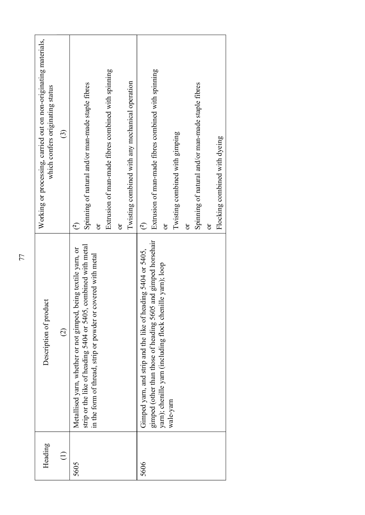|    | Working or processing, carried out on non-originating materials,<br>which confers originating status | $\odot$       | Extrusion of man-made fibres combined with spinning<br>Twisting combined with any mechanical operation<br>Spinning of natural and/or man-made staple fibres<br>$\overline{\sigma}$<br>$\bigodot$<br>$\sigma$ | Extrusion of man-made fibres combined with spinning<br>Spinning of natural and/or man-made staple fibres<br>Twisting combined with gimping<br>Flocking combined with dyeing<br>$\widehat{c}$<br>$\sigma$<br>$\sigma$<br>ð |
|----|------------------------------------------------------------------------------------------------------|---------------|--------------------------------------------------------------------------------------------------------------------------------------------------------------------------------------------------------------|---------------------------------------------------------------------------------------------------------------------------------------------------------------------------------------------------------------------------|
| 77 | luct<br>Description of prod                                                                          | $\widehat{C}$ | , combined with metal<br>being textile yarn, or<br>covered with metal<br>strip or the like of heading 5404 or 5405,<br>in the form of thread, strip or powder or<br>Metallised yarn, whether or not gimped,  | gimped (other than those of heading 5605 and gimped horsehair<br>Gimped yarn, and strip and the like of heading 5404 or 5405,<br>yam); chenille yarn (including flock chenille yarn); loop<br>wale-yarn                   |
|    | Heading                                                                                              | $\bigoplus$   | 5605                                                                                                                                                                                                         | 5606                                                                                                                                                                                                                      |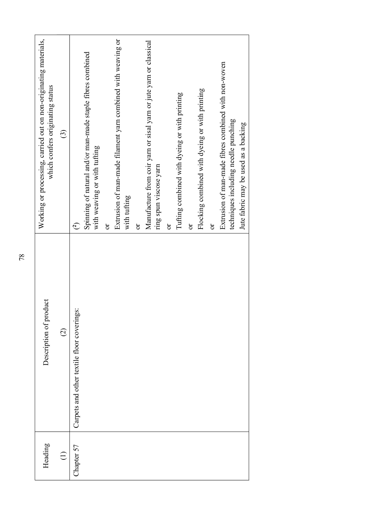| Working or processing, carried out on non-originating materials,<br>which confers originating status<br>$\widehat{\mathbb{G}}$ | $\infty$                                   | Spinning of natural and/or man-made staple fibres combined<br>with weaving or with tufting | $\sigma$ | Extrusion of man-made filament yarn combined with weaving or<br>with tufting | $\sigma$ | Manufacture from coir yarn or sisal yarn or jute yarn or classical | ring spun viscose yarn | $\sigma$ | Tufting combined with dyeing or with printing | $\sigma$ | Flocking combined with dyeing or with printing | $\sigma$ | Extrusion of man-made fibres combined with non-woven<br>techniques including needle punching | Jute fabric may be used as a backing |
|--------------------------------------------------------------------------------------------------------------------------------|--------------------------------------------|--------------------------------------------------------------------------------------------|----------|------------------------------------------------------------------------------|----------|--------------------------------------------------------------------|------------------------|----------|-----------------------------------------------|----------|------------------------------------------------|----------|----------------------------------------------------------------------------------------------|--------------------------------------|
| Description of product<br>$\odot$                                                                                              | Carpets and other textile floor coverings: |                                                                                            |          |                                                                              |          |                                                                    |                        |          |                                               |          |                                                |          |                                                                                              |                                      |
| Heading<br>$\bigoplus$                                                                                                         | Chapter 57                                 |                                                                                            |          |                                                                              |          |                                                                    |                        |          |                                               |          |                                                |          |                                                                                              |                                      |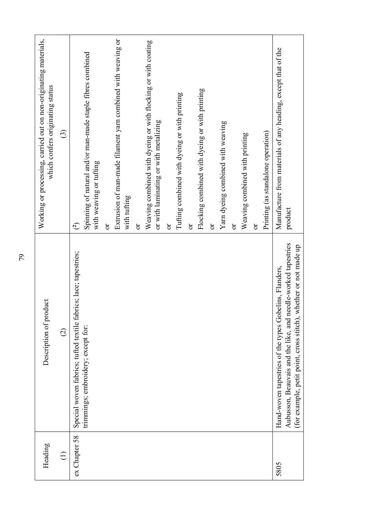| Heading       | Description of product                                                                                                                                                                      | Working or processing, carried out on non-originating materials,<br>which confers originating status               |
|---------------|---------------------------------------------------------------------------------------------------------------------------------------------------------------------------------------------|--------------------------------------------------------------------------------------------------------------------|
| $\ominus$     | $\widehat{\circ}$                                                                                                                                                                           | $\odot$                                                                                                            |
| ex Chapter 58 | cs; lace; tapestries;<br>Special woven fabrics; tufted textile fabri<br>trimmings; embroidery; except for:                                                                                  | Spinning of natural and/or man-made staple fibres combined<br>with weaving or tufting<br>$\bigodot$                |
|               |                                                                                                                                                                                             | Extrusion of man-made filament yarn combined with weaving or<br>with tufting<br>ör                                 |
|               |                                                                                                                                                                                             | Weaving combined with dyeing or with flocking or with coating<br>or with laminating or with metalizing<br>$\sigma$ |
|               |                                                                                                                                                                                             | Tufting combined with dyeing or with printing<br>ð                                                                 |
|               |                                                                                                                                                                                             | Flocking combined with dyeing or with printing<br>$\delta$                                                         |
|               |                                                                                                                                                                                             | Yarn dyeing combined with weaving<br>$\sigma$                                                                      |
|               |                                                                                                                                                                                             | Weaving combined with printing<br>ð                                                                                |
|               |                                                                                                                                                                                             | Printing (as standalone operation)<br>$\sigma$                                                                     |
| 5805          | Aubusson, Beauvais and the like, and needle-worked tapestries<br>(for example, petit point, cross stitch), whether or not made up<br>Hand-woven tapestries of the types Gobelins, Flanders, | Manufacture from materials of any heading, except that of the<br>product                                           |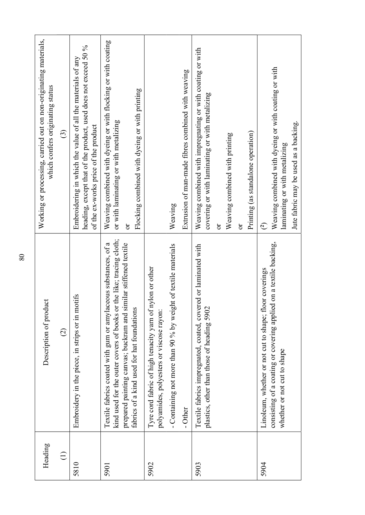| Working or processing, carried out on non-originating materials,<br>Weaving combined with dyeing or with flocking or with coating<br>heading, except that of the product, used does not exceed 50 %<br>Weaving combined with impregnating or with coating or with<br>Embroidering in which the value of all the materials of any<br>Weaving combined with dyeing or with coating or with<br>Extrusion of man-made fibres combined with weaving<br>which confers originating status<br>Flocking combined with dyeing or with printing<br>covering or with laminating or with metalizing<br>or with laminating or with metalizing<br>Jute fabric may be used as a backing.<br>of the ex-works price of the product<br>$\widehat{\mathcal{C}}$<br>Printing (as standalone operation)<br>Weaving combined with printing<br>laminating or with metalizing<br>Weaving<br>$\widehat{\mathbb{C}}$<br>ð<br>ð<br>ð<br>kind used for the outer covers of books or the like; tracing cloth;<br>consisting of a coating or covering applied on a textile backing,<br>prepared painting canvas; buckram and similar stiffened textile<br>Textile fabrics coated with gum or amylaceous substances, of a<br>Textile fabrics impregnated, coated, covered or laminated with<br>- Containing not more than 90 % by weight of textile materials<br>Tyre cord fabric of high tenacity yam of nylon or other<br>Linoleum, whether or not cut to shape; floor coverings<br>Embroidery in the piece, in strips or in motifs<br>luct<br>plastics, other than those of heading 5902<br>fabrics of a kind used for hat foundations<br>Description of prod<br>polyamides, polyesters or viscose rayon:<br>$\widehat{\circ}$<br>whether or not cut to shape<br>- Other<br>Heading<br>$\bigoplus$ |
|-----------------------------------------------------------------------------------------------------------------------------------------------------------------------------------------------------------------------------------------------------------------------------------------------------------------------------------------------------------------------------------------------------------------------------------------------------------------------------------------------------------------------------------------------------------------------------------------------------------------------------------------------------------------------------------------------------------------------------------------------------------------------------------------------------------------------------------------------------------------------------------------------------------------------------------------------------------------------------------------------------------------------------------------------------------------------------------------------------------------------------------------------------------------------------------------------------------------------------------------------------------------------------------------------------------------------------------------------------------------------------------------------------------------------------------------------------------------------------------------------------------------------------------------------------------------------------------------------------------------------------------------------------------------------------------------------------------------------------------------------------------------------|
| 5904<br>5902<br>5903<br>5810<br>5901                                                                                                                                                                                                                                                                                                                                                                                                                                                                                                                                                                                                                                                                                                                                                                                                                                                                                                                                                                                                                                                                                                                                                                                                                                                                                                                                                                                                                                                                                                                                                                                                                                                                                                                                  |
|                                                                                                                                                                                                                                                                                                                                                                                                                                                                                                                                                                                                                                                                                                                                                                                                                                                                                                                                                                                                                                                                                                                                                                                                                                                                                                                                                                                                                                                                                                                                                                                                                                                                                                                                                                       |
|                                                                                                                                                                                                                                                                                                                                                                                                                                                                                                                                                                                                                                                                                                                                                                                                                                                                                                                                                                                                                                                                                                                                                                                                                                                                                                                                                                                                                                                                                                                                                                                                                                                                                                                                                                       |
|                                                                                                                                                                                                                                                                                                                                                                                                                                                                                                                                                                                                                                                                                                                                                                                                                                                                                                                                                                                                                                                                                                                                                                                                                                                                                                                                                                                                                                                                                                                                                                                                                                                                                                                                                                       |
|                                                                                                                                                                                                                                                                                                                                                                                                                                                                                                                                                                                                                                                                                                                                                                                                                                                                                                                                                                                                                                                                                                                                                                                                                                                                                                                                                                                                                                                                                                                                                                                                                                                                                                                                                                       |
|                                                                                                                                                                                                                                                                                                                                                                                                                                                                                                                                                                                                                                                                                                                                                                                                                                                                                                                                                                                                                                                                                                                                                                                                                                                                                                                                                                                                                                                                                                                                                                                                                                                                                                                                                                       |
|                                                                                                                                                                                                                                                                                                                                                                                                                                                                                                                                                                                                                                                                                                                                                                                                                                                                                                                                                                                                                                                                                                                                                                                                                                                                                                                                                                                                                                                                                                                                                                                                                                                                                                                                                                       |
|                                                                                                                                                                                                                                                                                                                                                                                                                                                                                                                                                                                                                                                                                                                                                                                                                                                                                                                                                                                                                                                                                                                                                                                                                                                                                                                                                                                                                                                                                                                                                                                                                                                                                                                                                                       |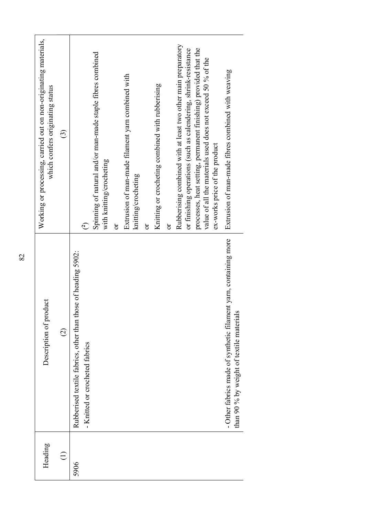| $\otimes$ | Working or processing, carried out on non-originating materials,<br>which confers originating status<br>Description of product | $\odot$<br>$\odot$ | $\widehat{c}$<br>Rubberised textile fabrics, other than those of heading 5902:<br>- Knitted or crocheted fabrics | Spinning of natural and/or man-made staple fibres combined<br>with knitting/crocheting | ð | Extrusion of man-made filament yarn combined with<br>knitting/crocheting | $\delta$ | Knitting or crocheting combined with rubberising | Rubberising combined with at least two other main preparatory<br>$\sigma$ | processes, heat setting, permanent finishing) provided that the<br>or finishing operations (such as calendering, shrink-resistance | value of all the materials used does not exceed 50 % of the<br>ex-works price of the product | Extrusion of man-made fibres combined with weaving<br>- Other fabrics made of synthetic filament yarn, containing more<br>than 90 % by weight of textile materials |
|-----------|--------------------------------------------------------------------------------------------------------------------------------|--------------------|------------------------------------------------------------------------------------------------------------------|----------------------------------------------------------------------------------------|---|--------------------------------------------------------------------------|----------|--------------------------------------------------|---------------------------------------------------------------------------|------------------------------------------------------------------------------------------------------------------------------------|----------------------------------------------------------------------------------------------|--------------------------------------------------------------------------------------------------------------------------------------------------------------------|
|           | Heading                                                                                                                        | $\bigoplus$        | 5906                                                                                                             |                                                                                        |   |                                                                          |          |                                                  |                                                                           |                                                                                                                                    |                                                                                              |                                                                                                                                                                    |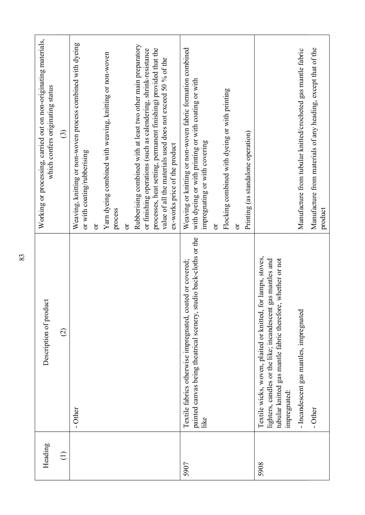| Working or processing, carried out on non-originating materials,<br>Weaving, knitting or non-woven process combined with dyeing<br>which confers originating status<br>$\widehat{c}$<br>or with coating/rubberising<br>Description of product<br>$\widehat{\infty}$<br>- Other<br>Heading<br>$\bigoplus$ |                                                              |
|----------------------------------------------------------------------------------------------------------------------------------------------------------------------------------------------------------------------------------------------------------------------------------------------------------|--------------------------------------------------------------|
|                                                                                                                                                                                                                                                                                                          |                                                              |
|                                                                                                                                                                                                                                                                                                          |                                                              |
| ð                                                                                                                                                                                                                                                                                                        |                                                              |
| Yarn dyeing combined with weaving, knitting or non-woven<br>process<br>ð                                                                                                                                                                                                                                 |                                                              |
| Rubberising combined with at least two other main preparatory<br>processes, heat setting, permanent finishing) provided that the<br>or finishing operations (such as calendering, shrink-resistance<br>value of all the materials used does not exceed 50 % of the<br>ex-works price of the product      |                                                              |
| Weaving or knitting or non-woven fabric formation combined<br>with dyeing or with printing or with coating or with<br>impregnating or with covering<br>painted canvas being theatrical scenery, studio back-cloths or the<br>Textile fabrics otherwise impregnated, coated or covered;<br>like<br>5907   |                                                              |
| Flocking combined with dyeing or with printing<br><b>b</b><br>$\overleftarrow{\textbf{C}}$                                                                                                                                                                                                               |                                                              |
| Printing (as standalone operation)                                                                                                                                                                                                                                                                       |                                                              |
| for lamps, stoves,<br>tubular knitted gas mantle fabric therefore, whether or not<br>lighters, candles or the like; incandescent gas mantles and<br>Textile wicks, woven, plaited or knitted,<br>impregnated:<br>5908                                                                                    |                                                              |
|                                                                                                                                                                                                                                                                                                          |                                                              |
| - Incandescent gas mantles, impregnated                                                                                                                                                                                                                                                                  | Manufacture from tubular knitted/crocheted gas mantle fabric |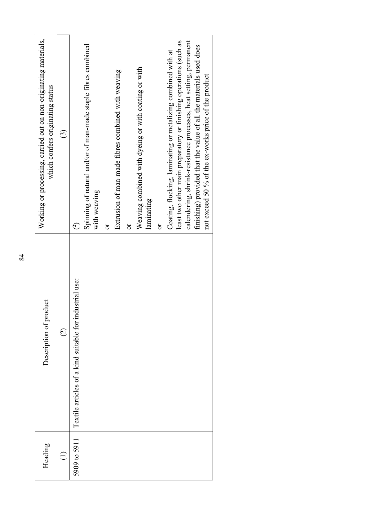|    | Working or processing, carried out on non-originating materials,<br>which confers originating status | $\widehat{\odot}$         | Spinning of natural and/or of man-made staple fibres combined<br>with weaving<br>$\widehat{c}$ | Extrusion of man-made fibres combined with weaving<br>ð | Weaving combined with dyeing or with coating or with<br>laminating<br>ð | calendering, shrink-resistance processes, heat setting, permanent<br>least two other main preparatory or finishing operations (such as<br>finishing) provided that the value of all the materials used does<br>Coating, flocking, laminating or metalizing combined with at<br>mot exceed 50 % of the ex-works price of the product<br>ð |  |
|----|------------------------------------------------------------------------------------------------------|---------------------------|------------------------------------------------------------------------------------------------|---------------------------------------------------------|-------------------------------------------------------------------------|------------------------------------------------------------------------------------------------------------------------------------------------------------------------------------------------------------------------------------------------------------------------------------------------------------------------------------------|--|
| 84 | Description of product<br>Heading                                                                    | $\bigcirc$<br>$\bigoplus$ | Textile articles of a kind suitable for industrial use:<br>5909 to 5911                        |                                                         |                                                                         |                                                                                                                                                                                                                                                                                                                                          |  |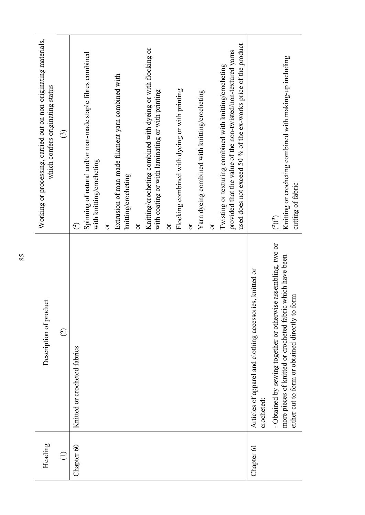| $\odot$<br>Knitted or crocheted fabrics<br>Chapter 60<br>$\bigoplus$                                                      | Working or processing, carried out on non-originating materials,<br>which confers originating status                                                                                       |
|---------------------------------------------------------------------------------------------------------------------------|--------------------------------------------------------------------------------------------------------------------------------------------------------------------------------------------|
|                                                                                                                           | $\odot$                                                                                                                                                                                    |
|                                                                                                                           | $\bigodot$                                                                                                                                                                                 |
|                                                                                                                           | Spinning of natural and/or man-made staple fibres combined<br>with knitting/crocheting                                                                                                     |
| ð                                                                                                                         |                                                                                                                                                                                            |
|                                                                                                                           | Extrusion of man-made filament yarn combined with<br>knitting/crocheting                                                                                                                   |
| ð                                                                                                                         |                                                                                                                                                                                            |
|                                                                                                                           | Knitting/crocheting combined with dyeing or with flocking or<br>with coating or with laminating or with printing                                                                           |
| ð                                                                                                                         |                                                                                                                                                                                            |
|                                                                                                                           | Flocking combined with dyeing or with printing                                                                                                                                             |
| ð                                                                                                                         |                                                                                                                                                                                            |
|                                                                                                                           | Yarn dyeing combined with knitting/crocheting                                                                                                                                              |
| ör                                                                                                                        |                                                                                                                                                                                            |
|                                                                                                                           | used does not exceed 50 % of the ex-works price of the product<br>provided that the value of the non-twisted/non-textured yarns<br>Twisting or texturing combined with knitting/crocheting |
| Articles of apparel and clothing accessories, knitted or<br>crocheted:<br>Chapter 61                                      |                                                                                                                                                                                            |
| $\binom{2}{3}$<br>- Obtained by sewing together or otherwise assembling, two or                                           |                                                                                                                                                                                            |
| Knitting or crocheting combined with making-up including<br>been<br>more pieces of knitted or crocheted fabric which have |                                                                                                                                                                                            |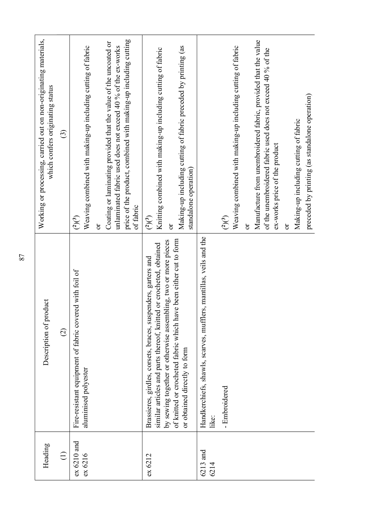| Heading                | Description of product                                                                                                                                                                                | Working or processing, carried out on non-originating materials,<br>which confers originating status                                                                                                             |
|------------------------|-------------------------------------------------------------------------------------------------------------------------------------------------------------------------------------------------------|------------------------------------------------------------------------------------------------------------------------------------------------------------------------------------------------------------------|
| $\bigoplus$            | $\widehat{\varrho}$                                                                                                                                                                                   | ි                                                                                                                                                                                                                |
| ex 6210 and<br>ex 6216 | Fire-resistant equipment of fabric covered with foil of<br>aluminised polyester                                                                                                                       | Weaving combined with making-up including cutting of fabric<br>(2)(3)<br>$\overline{\sigma}$                                                                                                                     |
|                        |                                                                                                                                                                                                       | price of the product, combined with making-up including cutting<br>Coating or laminating provided that the value of the uncoated or<br>unlaminated fabric used does not exceed 40 % of the ex-works<br>of fabric |
| ex 6212                | by sewing together or otherwise assembling, two or more pieces<br>similar articles and parts thereof, knitted or crocheted, obtained<br>Brassieres, girdles, corsets, braces, suspenders, garters and | ined with making-up including cutting of fabric<br>Knitting combi<br>$\binom{2}{3}$                                                                                                                              |
|                        | of knitted or crocheted fabric which have been either cut to form<br>or obtained directly to form                                                                                                     | Making-up including cutting of fabric preceded by printing (as<br>standalone operation)<br>ð                                                                                                                     |
| and<br>6214<br>6213    | Handkerchiefs, shawls, scarves, mufflers, mantillas, veils and the<br>like:                                                                                                                           |                                                                                                                                                                                                                  |
|                        | - Embroidered                                                                                                                                                                                         | (2)(3)                                                                                                                                                                                                           |
|                        |                                                                                                                                                                                                       | Weaving combined with making-up including cutting of fabric<br>ð                                                                                                                                                 |
|                        |                                                                                                                                                                                                       | Manufacture from unembroidered fabric, provided that the value<br>of the unembroidered fabric used does not exceed 40 % of the                                                                                   |
|                        |                                                                                                                                                                                                       | of the product<br>ex-works price<br>$\sigma$                                                                                                                                                                     |
|                        |                                                                                                                                                                                                       | Making-up including cutting of fabric                                                                                                                                                                            |
|                        |                                                                                                                                                                                                       | preceded by printing (as standalone operation)                                                                                                                                                                   |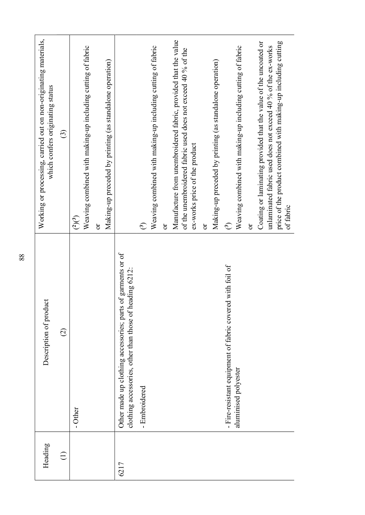| Heading     | Description of product                                                                                                 | Working or processing, carried out on non-originating materials,<br>which confers originating status                                                                                                            |
|-------------|------------------------------------------------------------------------------------------------------------------------|-----------------------------------------------------------------------------------------------------------------------------------------------------------------------------------------------------------------|
| $\bigoplus$ | $\bigcirc$                                                                                                             | $\odot$                                                                                                                                                                                                         |
|             | - Other                                                                                                                | Weaving combined with making-up including cutting of fabric<br>(2)(3)                                                                                                                                           |
|             |                                                                                                                        | Making-up preceded by printing (as standalone operation)<br>$\sigma$                                                                                                                                            |
| 6217        | Other made up clothing accessories; parts of garments or of<br>clothing accessories, other than those of heading 6212: |                                                                                                                                                                                                                 |
|             | - Embroidered                                                                                                          | $\hat{\mathcal{C}}$                                                                                                                                                                                             |
|             |                                                                                                                        | Weaving combined with making-up including cutting of fabric<br>$\sigma$                                                                                                                                         |
|             |                                                                                                                        | Manufacture from unembroidered fabric, provided that the value<br>unembroidered fabric used does not exceed 40 % of the<br>ex-works price of the product<br>of the                                              |
|             |                                                                                                                        | $\sigma$                                                                                                                                                                                                        |
|             |                                                                                                                        | Making-up preceded by printing (as standalone operation)<br>$\hat{\mathcal{C}}$                                                                                                                                 |
|             | - Fire-resistant equipment of fabric covered with foil of<br>aluminised polyester                                      | Weaving combined with making-up including cutting of fabric                                                                                                                                                     |
|             |                                                                                                                        | $\overline{\text{C}}$                                                                                                                                                                                           |
|             |                                                                                                                        | Coating or laminating provided that the value of the uncoated or<br>price of the product combined with making-up including cutting<br>unlaminated fabric used does not exceed 40 % of the ex-works<br>of fabric |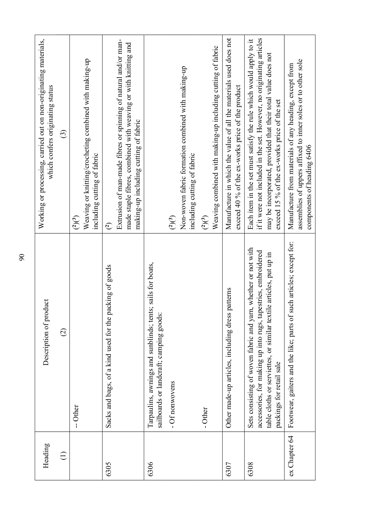| Heading       | Description of product                                                                                                                                                                                                              | Working or processing, carried out on non-originating materials,<br>which confers originating status                                                                                                                                                        |
|---------------|-------------------------------------------------------------------------------------------------------------------------------------------------------------------------------------------------------------------------------------|-------------------------------------------------------------------------------------------------------------------------------------------------------------------------------------------------------------------------------------------------------------|
| $\bigoplus$   | $\widehat{\varpropto}$                                                                                                                                                                                                              | $\odot$                                                                                                                                                                                                                                                     |
|               | - Other                                                                                                                                                                                                                             | Weaving or knitting/crocheting combined with making-up<br>including cutting of fabric<br>$\binom{2}{3}$                                                                                                                                                     |
| 6305          | Sacks and bags, of a kind used for the packing of goods                                                                                                                                                                             | $\in$                                                                                                                                                                                                                                                       |
|               |                                                                                                                                                                                                                                     | Extrusion of man-made fibres or spinning of natural and/or man-<br>made staple fibres, combined with weaving or with knitting and<br>making-up including cutting of fabric                                                                                  |
| 6306          | Tarpaulins, awnings and sunblinds; tents; sails for boats,<br>sailboards or landcraft; camping goods:                                                                                                                               |                                                                                                                                                                                                                                                             |
|               | - Of nonwovens                                                                                                                                                                                                                      | $\binom{2}{3}$                                                                                                                                                                                                                                              |
|               |                                                                                                                                                                                                                                     | Non-woven fabric formation combined with making-up<br>including cutting of fabric                                                                                                                                                                           |
|               | - Other                                                                                                                                                                                                                             | $\binom{2}{3}$                                                                                                                                                                                                                                              |
|               |                                                                                                                                                                                                                                     | Weaving combined with making-up including cutting of fabric                                                                                                                                                                                                 |
| 6307          | Other made-up articles, including dress patterns                                                                                                                                                                                    | Manufacture in which the value of all the materials used does not<br>exceed 40 % of the ex-works price of the product                                                                                                                                       |
| 6308          | not with<br>accessories, for making up into rugs, tapestries, embroidered<br>table cloths or serviettes, or similar textile articles, put up in<br>Sets consisting of woven fabric and yarn, whether or<br>packings for retail sale | if it were not included in the set. However, no originating articles<br>Each item in the set must satisfy the rule which would apply to it<br>may be incorporated, provided that their total value does not<br>exceed 15 % of the ex-works price of the set |
| ex Chapter 64 | except for:<br>Footwear, gaiters and the like; parts of such articles;                                                                                                                                                              | assemblies of uppers affixed to inner soles or to other sole<br>Manufacture from materials of any heading, except from<br>components of heading 6406                                                                                                        |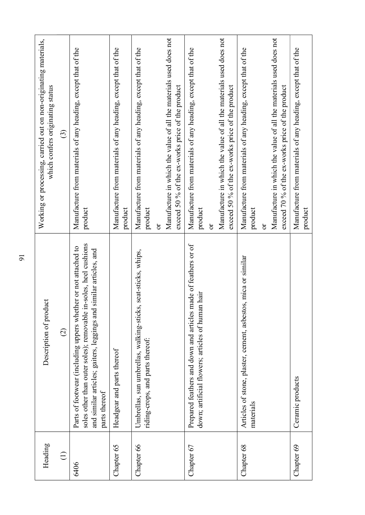| Heading     | Description of product                                                                                                                                                                                                   | Working or processing, carried out on non-originating materials,<br>which confers originating status                                                                                                                                                    |
|-------------|--------------------------------------------------------------------------------------------------------------------------------------------------------------------------------------------------------------------------|---------------------------------------------------------------------------------------------------------------------------------------------------------------------------------------------------------------------------------------------------------|
| $\bigoplus$ | $\widehat{\circ}$                                                                                                                                                                                                        | $\widehat{c}$                                                                                                                                                                                                                                           |
| 6406        | soles other than outer soles); removable in-soles, heel cushions<br>Parts of footwear (including uppers whether or not attached to<br>and similar articles; gaiters, leggings and similar articles, and<br>parts thereof | Manufacture from materials of any heading, except that of the<br>product                                                                                                                                                                                |
| Chapter 65  | Headgear and parts thereof                                                                                                                                                                                               | Manufacture from materials of any heading, except that of the<br>product                                                                                                                                                                                |
| Chapter 66  | Umbrellas, sun umbrellas, walking-sticks, seat-sticks, whips,<br>riding-crops, and parts thereof:                                                                                                                        | Manufacture in which the value of all the materials used does not<br>Manufacture from materials of any heading, except that of the<br>product<br>$\overline{\text{C}}$                                                                                  |
|             |                                                                                                                                                                                                                          | exceed 50 % of the ex-works price of the product                                                                                                                                                                                                        |
| Chapter 67  | Prepared feathers and down and articles made of feathers or of<br>down; artificial flowers; articles of human hair                                                                                                       | Manufacture in which the value of all the materials used does not<br>Manufacture from materials of any heading, except that of the<br>eed 50 % of the ex-works price of the product<br>product<br>exc<br>$\mathfrak{S}% _{C}^{\alpha}(\mathbb{R}^{2n})$ |
| Chapter 68  | Articles of stone, plaster, cement, asbestos, mica or similar                                                                                                                                                            | Manufacture from materials of any heading, except that of the                                                                                                                                                                                           |
|             | materials                                                                                                                                                                                                                | product<br>$\overline{\text{C}}$                                                                                                                                                                                                                        |
|             |                                                                                                                                                                                                                          | Manufacture in which the value of all the materials used does not<br>eed 70 % of the ex-works price of the product<br>exc                                                                                                                               |
| Chapter 69  | Ceramic products                                                                                                                                                                                                         | Manufacture from materials of any heading, except that of the<br>product                                                                                                                                                                                |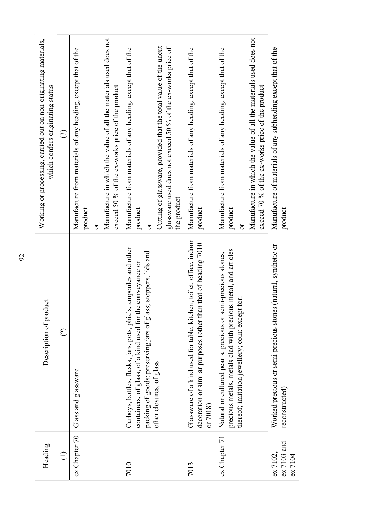| Heading<br>$\bigoplus$               |                                                                                                                                                                                                      |                                                                                                                                                                                                                                  |
|--------------------------------------|------------------------------------------------------------------------------------------------------------------------------------------------------------------------------------------------------|----------------------------------------------------------------------------------------------------------------------------------------------------------------------------------------------------------------------------------|
|                                      | Description of product                                                                                                                                                                               | Working or processing, carried out on non-originating materials,<br>which confers originating status                                                                                                                             |
|                                      | $\widehat{\infty}$                                                                                                                                                                                   | $\odot$                                                                                                                                                                                                                          |
| Glass and glassware<br>ex Chapter 70 |                                                                                                                                                                                                      | Manufacture from materials of any heading, except that of the<br>product<br>ð                                                                                                                                                    |
|                                      |                                                                                                                                                                                                      | Manufacture in which the value of all the materials used does not<br>exceed 50 % of the ex-works price of the product                                                                                                            |
| other closures, of glass<br>7010     | , ampoules and other<br>packing of goods; preserving jars of glass; stoppers, lids and<br>containers, of glass, of a kind used for the conveyance or<br>Carboys, bottles, flasks, jars, pots, phials | Cutting of glassware, provided that the total value of the uncut<br>glassware used does not exceed 50 % of the ex-works price of<br>Manufacture from materials of any heading, except that of the<br>the product<br>product<br>ð |
| or $7018$<br>7013                    | Glassware of a kind used for table, kitchen, toilet, office, indoor<br>decoration or similar purposes (other than that of heading 7010                                                               | Manufacture from materials of any heading, except that of the<br>product                                                                                                                                                         |
| ex Chapter 71                        | is metal, and articles<br>Natural or cultured pearls, precious or semi-precious stones,<br>for:<br>precious metals, metals clad with preciou<br>thereof; imitation jewellery; coin; except           | Manufacture in which the value of all the materials used does not<br>Manufacture from materials of any heading, except that of the<br>exceed 70 % of the ex-works price of the product<br>product<br>ð                           |
| ex 7103 and<br>ex 7102,              | Worked precious or semi-precious stones (natural, synthetic or                                                                                                                                       | Manufacture of materials of any subheading except that of the<br>product                                                                                                                                                         |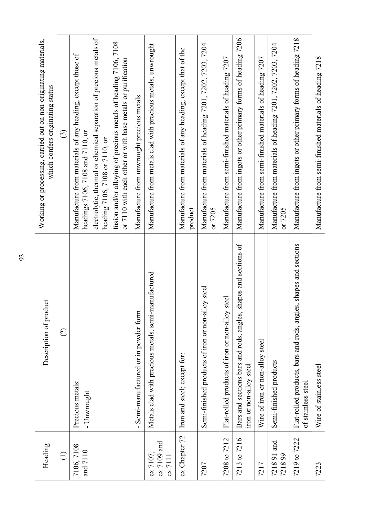| Heading                              | Description of product                                                                     | carried out on non-originating materials,<br>which confers originating status<br>ஞ்<br>Working or processin                                                                                                                                                                                                                                     |
|--------------------------------------|--------------------------------------------------------------------------------------------|-------------------------------------------------------------------------------------------------------------------------------------------------------------------------------------------------------------------------------------------------------------------------------------------------------------------------------------------------|
| $\bigoplus$                          | $\widehat{\varrho}$                                                                        | $\widehat{\odot}$                                                                                                                                                                                                                                                                                                                               |
| 7106, 7108<br>and $7110$             | Precious metals:<br>- Unwrought                                                            | electrolytic, thermal or chemical separation of precious metals of<br>fusion and/or alloying of precious metals of heading 7106, 7108<br>Manufacture from materials of any heading, except those of<br>er or with base metals or purification<br>and 7110, or<br>heading 7106, 7108 or 7110, or<br>or 7110 with each oth<br>headings 7106, 7108 |
|                                      | Semi-manufactured or in powder form                                                        | Manufacture from unwrought precious metals                                                                                                                                                                                                                                                                                                      |
| $ex$ 7109 and<br>ex 7107,<br>ex 7111 | Metals clad with precious metals, semi-manufactured                                        | Manufacture from metals clad with precious metals, unwrought                                                                                                                                                                                                                                                                                    |
| ex Chapter 72                        | Iron and steel; except for:                                                                | Manufacture from materials of any heading, except that of the<br>product                                                                                                                                                                                                                                                                        |
| 7207                                 | Semi-finished products of iron or non-alloy steel                                          | Manufacture from materials of heading 7201, 7202, 7203, 7204<br>or 7205                                                                                                                                                                                                                                                                         |
| 7208 to 7212                         | Flat-rolled products of iron or non-alloy steel                                            | 7207<br>Manufacture from semi-finished materials of heading                                                                                                                                                                                                                                                                                     |
| 7213 to 7216                         | Bars and sections bars and rods, angles, shapes and sections of<br>iron or non-alloy steel | 7206<br>Manufacture from ingots or other primary forms of heading                                                                                                                                                                                                                                                                               |
| 7217                                 | Wire of iron or non-alloy steel                                                            | Manufacture from semi-finished materials of heading 7207                                                                                                                                                                                                                                                                                        |
| 7218 91 and<br>721899                | Semi-finished products                                                                     | Manufacture from materials of heading 7201, 7202, 7203, 7204<br>or 7205                                                                                                                                                                                                                                                                         |
| 7219 to 7222                         | Flat-rolled products, bars and rods, angles, shapes and sections<br>of stainless steel     | 7218<br>ots or other primary forms of heading<br>Manufacture from ing                                                                                                                                                                                                                                                                           |
| 7223                                 | Wire of stainless steel                                                                    | 7218<br>Manufacture from semi-finished materials of heading                                                                                                                                                                                                                                                                                     |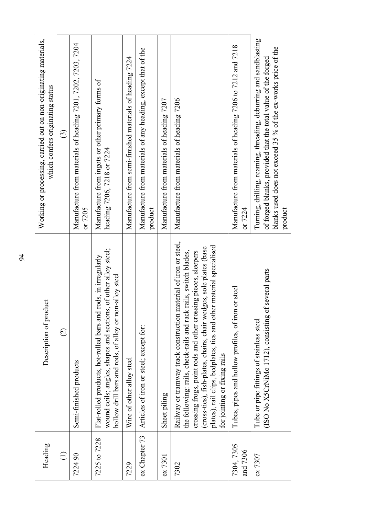| Heading                   | Description of product                                                                                                                                                                                                                                                                                                                                                              | Working or processing, carried out on non-originating materials,<br>which confers originating status                                                                                                               |
|---------------------------|-------------------------------------------------------------------------------------------------------------------------------------------------------------------------------------------------------------------------------------------------------------------------------------------------------------------------------------------------------------------------------------|--------------------------------------------------------------------------------------------------------------------------------------------------------------------------------------------------------------------|
| $\bigoplus$               | $\widehat{\infty}$                                                                                                                                                                                                                                                                                                                                                                  | $\odot$                                                                                                                                                                                                            |
| 90<br>7224                | Semi-finished products                                                                                                                                                                                                                                                                                                                                                              | Manufacture from materials of heading 7201, 7202, 7203, 7204<br>or 7205                                                                                                                                            |
| to 7228<br>7225           | wound coils; angles, shapes and sections, of other alloy steel;<br>Flat-rolled products, hot-rolled bars and rods, in irregularly<br>hollow drill bars and rods, of alloy or non-alloy steel                                                                                                                                                                                        | Manufacture from ingots or other primary forms of<br>heading 7206, 7218 or 7224                                                                                                                                    |
| 7229                      | Wire of other alloy steel                                                                                                                                                                                                                                                                                                                                                           | 7224<br>Manufacture from semi-finished materials of heading                                                                                                                                                        |
| ex Chapter 73             | Articles of iron or steel; except for:                                                                                                                                                                                                                                                                                                                                              | Manufacture from materials of any heading, except that of the<br>product                                                                                                                                           |
| ex 7301                   | Sheet piling                                                                                                                                                                                                                                                                                                                                                                        | Manufacture from materials of heading 7207                                                                                                                                                                         |
| 7302                      | Railway or tramway track construction material of iron or steel,<br>plates), rail clips, bedplates, ties and other material specialised<br>(cross-ties), fish-plates, chairs, chair wedges, sole plates (base<br>the following: rails, check-rails and rack rails, switch blades,<br>crossing frogs, point rods and other crossing pieces, sleepers<br>for jointing or fixing rails | Manufacture from materials of heading 7206                                                                                                                                                                         |
| 7305<br>and 7306<br>7304, | Tubes, pipes and hollow profiles, of iron or steel                                                                                                                                                                                                                                                                                                                                  | Manufacture from materials of heading 7206 to 7212 and 7218<br>or 7224                                                                                                                                             |
| ex 7307                   | (ISO No X5CrNiMo 1712), consisting of several parts<br>Tube or pipe fittings of stainless steel                                                                                                                                                                                                                                                                                     | g, reaming, threading, deburring and sandblasting<br>blanks used does not exceed 35 % of the ex-works price of the<br>of forged blanks, provided that the total value of the forged<br>Turning, drillin<br>product |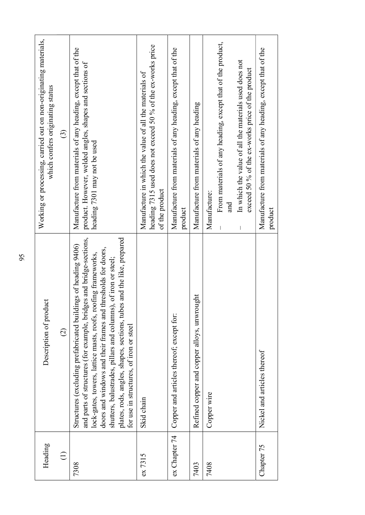| of heading 9406)<br>Structures (excluding prefabricated buildings<br>$\widehat{\circ}$<br>$\bigoplus$<br>7308                                                                                                                                                                                                                                                                            | Working or processing, carried out on non-originating materials,<br>which confers originating status                                                                                           |
|------------------------------------------------------------------------------------------------------------------------------------------------------------------------------------------------------------------------------------------------------------------------------------------------------------------------------------------------------------------------------------------|------------------------------------------------------------------------------------------------------------------------------------------------------------------------------------------------|
|                                                                                                                                                                                                                                                                                                                                                                                          | $\odot$                                                                                                                                                                                        |
| and parts of structures (for example, bridges and bridge-sections,<br>plates, rods, angles, shapes, sections, tubes and the like, prepared<br>doors and windows and their frames and thresholds for doors,<br>lock-gates, towers, lattice masts, roofs, roofing frameworks,<br>shutters, balustrades, pillars and columns), of iron or steel;<br>for use in structures, of iron or steel | Manufacture from materials of any heading, except that of the<br>product. However, welded angles, shapes and sections of<br>heading 7301 may not be used                                       |
| Skid chain<br>ex 7315                                                                                                                                                                                                                                                                                                                                                                    | heading 7315 used does not exceed 50 % of the ex-works price<br>Manufacture in which the value of all the materials of<br>of the product                                                       |
| Copper and articles thereof; except for:<br>ex Chapter 74                                                                                                                                                                                                                                                                                                                                | Manufacture from materials of any heading, except that of the<br>product                                                                                                                       |
| Refined copper and copper alloys, unwrought<br>7403                                                                                                                                                                                                                                                                                                                                      | Manufacture from materials of any heading                                                                                                                                                      |
| Copper wire<br>7408                                                                                                                                                                                                                                                                                                                                                                      | From materials of any heading, except that of the product,<br>In which the value of all the materials used does not<br>exceed 50 % of the ex-works price of the product<br>Manufacture:<br>and |
|                                                                                                                                                                                                                                                                                                                                                                                          |                                                                                                                                                                                                |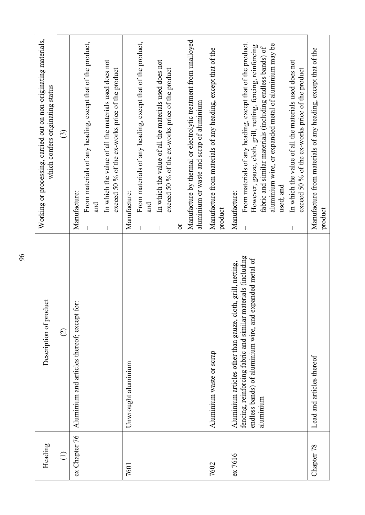| Heading       | Description of product                                                                                                                                                                                     | Working or processing, carried out on non-originating materials,<br>which confers originating status                                                                                                                                                                                                                                                                                      |
|---------------|------------------------------------------------------------------------------------------------------------------------------------------------------------------------------------------------------------|-------------------------------------------------------------------------------------------------------------------------------------------------------------------------------------------------------------------------------------------------------------------------------------------------------------------------------------------------------------------------------------------|
| $\bigoplus$   | $\widehat{\varpi}$                                                                                                                                                                                         | $\widehat{c}$                                                                                                                                                                                                                                                                                                                                                                             |
| ex Chapter 76 | Aluminium and articles thereof; except for:                                                                                                                                                                | From materials of any heading, except that of the product,<br>In which the value of all the materials used does not<br>exceed 50 % of the ex-works price of the product<br>Manufacture:<br>and                                                                                                                                                                                            |
| 7601          | Unwrought aluminium                                                                                                                                                                                        | Manufacture by thermal or electrolytic treatment from unalloyed<br>From materials of any heading, except that of the product,<br>In which the value of all the materials used does not<br>exceed 50 % of the ex-works price of the product<br>aluminium or waste and scrap of aluminium<br>Manufacture:<br>and<br>ð                                                                       |
| 7602          | Aluminium waste or scrap                                                                                                                                                                                   | Manufacture from materials of any heading, except that of the<br>product                                                                                                                                                                                                                                                                                                                  |
| ex 7616       | (including<br>endless bands) of aluminium wire, and expanded metal of<br>, netting,<br>Aluminium articles other than gauze, cloth, grill<br>fencing, reinforcing fabric and similar materials<br>aluminium | From materials of any heading, except that of the product.<br>aluminium wire, or expanded metal of aluminium may be<br>However, gauze, cloth, grill, netting, fencing, reinforcing<br>fabric and similar materials (including endless bands) of<br>In which the value of all the materials used does not<br>exceed 50 % of the ex-works price of the product<br>used; and<br>Manufacture: |
| Chapter 78    | Lead and articles thereof                                                                                                                                                                                  | Manufacture from materials of any heading, except that of the<br>product                                                                                                                                                                                                                                                                                                                  |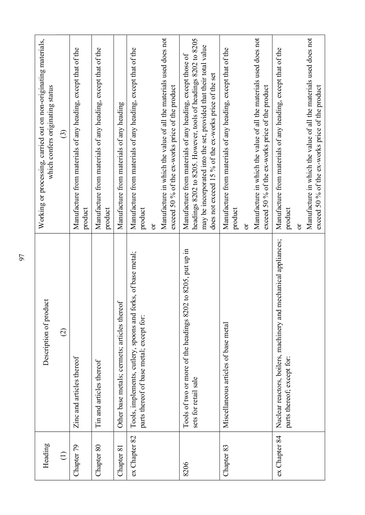| Heading             | luct<br>Description of prod                                                                              | Working or processing, carried out on non-originating materials,<br>which confers originating status                                                                                                                                                       |
|---------------------|----------------------------------------------------------------------------------------------------------|------------------------------------------------------------------------------------------------------------------------------------------------------------------------------------------------------------------------------------------------------------|
| $\widehat{\ominus}$ | $\widehat{\infty}$                                                                                       | $\widehat{\mathbb{C}}$                                                                                                                                                                                                                                     |
| Chapter 79          | Zinc and articles thereof                                                                                | Manufacture from materials of any heading, except that of the<br>product                                                                                                                                                                                   |
| Chapter 80          | Tin and articles thereof                                                                                 | Manufacture from materials of any heading, except that of the<br>product                                                                                                                                                                                   |
| Chapter 81          | Other base metals; cermets; articles thereof                                                             | Manufacture from materials of any heading                                                                                                                                                                                                                  |
| ex Chapter 82       | Tools, implements, cutlery, spoons and forks, of base metal;<br>parts thereof of base metal; except for: | Manufacture in which the value of all the materials used does not<br>Manufacture from materials of any heading, except that of the<br>exceed 50 % of the ex-works price of the product<br>product<br>ð                                                     |
| 8206                | Tools of two or more of the headings 8202 to 8205, put up in<br>sets for retail sale                     | headings 8202 to 8205. However, tools of headings 8202 to 8205<br>may be incorporated into the set, provided that their total value<br>Manufacture from materials of any heading, except those of<br>does not exceed 15 % of the ex-works price of the set |
| Chapter 83          | Miscellaneous articles of base metal                                                                     | Manufacture in which the value of all the materials used does not<br>Manufacture from materials of any heading, except that of the<br>exceed 50 % of the ex-works price of the product<br>product<br>ör                                                    |
| ex Chapter 84       | mechanical appliances;<br>Nuclear reactors, boilers, machinery and<br>parts thereof; except for:         | Manufacture in which the value of all the materials used does not<br>Manufacture from materials of any heading, except that of the<br>exceed 50 % of the ex-works price of the product<br>product<br>öľ                                                    |
|                     |                                                                                                          |                                                                                                                                                                                                                                                            |
|                     |                                                                                                          |                                                                                                                                                                                                                                                            |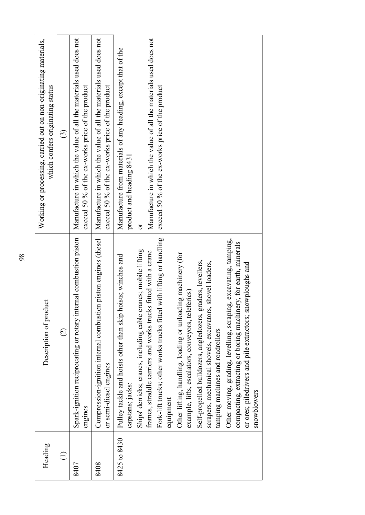| with lifting or handling<br>Spark-ignition reciprocating or rotary internal combustion piston<br>Compression-ignition internal combustion piston engines (diesel<br>Other moving, grading, levelling, scraping, excavating, tamping,<br>compacting, extracting or boring machinery, for earth, minerals<br>Ships' derricks; cranes, including cable cranes; mobile lifting<br>frames, straddle carriers and works trucks fitted with a crane<br>Other lifting, handling, loading or unloading machinery (for<br>Pulley tackle and hoists other than skip hoists; winches and<br>Self-propelled bulldozers, angledozers, graders, levellers,<br>shovel loaders,<br>or ores; piledrivers and pile extractors; snowploughs and<br>example, lifts, escalators, conveyors, teleferics)<br>Description of product<br>Fork-lift trucks; other works trucks fitted<br>scrapers, mechanical shovels, excavators,<br>tamping machines and roadrollers<br>$\widehat{\infty}$<br>or semi-diesel engines<br>capstans; jacks:<br>snowblowers<br>equipment<br>engines |
|--------------------------------------------------------------------------------------------------------------------------------------------------------------------------------------------------------------------------------------------------------------------------------------------------------------------------------------------------------------------------------------------------------------------------------------------------------------------------------------------------------------------------------------------------------------------------------------------------------------------------------------------------------------------------------------------------------------------------------------------------------------------------------------------------------------------------------------------------------------------------------------------------------------------------------------------------------------------------------------------------------------------------------------------------------|
|                                                                                                                                                                                                                                                                                                                                                                                                                                                                                                                                                                                                                                                                                                                                                                                                                                                                                                                                                                                                                                                        |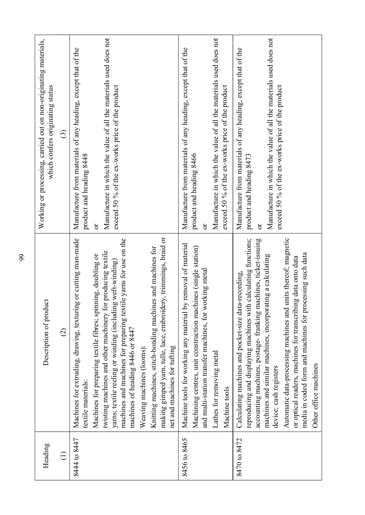| Working or processing, carried out on non-originating materials,<br>which confers originating status | $\odot$                  | Manufacture from materials of any heading, except that of the<br>product and heading 8448 | Manufacture in which the value of all the materials used does not<br>exceed 50 % of the ex-works price of the product<br>ð                                                                                                                                                                                                     |                                                                                                                                                                     | Manufacture in which the value of all the materials used does not<br>Manufacture from materials of any heading, except that of the<br>exceed 50 % of the ex-works price of the product<br>product and heading 8466<br>ð                 | Manufacture in which the value of all the materials used does not<br>Manufacture from materials of any heading, except that of the<br>exceed 50 % of the ex-works price of the product<br>product and heading 8473<br>ð                                                                                                                                                                                                                                                                                       |
|------------------------------------------------------------------------------------------------------|--------------------------|-------------------------------------------------------------------------------------------|--------------------------------------------------------------------------------------------------------------------------------------------------------------------------------------------------------------------------------------------------------------------------------------------------------------------------------|---------------------------------------------------------------------------------------------------------------------------------------------------------------------|-----------------------------------------------------------------------------------------------------------------------------------------------------------------------------------------------------------------------------------------|---------------------------------------------------------------------------------------------------------------------------------------------------------------------------------------------------------------------------------------------------------------------------------------------------------------------------------------------------------------------------------------------------------------------------------------------------------------------------------------------------------------|
| Description of product                                                                               | $\widehat{\vartriangle}$ | Machines for extruding, drawing, texturing or cutting man-made<br>textile materials:      | machines and machines for preparing textile yarns for use on the<br>twisting machines and other machinery for producing textile<br>Machines for preparing textile fibres; spinning, doubling or<br>yarns; textile reeling or winding (including weft-winding)<br>machines of heading 8446 or 8447<br>Weaving machines (looms): | ery, trimmings, braid or<br>Knitting machines, stitch-bonding machines and machines for<br>making gimped yarn, tulle, lace, embroid<br>net and machines for tufting | Machine tools for working any material by removal of material<br>Machining centres, unit construction machines (single station)<br>and multi-station transfer machines, for working metal<br>Lathes for removing metal<br>Machine tools | units thereof; magnetic<br>reproducing and displaying machines with calculating functions;<br>accounting machines, postage- franking machines, ticket-issuing<br>media in coded form and machines for processing such data<br>machines and similar machines, incorporating a calculating<br>or optical readers, machines for transcribing data onto data<br>Calculating machines and pocket-size data-recording,<br>Automatic data-processing machines and<br>Other office machines<br>device; cash registers |
| Heading                                                                                              | $\bigoplus$              | 8444 to 8447                                                                              |                                                                                                                                                                                                                                                                                                                                |                                                                                                                                                                     | 8456 to 8465                                                                                                                                                                                                                            | 8470 to 8472                                                                                                                                                                                                                                                                                                                                                                                                                                                                                                  |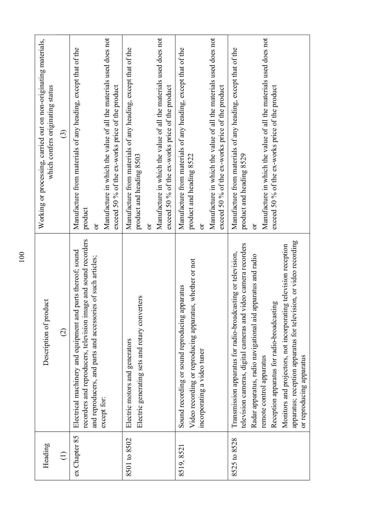| luct<br>Description of prod<br>Electrical machinery and equipment and<br>$\widehat{\vartriangle}$<br>ex Chapter 85<br>Heading<br>$\ominus$                                                                                                                                                                                                                                                                                                                  |                                      |                                                                                                                                                                                        |
|-------------------------------------------------------------------------------------------------------------------------------------------------------------------------------------------------------------------------------------------------------------------------------------------------------------------------------------------------------------------------------------------------------------------------------------------------------------|--------------------------------------|----------------------------------------------------------------------------------------------------------------------------------------------------------------------------------------|
|                                                                                                                                                                                                                                                                                                                                                                                                                                                             |                                      | Working or processing, carried out on non-originating materials,<br>which confers originating status                                                                                   |
|                                                                                                                                                                                                                                                                                                                                                                                                                                                             |                                      | $\odot$                                                                                                                                                                                |
| recorders and reproducers, television image and sound recorders<br>and reproducers, and parts and accessories of such articles;<br>except for:                                                                                                                                                                                                                                                                                                              | product<br>ð<br>parts thereof; sound | Manufacture in which the value of all the materials used does not<br>Manufacture from materials of any heading, except that of the<br>exceed 50 % of the ex-works price of the product |
| Electric generating sets and rotary converters<br>Electric motors and generators<br>8501 to 8502                                                                                                                                                                                                                                                                                                                                                            | product and heading 8503<br>ð        | Manufacture in which the value of all the materials used does not<br>Manufacture from materials of any heading, except that of the<br>exceed 50 % of the ex-works price of the product |
| is, whether or not<br>Sound recording or sound reproducing apparatus<br>Video recording or reproducing apparatu<br>incorporating a video tuner<br>8519, 8521                                                                                                                                                                                                                                                                                                | product and heading 8522<br>ð        | Manufacture in which the value of all the materials used does not<br>Manufacture from materials of any heading, except that of the<br>exceed 50 % of the ex-works price of the product |
| apparatus; reception apparatus for television, or video recording<br>television cameras, digital cameras and video camera recorders<br>Monitors and projectors, not incorporating television reception<br>Transmission apparatus for radio-broadcasting or television,<br>Radar apparatus, radio navigational aid apparatus and radio<br>Reception apparatus for radio-broadcasting<br>or reproducing apparatus<br>remote control apparatus<br>8525 to 8528 | product and heading 8529<br>ð        | Manufacture in which the value of all the materials used does not<br>Manufacture from materials of any heading, except that of the<br>exceed 50 % of the ex-works price of the product |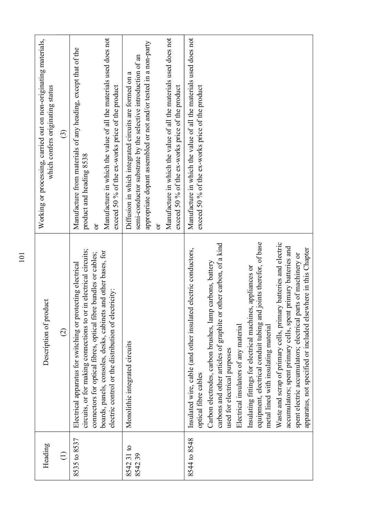| Heading             | Description of product                                                                                                                                                                                                                                                                                                                                                                                                                                                                                                                                                                                                                                                                                                                                         | Working or processing, carried out on non-originating materials,<br>which confers originating status                                                                                                                                                                                                                     |
|---------------------|----------------------------------------------------------------------------------------------------------------------------------------------------------------------------------------------------------------------------------------------------------------------------------------------------------------------------------------------------------------------------------------------------------------------------------------------------------------------------------------------------------------------------------------------------------------------------------------------------------------------------------------------------------------------------------------------------------------------------------------------------------------|--------------------------------------------------------------------------------------------------------------------------------------------------------------------------------------------------------------------------------------------------------------------------------------------------------------------------|
| $\widehat{\Xi}$     | $\widehat{\infty}$                                                                                                                                                                                                                                                                                                                                                                                                                                                                                                                                                                                                                                                                                                                                             | $\widehat{c}$                                                                                                                                                                                                                                                                                                            |
| 8535 to 8537        | circuits, or for making connections to or in electrical circuits;<br>and other bases, for<br>connectors for optical fibres, optical fibre bundles or cables;<br>Electrical apparatus for switching or protecting electrical<br>electric control or the distribution of electricity:<br>boards, panels, consoles, desks, cabinets                                                                                                                                                                                                                                                                                                                                                                                                                               | Manufacture in which the value of all the materials used does not<br>Manufacture from materials of any heading, except that of the<br>exceed 50 % of the ex-works price of the product<br>product and heading 8538<br>ð                                                                                                  |
| 854231 to<br>854239 | Monolithic integrated circuits                                                                                                                                                                                                                                                                                                                                                                                                                                                                                                                                                                                                                                                                                                                                 | Manufacture in which the value of all the materials used does not<br>appropriate dopant assembled or not and/or tested in a non-party<br>semi-conductor substrate by the selective introduction of an<br>Diffusion in which integrated circuits are formed on a<br>exceed 50 % of the ex-works price of the product<br>ð |
| 8544 to 8548        | equipment, electrical conduit tubing and joints therefor, of base<br>Waste and scrap of primary cells, primary batteries and electric<br>other carbon, of a kind<br>primary batteries and<br>apparatus, not specified or included elsewhere in this Chapter<br>Insulated wire, cable (and other insulated electric conductors,<br>spent electric accumulators; electrical parts of machinery or<br>carbons, battery<br>Insulating fittings for electrical machines, appliances or<br>Carbon electrodes, carbon brushes, lamp<br>accumulators; spent primary cells, spent<br>carbons and other articles of graphite or<br>Electrical insulators of any material<br>metal lined with insulating material<br>used for electrical purposes<br>optical fibre cables | Manufacture in which the value of all the materials used does not<br>exceed 50 % of the ex-works price of the product                                                                                                                                                                                                    |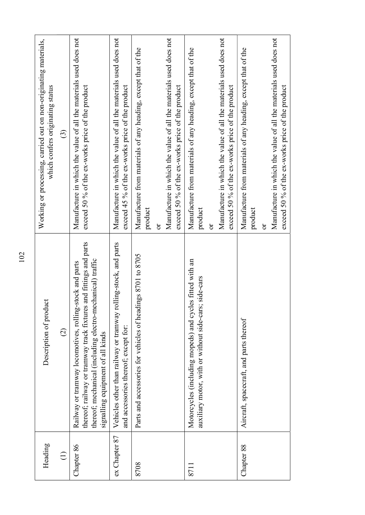| Manufacture in which the value of all the materials used does not<br>Manufacture from materials of any heading, except that of the<br>Manufacture from materials of any heading, except that of the<br>Manufacture from materials of any heading, except that of the<br>exceed 50 % of the ex-works price of the product<br>exceed 45 % of the ex-works price of the product<br>exceed 50 % of the ex-works price of the product<br>exceed 50 % of the ex-works price of the product<br>which confers originating status<br>exceed 50 % of the ex-works price of the product<br>$\odot$<br>product<br>product<br>product<br>ör<br>ð<br>ð<br>thereof; railway or tramway track fixtures and fittings and parts<br>Vehicles other than railway or tramway rolling-stock, and parts<br>Parts and accessories for vehicles of headings 8701 to 8705<br>thereof; mechanical (including electro-mechanical) traffic<br>Motorcycles (including mopeds) and cycles fitted with an<br>stock and parts<br>auxiliary motor, with or without side-cars; side-cars<br>Description of product<br>Railway or tramway locomotives, rolling<br>Aircraft, spacecraft, and parts thereof<br>and accessories thereof; except for:<br>$\widehat{\varpropto}$<br>signalling equipment of all kinds<br>ex Chapter 87<br>Heading<br>Chapter 86<br>Chapter 88<br>$\bigoplus$<br>8708<br>8711 |  |                                                                   |
|---------------------------------------------------------------------------------------------------------------------------------------------------------------------------------------------------------------------------------------------------------------------------------------------------------------------------------------------------------------------------------------------------------------------------------------------------------------------------------------------------------------------------------------------------------------------------------------------------------------------------------------------------------------------------------------------------------------------------------------------------------------------------------------------------------------------------------------------------------------------------------------------------------------------------------------------------------------------------------------------------------------------------------------------------------------------------------------------------------------------------------------------------------------------------------------------------------------------------------------------------------------------------------------------------------------------------------------------------------------------|--|-------------------------------------------------------------------|
|                                                                                                                                                                                                                                                                                                                                                                                                                                                                                                                                                                                                                                                                                                                                                                                                                                                                                                                                                                                                                                                                                                                                                                                                                                                                                                                                                                     |  | Working or processing, carried out on non-originating materials,  |
|                                                                                                                                                                                                                                                                                                                                                                                                                                                                                                                                                                                                                                                                                                                                                                                                                                                                                                                                                                                                                                                                                                                                                                                                                                                                                                                                                                     |  |                                                                   |
|                                                                                                                                                                                                                                                                                                                                                                                                                                                                                                                                                                                                                                                                                                                                                                                                                                                                                                                                                                                                                                                                                                                                                                                                                                                                                                                                                                     |  | Manufacture in which the value of all the materials used does not |
|                                                                                                                                                                                                                                                                                                                                                                                                                                                                                                                                                                                                                                                                                                                                                                                                                                                                                                                                                                                                                                                                                                                                                                                                                                                                                                                                                                     |  | Manufacture in which the value of all the materials used does not |
|                                                                                                                                                                                                                                                                                                                                                                                                                                                                                                                                                                                                                                                                                                                                                                                                                                                                                                                                                                                                                                                                                                                                                                                                                                                                                                                                                                     |  |                                                                   |
|                                                                                                                                                                                                                                                                                                                                                                                                                                                                                                                                                                                                                                                                                                                                                                                                                                                                                                                                                                                                                                                                                                                                                                                                                                                                                                                                                                     |  |                                                                   |
|                                                                                                                                                                                                                                                                                                                                                                                                                                                                                                                                                                                                                                                                                                                                                                                                                                                                                                                                                                                                                                                                                                                                                                                                                                                                                                                                                                     |  |                                                                   |
|                                                                                                                                                                                                                                                                                                                                                                                                                                                                                                                                                                                                                                                                                                                                                                                                                                                                                                                                                                                                                                                                                                                                                                                                                                                                                                                                                                     |  | Manufacture in which the value of all the materials used does not |
|                                                                                                                                                                                                                                                                                                                                                                                                                                                                                                                                                                                                                                                                                                                                                                                                                                                                                                                                                                                                                                                                                                                                                                                                                                                                                                                                                                     |  |                                                                   |
|                                                                                                                                                                                                                                                                                                                                                                                                                                                                                                                                                                                                                                                                                                                                                                                                                                                                                                                                                                                                                                                                                                                                                                                                                                                                                                                                                                     |  | Manufacture in which the value of all the materials used does not |
|                                                                                                                                                                                                                                                                                                                                                                                                                                                                                                                                                                                                                                                                                                                                                                                                                                                                                                                                                                                                                                                                                                                                                                                                                                                                                                                                                                     |  |                                                                   |
|                                                                                                                                                                                                                                                                                                                                                                                                                                                                                                                                                                                                                                                                                                                                                                                                                                                                                                                                                                                                                                                                                                                                                                                                                                                                                                                                                                     |  |                                                                   |
|                                                                                                                                                                                                                                                                                                                                                                                                                                                                                                                                                                                                                                                                                                                                                                                                                                                                                                                                                                                                                                                                                                                                                                                                                                                                                                                                                                     |  |                                                                   |
|                                                                                                                                                                                                                                                                                                                                                                                                                                                                                                                                                                                                                                                                                                                                                                                                                                                                                                                                                                                                                                                                                                                                                                                                                                                                                                                                                                     |  |                                                                   |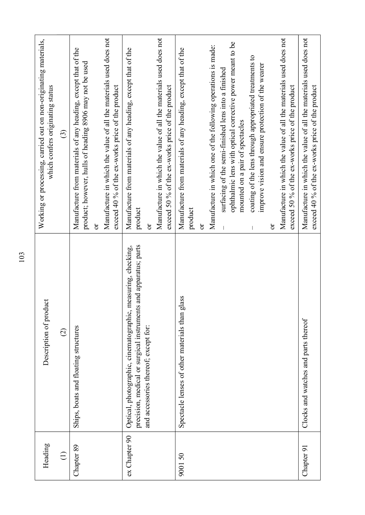| Heading         | Description of product                                                                                                                                                  | Working or processing, carried out on non-originating materials,<br>which confers originating status                                                                                                                                                                                                                                                                                                                                                                                                                                                |
|-----------------|-------------------------------------------------------------------------------------------------------------------------------------------------------------------------|-----------------------------------------------------------------------------------------------------------------------------------------------------------------------------------------------------------------------------------------------------------------------------------------------------------------------------------------------------------------------------------------------------------------------------------------------------------------------------------------------------------------------------------------------------|
| $\widehat{\Xi}$ | $\widehat{\infty}$                                                                                                                                                      | $\odot$                                                                                                                                                                                                                                                                                                                                                                                                                                                                                                                                             |
| Chapter 89      | Ships, boats and floating structures                                                                                                                                    | Manufacture in which the value of all the materials used does not<br>Manufacture from materials of any heading, except that of the<br>product; however, hulls of heading 8906 may not be used<br>exceed 40 % of the ex-works price of the product<br>ör                                                                                                                                                                                                                                                                                             |
| ex Chapter 90   | precision, medical or surgical instruments and apparatus; parts<br>Optical, photographic, cinematographic, measuring, checking,<br>and accessories thereof; except for: | Manufacture in which the value of all the materials used does not<br>Manufacture from materials of any heading, except that of the<br>exceed 50 % of the ex-works price of the product<br>product<br>ð                                                                                                                                                                                                                                                                                                                                              |
| 900150          | Spectacle lenses of other materials than glass                                                                                                                          | Manufacture in which the value of all the materials used does not<br>ophthalmic lens with optical corrective power meant to be<br>Manufacture in which one of the following operations is made:<br>Manufacture from materials of any heading, except that of the<br>coating of the lens through appropriated treatments to<br>improve vision and ensure protection of the wearer<br>surfacing of the semi-finished lens into a finished<br>exceed 50 % of the ex-works price of the product<br>mounted on a pair of spectacles<br>product<br>ð<br>ð |
| Chapter 91      | Clocks and watches and parts thereof                                                                                                                                    | Manufacture in which the value of all the materials used does not<br>exceed 40 % of the ex-works price of the product                                                                                                                                                                                                                                                                                                                                                                                                                               |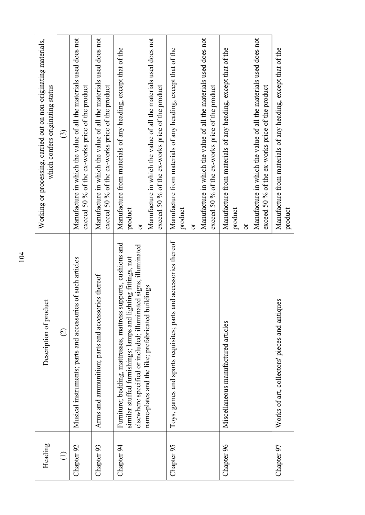| Heading    |                                                                                                                                                                                                                                                             |                                                                                                                                                                                                        |
|------------|-------------------------------------------------------------------------------------------------------------------------------------------------------------------------------------------------------------------------------------------------------------|--------------------------------------------------------------------------------------------------------------------------------------------------------------------------------------------------------|
|            | luct<br>Description of prod                                                                                                                                                                                                                                 | Working or processing, carried out on non-originating materials,<br>which confers originating status                                                                                                   |
| $\ominus$  | $\widehat{\varpropto}$                                                                                                                                                                                                                                      | $\odot$                                                                                                                                                                                                |
| Chapter 92 | Musical instruments; parts and accessories of such articles                                                                                                                                                                                                 | Manufacture in which the value of all the materials used does not<br>exceed 50 % of the ex-works price of the product                                                                                  |
| Chapter 93 | Arms and ammunition; parts and accessories thereof                                                                                                                                                                                                          | Manufacture in which the value of all the materials used does not<br>exceed 50 % of the ex-works price of the product                                                                                  |
| Chapter 94 | supports, cushions and<br>elsewhere specified or included; illuminated signs, illuminated<br>similar stuffed furnishings; lamps and lighting fittings, not<br>name-plates and the like; prefabricated buildings<br>Furniture; bedding, mattresses, mattress | Manufacture in which the value of all the materials used does not<br>Manufacture from materials of any heading, except that of the<br>exceed 50 % of the ex-works price of the product<br>product<br>ð |
| Chapter 95 | and accessories thereof<br>Toys, games and sports requisites; parts                                                                                                                                                                                         | Manufacture in which the value of all the materials used does not<br>Manufacture from materials of any heading, except that of the<br>exceed 50 % of the ex-works price of the product<br>product<br>ð |
| Chapter 96 | Miscellaneous manufactured articles                                                                                                                                                                                                                         | Manufacture in which the value of all the materials used does not<br>Manufacture from materials of any heading, except that of the<br>exceed 50 % of the ex-works price of the product<br>product<br>ð |
| Chapter 97 | Works of art, collectors' pieces and antiques                                                                                                                                                                                                               | Manufacture from materials of any heading, except that of the<br>product                                                                                                                               |
|            |                                                                                                                                                                                                                                                             |                                                                                                                                                                                                        |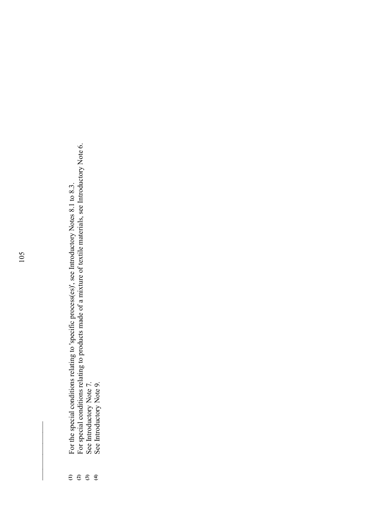- 
- $105$ 0<br>
For the special conditions relating to 'specific process(es)', see Introductory Notes 8.1 to 8.3.<br>
For special conditions relating to products made of a mixture of textile materials, see Introductory Note 6.<br>
See Intr
	- -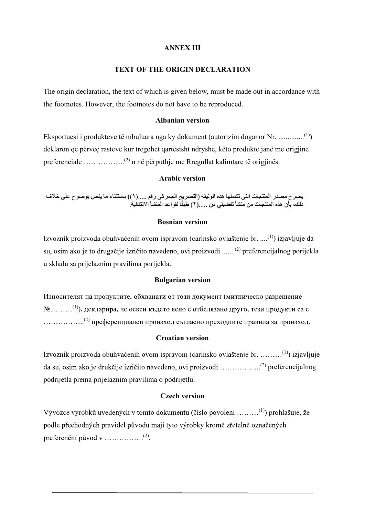# ANNEX III

# TEXT OF THE ORIGIN DECLARATION

The origin declaration, the text of which is given below, must be made out in accordance with the footnotes. However, the footnotes do not have to be reproduced.

### Albanian version

Eksportuesi i produkteve të mbuluara nga ky dokument (autorizim doganor Nr. ..............(1)) deklaron që përveç rasteve kur tregohet qartësisht ndryshe, këto produkte janë me origjine preferenciale ……………..(2) n në përputhje me Rregullat kalimtare të origjinës.

# Arabic version

يصر ح مصدر المنتجات التي تشملها هذه الوثيقة (التصريح الجمر كي رقم .....(١)) باستثناء ما ينص بوضو ح على خلاف<br>ذلك، بأن هذه المنتجات من منشأ تفضيلي من .....(٢) طبقًا لقواعد المنشأ الانتقالية.

# Bosnian version

Izvoznik proizvoda obuhvaćenih ovom ispravom (carinsko ovlaštenje br. ....<sup>(1)</sup>) izjavljuje da su, osim ako je to drugačije izričito navedeno, ovi proizvodi .......<sup>(2)</sup> preferencijalnog porijekla u skladu sa prijelaznim pravilima porijekla.

### Bulgarian version

Износителят на продуктите, обхванати от този документ (митническо разрешение  $N_2$ .........<sup>(1)</sup>), декларира, че освен където ясно е отбелязано друго, тези продукти са с<br>..................<sup>(2)</sup> преференциален произход съгласно преходните правила за произход. .

### Croatian version

Izvoznik proizvoda obuhvaćenih ovom ispravom (carinsko ovlaštenje br. .........<sup>(1)</sup>) izjavljuje (2) preferencijalnog podrijetla prema prijelaznim pravilima o podrijetlu.

## Czech version

Vývozce výrobků uvedených v tomto dokumentu (číslo povolení ........<sup>(1)</sup>) prohlašuje, že podle přechodných pravidel původu mají tyto výrobky kromě zřetelně označených (2) .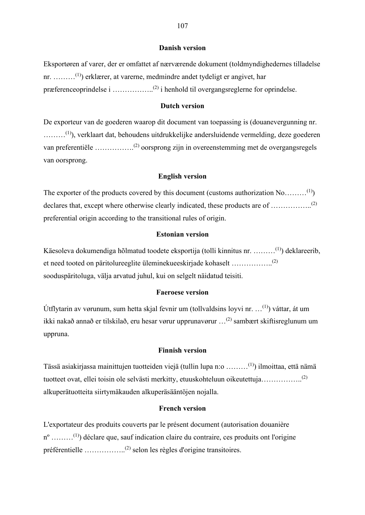#### Danish version

Eksportøren af varer, der er omfattet af nærværende dokument (toldmyndighedernes tilladelse nr. ………(1)) erklærer, at varerne, medmindre andet tydeligt er angivet, har præferenceoprindelse i ……………..(2) i henhold til overgangsreglerne for oprindelse.

# Dutch version

De exporteur van de goederen waarop dit document van toepassing is (douanevergunning nr. ………(1)), verklaart dat, behoudens uitdrukkelijke andersluidende vermelding, deze goederen van preferentiële …………….(2) oorsprong zijn in overeenstemming met de overgangsregels van oorsprong.

#### English version

The exporter of the products covered by this document (customs authorization  $No$ .........<sup>(1)</sup>) declares that, except where otherwise clearly indicated, these products are of ...................<sup>(2)</sup> preferential origin according to the transitional rules of origin.

### Estonian version

Käesoleva dokumendiga hõlmatud toodete eksportija (tolli kinnitus nr. ………(1)) deklareerib, et need tooted on päritolureeglite üleminekueeskirjade kohaselt ……………..(2) sooduspäritoluga, välja arvatud juhul, kui on selgelt näidatud teisiti.

# Faeroese version

Útflytarin av vørunum, sum hetta skjal fevnir um (tollvaldsins loyvi nr.  $\dots$ <sup>(1)</sup>) váttar, át um ikki nakað annað er tilskilað, eru hesar vørur upprunavørur …(2) sambært skiftisreglunum um uppruna.

#### Finnish version

Tässä asiakirjassa mainittujen tuotteiden viejä (tullin lupa n:o ………(1)) ilmoittaa, että nämä tuotteet ovat, ellei toisin ole selvästi merkitty, etuuskohteluun oikeutettuja……………..(2) alkuperätuotteita siirtymäkauden alkuperäsääntöjen nojalla.

## French version

L'exportateur des produits couverts par le présent document (autorisation douanière  $n^{\circ}$  .........<sup>(1)</sup>) déclare que, sauf indication claire du contraire, ces produits ont l'origine préférentielle ……………..(2) selon les règles d'origine transitoires.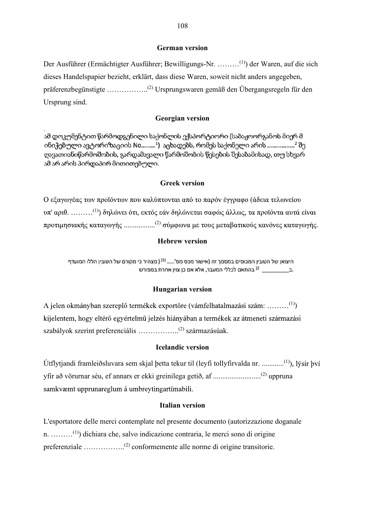# German version

Der Ausführer (Ermächtigter Ausführer; Bewilligungs-Nr. ………(1)) der Waren, auf die sich dieses Handelspapier bezieht, erklärt, dass diese Waren, soweit nicht anders angegeben, präferenzbegünstigte ……………..(2) Ursprungswaren gemäß den Übergangsregeln für den Ursprung sind. IO8<br>
Terman version<br>
Tewilligungs-Nr. .........<sup>(1)</sup>) der Waren, auf die sich<br>
sass diese Waren, soweit nicht anders angegeben,<br>
rsprungswaren gemäß den Übergangsregeln für den<br>
eorgian version<br>
political version<br>
ποινουθ

# Georgian version

 $\pi$ ' αριθ. ........<sup>(1)</sup>) δηλώνει ότι, εκτός εάν δηλώνεται σαφώς άλλως, τα προϊόντα αυτά είναι προτιμησιακής καταγωγής ......................<sup>(2)</sup> σύμφωνα με τους μεταβατικούς κανόνες καταγωγής. Jrsprungswaren gemäß den Übergangsregeln für den<br>**Georgian version**<br>Mo**b**cook gyldomoo (שנאל τρι (שנאל τρι) og δος θαλλισθού (φυλλοφ) (word) (word) (word) (word)<br>or βισθού (φυλλοφ) (φυλλοφ) (φυλλοφ) (φυλλοφ)<br>-<br>**Greek ver** 

### Hungarian version

A jelen okmányban szereplő termékek exportőre (vámfelhatalmazási szám: .........<sup>(1)</sup>) kijelentem, hogy eltérő egyértelmű jelzés hiányában a termékek az átmeneti származási szabályok szerint preferenciális …………….<sup>(2)</sup> származásúak.

### Icelandic version

Útflytjandi framleiðsluvara sem skjal þetta tekur til (leyfi tollyfirvalda nr. ............(1) yfir að vörurnar séu, ef annars er ekki greinilega getið, af ..........................(2) uppruna samkvæmt upprunareglum á umbreytingartímabili.

# Italian version

L'esportatore delle merci contemplate nel presente documento (autorizzazione doganale n. ………(1)) dichiara che, salvo indicazione contraria, le merci sono di origine preferenziale ……………..(2) conformemente alle norme di origine transitorie.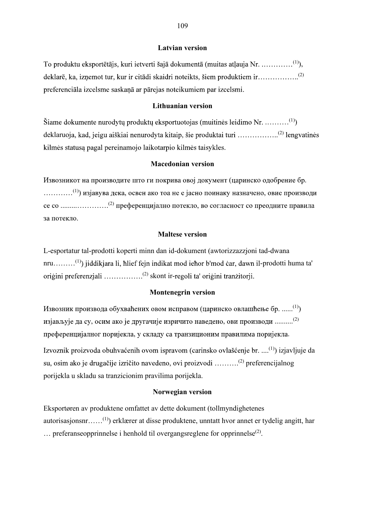### Latvian version

To produktu eksportētājs, kuri ietverti šajā dokumentā (muitas atlauja Nr. ..............<sup>(1)</sup>), deklarē, ka, izņemot tur, kur ir citādi skaidri noteikts, šiem produktiem ir.................................. preferenciāla izcelsme saskaņā ar pārejas noteikumiem par izcelsmi.

# Lithuanian version

Šiame dokumente nurodytų produktų eksportuotojas (muitinės leidimo Nr. ..........<sup>(1)</sup>) deklaruoja, kad, jeigu aiškiai nenurodyta kitaip, šie produktai turi ...................<sup>(2)</sup> lengvatinės kilmės statusą pagal pereinamojo laikotarpio kilmės taisykles.

# Macedonian version

Извозникот на производите што ги покрива овој документ (царинско одобрение бр.<br>............<sup>(1)</sup>) изјавува дека, освен ако тоа не е јасно поинаку назначено, овие производи се со ......................<sup>(2)</sup> преференцијално потекло, во согласност со преодните правила за потекло.

# Maltese version

L-esportatur tal-prodotti koperti minn dan id-dokument (awtorizzazzjoni tad-dwana nru………<sup>(1)</sup>) jiddikjara li, hlief fejn indikat mod iehor b'mod car, dawn il-prodotti huma ta' origini preferenzjali ...................<sup>(2)</sup> skont ir-regoli ta' origini tranzitorji.

### Montenegrin version

Извозник производа обухваћених овом исправом (царинско овлашћење бр. ......<sup>(1)</sup>) изјављује да су, осим ако је другачије изричито наведено, ови производи ..........<sup>(2)</sup> преференцијалног поријекла, у складу са транзиционим правилима поријекла.<br>Izvoznik proizvoda obuhvaćenih ovom ispravom (carinsko ovlašćenie br. ....<sup>(1)</sup>) izjavljuje da

su, osim ako je drugačije izričito navedeno, ovi proizvodi ..........<sup>(2)</sup> preferencijalnog porijekla u skladu sa tranzicionim pravilima porijekla.

# Norwegian version

Eksportøren av produktene omfattet av dette dokument (tollmyndighetenes autorisasjonsnr……(1)) erklærer at disse produktene, unntatt hvor annet er tydelig angitt, har  $\ldots$  preferanseopprinnelse i henhold til overgangsreglene for opprinnelse<sup>(2)</sup>. .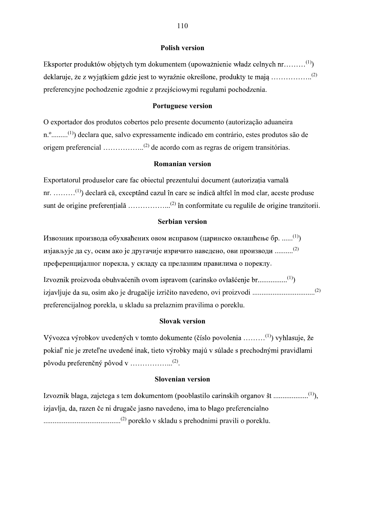#### Polish version

Eksporter produktów objetych tym dokumentem (upoważnienie władz celnych  $nr$ .........<sup>(1)</sup>) (2) preferencyjne pochodzenie zgodnie z przejściowymi regułami pochodzenia.

### Portuguese version

O exportador dos produtos cobertos pelo presente documento (autorização aduaneira n.º.........(1)) declara que, salvo expressamente indicado em contrário, estes produtos são de origem preferencial ……………..(2) de acordo com as regras de origem transitórias.

# Romanian version

Exportatorul produselor care fac obiectul prezentului document (autorizația vamală nr. ………<sup>(1)</sup>) declară că, exceptând cazul în care se indică altfel în mod clar, aceste produse sunt de origine preferentială ......................<sup>(2)</sup> în conformitate cu regulile de origine tranzitorii.

#### Serbian version

Извозник производа обухваћених овом исправом (царинско овлашћење бр. ......<sup>(1)</sup>) изјављује да су, осим ако је другачије изричито наведено, ови производи ..........<sup>(2)</sup> преференцијалног порекла, у складу са прелазним правилима о пореклу.<br>Izvoznik proizvoda obuhvaćenih ovom ispravom (carinsko ovlašćenie br..................<sup>(1)</sup>)

vedeno, ovi proizvodi ..................................(2) preferencijalnog porekla, u skladu sa prelaznim pravilima o poreklu.

### Slovak version

Vývozca výrobkov uvedených v tomto dokumente (číslo povolenia .........<sup>(1)</sup>) vyhlasuje, že pokiaľ nie je zreteľne uvedené inak, tieto výrobky majú v súlade s prechodnými pravidlami (2) .

# Slovenian version

(1)), izjavlja, da, razen če ni drugače jasno navedeno, ima to blago preferencialno ..........................................(2) poreklo v skladu s prehodnimi pravili o poreklu.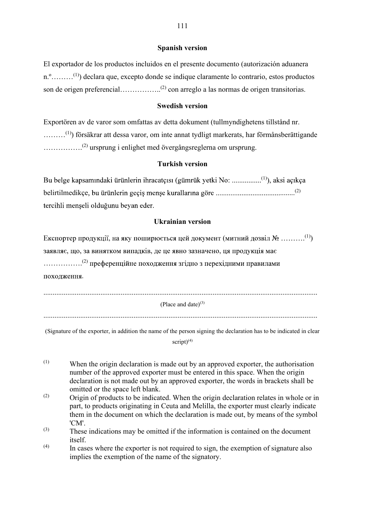# Spanish version

El exportador de los productos incluidos en el presente documento (autorización aduanera n.º………(1)) declara que, excepto donde se indique claramente lo contrario, estos productos son de origen preferencial……………..<sup>(2)</sup> con arreglo a las normas de origen transitorias.

# Swedish version

Exportören av de varor som omfattas av detta dokument (tullmyndighetens tillstånd nr.<br>.........<sup>(1)</sup>) försäkrar att dessa varor, om inte annat tydligt markerats, har förmånsberättigande<br>................<sup>(2)</sup> ursprung i en

# Turkish version

Bu belge kapsamındaki ürünlerin ihracatçısı (gümrük yetki No: ...................<sup>(1)</sup>), aksi açıkça belirtilmedikçe ........(2) tercihli menseli olduğunu beyan eder.

# Ukrainian version

Експортер продукції, на яку поширюється цей документ (митний дозвіл  $\mathbb{N}_2$  ..........<sup>(1)</sup>) заявляє, що, за винятком випадків, де це явно зазначено, ця продукція має<br>
................<sup>(2)</sup> преференційне походження згідно з перехідними правилами .

| (Place and date) $(3)$ |  |
|------------------------|--|

(Signature of the exporter, in addition the name of the person signing the declaration has to be indicated in clear script $(4)$ 

- $(1)$  When the origin declaration is made out by an approved exporter, the authorisation number of the approved exporter must be entered in this space. When the origin declaration is not made out by an approved exporter, the words in brackets shall be omitted or the space left blank.
- (2) Origin of products to be indicated. When the origin declaration relates in whole or in part, to products originating in Ceuta and Melilla, the exporter must clearly indicate them in the document on which the declaration is made out, by means of the symbol 'CM'.
- (3) These indications may be omitted if the information is contained on the document itself.
- $(4)$  In cases where the exporter is not required to sign, the exemption of signature also implies the exemption of the name of the signatory.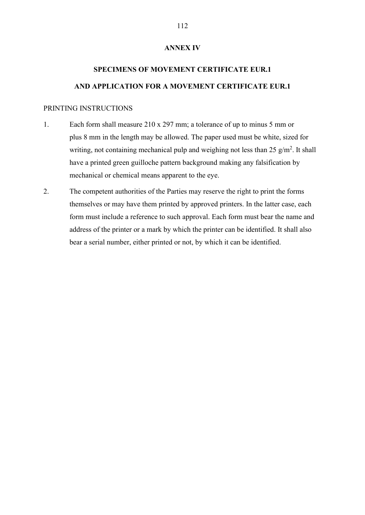#### ANNEX IV

# SPECIMENS OF MOVEMENT CERTIFICATE EUR.1 AND APPLICATION FOR A MOVEMENT CERTIFICATE EUR.1

#### PRINTING INSTRUCTIONS

- 1. Each form shall measure 210 x 297 mm; a tolerance of up to minus 5 mm or plus 8 mm in the length may be allowed. The paper used must be white, sized for writing, not containing mechanical pulp and weighing not less than  $25 \text{ g/m}^2$ . It shall have a printed green guilloche pattern background making any falsification by mechanical or chemical means apparent to the eye.
- 2. The competent authorities of the Parties may reserve the right to print the forms themselves or may have them printed by approved printers. In the latter case, each form must include a reference to such approval. Each form must bear the name and address of the printer or a mark by which the printer can be identified. It shall also bear a serial number, either printed or not, by which it can be identified.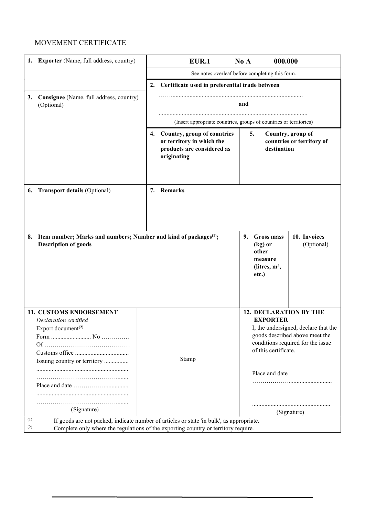| MOVEMENT CERTIFICATE<br>1. Exporter (Name, full address, country)<br><b>EUR.1</b><br>000.000<br>No A<br>See notes overleaf before completing this form.<br>2. Certificate used in preferential trade between<br>3. Consignee (Name, full address, country)<br>(Optional)<br>and<br>(Insert appropriate countries, groups of countries or territories)<br>4. Country, group of countries<br>5.<br>Country, group of<br>or territory in which the<br>countries or territory of<br>products are considered as<br>destination<br>originating<br>7. Remarks<br>6. Transport details (Optional)<br>10. Invoices<br>8. Item number; Marks and numbers; Number and kind of packages <sup>(1)</sup> ;<br>9. Gross mass<br><b>Description of goods</b><br>(Optional)<br>(kg) or<br>other<br>measure<br>(litres, $m^3$ ,<br>etc.) |
|------------------------------------------------------------------------------------------------------------------------------------------------------------------------------------------------------------------------------------------------------------------------------------------------------------------------------------------------------------------------------------------------------------------------------------------------------------------------------------------------------------------------------------------------------------------------------------------------------------------------------------------------------------------------------------------------------------------------------------------------------------------------------------------------------------------------|
|                                                                                                                                                                                                                                                                                                                                                                                                                                                                                                                                                                                                                                                                                                                                                                                                                        |
|                                                                                                                                                                                                                                                                                                                                                                                                                                                                                                                                                                                                                                                                                                                                                                                                                        |
|                                                                                                                                                                                                                                                                                                                                                                                                                                                                                                                                                                                                                                                                                                                                                                                                                        |
|                                                                                                                                                                                                                                                                                                                                                                                                                                                                                                                                                                                                                                                                                                                                                                                                                        |
|                                                                                                                                                                                                                                                                                                                                                                                                                                                                                                                                                                                                                                                                                                                                                                                                                        |
|                                                                                                                                                                                                                                                                                                                                                                                                                                                                                                                                                                                                                                                                                                                                                                                                                        |
|                                                                                                                                                                                                                                                                                                                                                                                                                                                                                                                                                                                                                                                                                                                                                                                                                        |
|                                                                                                                                                                                                                                                                                                                                                                                                                                                                                                                                                                                                                                                                                                                                                                                                                        |
|                                                                                                                                                                                                                                                                                                                                                                                                                                                                                                                                                                                                                                                                                                                                                                                                                        |
|                                                                                                                                                                                                                                                                                                                                                                                                                                                                                                                                                                                                                                                                                                                                                                                                                        |
| 11. CUSTOMS ENDORSEMENT<br><b>12. DECLARATION BY THE</b><br><b>EXPORTER</b><br>Declaration certified<br>I, the undersigned, declare that the<br>Export document <sup>(2)</sup><br>goods described above meet the<br>conditions required for the issue<br>of this certificate.<br>Stamp<br>Issuing country or territory<br>Place and date                                                                                                                                                                                                                                                                                                                                                                                                                                                                               |
| (Signature)<br>(Signature)<br>If goods are not packed, indicate number of articles or state 'in bulk', as appropriate.<br>(1)<br>(2)<br>Complete only where the regulations of the exporting country or territory require.                                                                                                                                                                                                                                                                                                                                                                                                                                                                                                                                                                                             |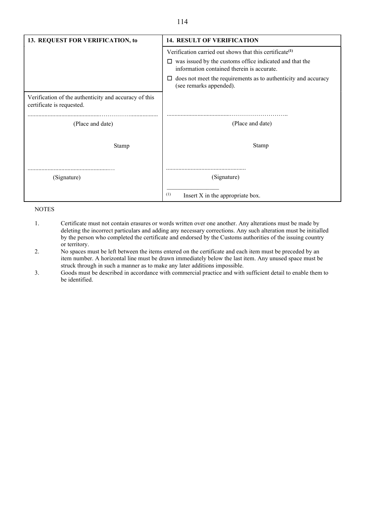#### 114

| 13. REQUEST FOR VERIFICATION, to                                                   | <b>14. RESULT OF VERIFICATION</b>                                                                          |
|------------------------------------------------------------------------------------|------------------------------------------------------------------------------------------------------------|
|                                                                                    | Verification carried out shows that this certificate <sup>(1)</sup>                                        |
|                                                                                    | was issued by the customs office indicated and that the<br>⊔<br>information contained therein is accurate. |
|                                                                                    | does not meet the requirements as to authenticity and accuracy<br>ப<br>(see remarks appended).             |
| Verification of the authenticity and accuracy of this<br>certificate is requested. |                                                                                                            |
| (Place and date)                                                                   | (Place and date)                                                                                           |
| Stamp                                                                              | Stamp                                                                                                      |
|                                                                                    |                                                                                                            |
| (Signature)                                                                        | (Signature)                                                                                                |
|                                                                                    | (1)<br>Insert X in the appropriate box.                                                                    |

#### NOTES

- 1. Certificate must not contain erasures or words written over one another. Any alterations must be made by deleting the incorrect particulars and adding any necessary corrections. Any such alteration must be initialled by the person who completed the certificate and endorsed by the Customs authorities of the issuing country or territory.
- 2. No spaces must be left between the items entered on the certificate and each item must be preceded by an item number. A horizontal line must be drawn immediately below the last item. Any unused space must be struck through in such a manner as to make any later additions impossible.
- 3. Goods must be described in accordance with commercial practice and with sufficient detail to enable them to be identified.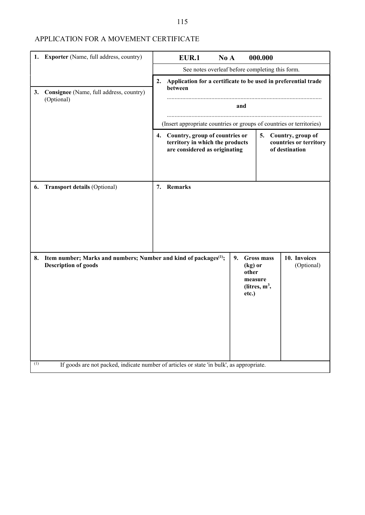## APPLICATION FOR A MOVEMENT CERTIFICATE

| See notes overleaf before completing this form.<br>2.<br>Application for a certificate to be used in preferential trade<br>between<br>Consignee (Name, full address, country)<br>(Optional)<br>and<br>(Insert appropriate countries or groups of countries or territories)<br>4. Country, group of countries or<br>Country, group of<br>5.<br>territory in which the products<br>countries or territory<br>are considered as originating<br>of destination<br>7. Remarks<br>10. Invoices<br>Item number; Marks and numbers; Number and kind of packages <sup>(1)</sup> ;<br><b>Gross mass</b><br>9.<br><b>Description of goods</b><br>(kg) or<br>(Optional) | 1. Exporter (Name, full address, country) | <b>EUR.1</b><br>000.000<br>No A |  |  |
|-------------------------------------------------------------------------------------------------------------------------------------------------------------------------------------------------------------------------------------------------------------------------------------------------------------------------------------------------------------------------------------------------------------------------------------------------------------------------------------------------------------------------------------------------------------------------------------------------------------------------------------------------------------|-------------------------------------------|---------------------------------|--|--|
|                                                                                                                                                                                                                                                                                                                                                                                                                                                                                                                                                                                                                                                             |                                           |                                 |  |  |
|                                                                                                                                                                                                                                                                                                                                                                                                                                                                                                                                                                                                                                                             | 3.                                        |                                 |  |  |
|                                                                                                                                                                                                                                                                                                                                                                                                                                                                                                                                                                                                                                                             | 6. Transport details (Optional)           |                                 |  |  |
| other<br>measure<br>(litres, $m^3$ ,<br>etc.)<br>If goods are not packed, indicate number of articles or state 'in bulk', as appropriate.                                                                                                                                                                                                                                                                                                                                                                                                                                                                                                                   | 8.<br>(1)                                 |                                 |  |  |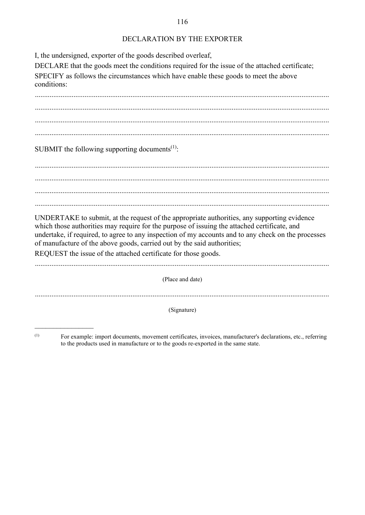#### 116

#### DECLARATION BY THE EXPORTER

I, the undersigned, exporter of the goods described overleaf,

DECLARE that the goods meet the conditions required for the issue of the attached certificate; SPECIFY as follows the circumstances which have enable these goods to meet the above conditions:

 ................................................................................................................................................................ ................................................................................................................................................................ ................................................................................................................................................................ SUBMIT the following supporting documents<sup>(1)</sup>:

 ................................................................................................................................................................ ................................................................................................................................................................ ................................................................................................................................................................

UNDERTAKE to submit, at the request of the appropriate authorities, any supporting evidence

which those authorities may require for the purpose of issuing the attached certificate, and undertake, if required, to agree to any inspection of my accounts and to any check on the processes of manufacture of the above goods, carried out by the said authorities;

REQUEST the issue of the attached certificate for those goods.

................................................................................................................................................................ (Place and date)

(Signature)<br>
(Signature)<br>
For example: import documents, movement certificates, invoices, manufacturer's declarations, etc., referring to the products used in manufacture or to the goods re-exported in the same state.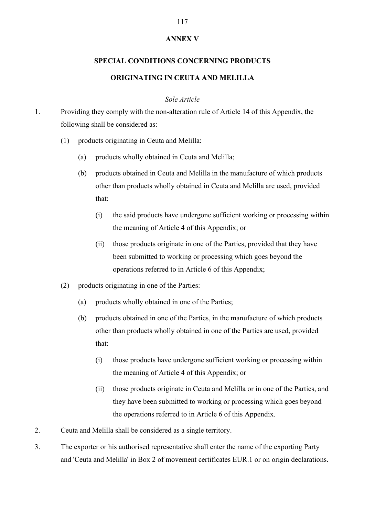#### ANNEX V

# SPECIAL CONDITIONS CONCERNING PRODUCTS ORIGINATING IN CEUTA AND MELILLA

#### Sole Article

- 1. Providing they comply with the non-alteration rule of Article 14 of this Appendix, the following shall be considered as:
	- (1) products originating in Ceuta and Melilla:
		- (a) products wholly obtained in Ceuta and Melilla;
		- (b) products obtained in Ceuta and Melilla in the manufacture of which products other than products wholly obtained in Ceuta and Melilla are used, provided that:
			- (i) the said products have undergone sufficient working or processing within the meaning of Article 4 of this Appendix; or
			- (ii) those products originate in one of the Parties, provided that they have been submitted to working or processing which goes beyond the operations referred to in Article 6 of this Appendix;
	- (2) products originating in one of the Parties:
		- (a) products wholly obtained in one of the Parties;
		- (b) products obtained in one of the Parties, in the manufacture of which products other than products wholly obtained in one of the Parties are used, provided that:
			- (i) those products have undergone sufficient working or processing within the meaning of Article 4 of this Appendix; or
			- (ii) those products originate in Ceuta and Melilla or in one of the Parties, and they have been submitted to working or processing which goes beyond the operations referred to in Article 6 of this Appendix.
- 2. Ceuta and Melilla shall be considered as a single territory.
- 3. The exporter or his authorised representative shall enter the name of the exporting Party and 'Ceuta and Melilla' in Box 2 of movement certificates EUR.1 or on origin declarations.

#### 117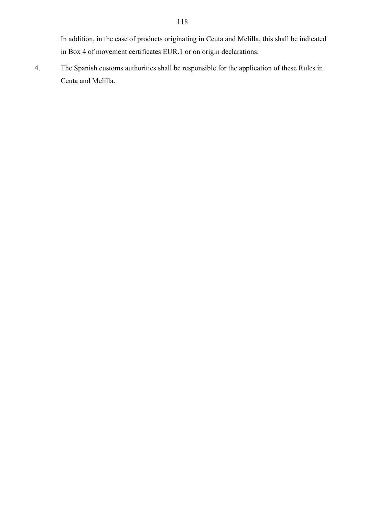In addition, in the case of products originating in Ceuta and Melilla, this shall be indicated in Box 4 of movement certificates EUR.1 or on origin declarations.

4. The Spanish customs authorities shall be responsible for the application of these Rules in Ceuta and Melilla.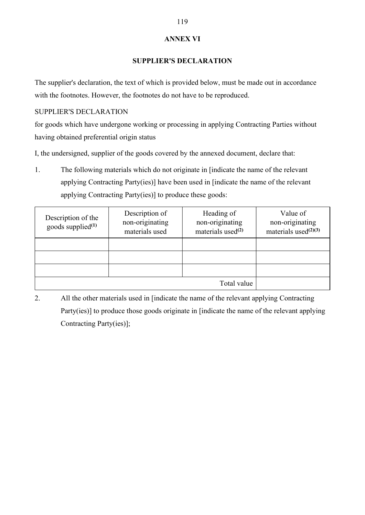#### ANNEX VI

#### SUPPLIER'S DECLARATION

The supplier's declaration, the text of which is provided below, must be made out in accordance with the footnotes. However, the footnotes do not have to be reproduced.

SUPPLIER'S DECLARATION

for goods which have undergone working or processing in applying Contracting Parties without having obtained preferential origin status

I, the undersigned, supplier of the goods covered by the annexed document, declare that:

1. The following materials which do not originate in [indicate the name of the relevant applying Contracting Party(ies)] have been used in [indicate the name of the relevant applying Contracting Party(ies)] to produce these goods:

| Description of the<br>goods supplied $(1)$ | Description of<br>non-originating<br>materials used | Heading of<br>non-originating<br>materials used $(2)$ | Value of<br>non-originating<br>materials used $(2)(3)$ |
|--------------------------------------------|-----------------------------------------------------|-------------------------------------------------------|--------------------------------------------------------|
|                                            |                                                     |                                                       |                                                        |
|                                            |                                                     |                                                       |                                                        |
|                                            |                                                     |                                                       |                                                        |
|                                            |                                                     | Total value                                           |                                                        |

2. All the other materials used in [indicate the name of the relevant applying Contracting Party(ies)] to produce those goods originate in [indicate the name of the relevant applying Contracting Party(ies)];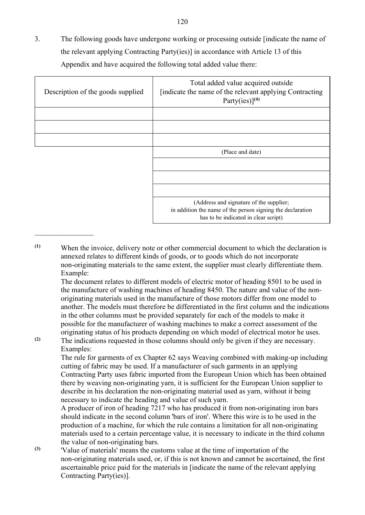3. The following goods have undergone working or processing outside [indicate the name of the relevant applying Contracting Party(ies)] in accordance with Article 13 of this Appendix and have acquired the following total added value there:

| Description of the goods supplied | Total added value acquired outside<br>[indicate the name of the relevant applying Contracting]<br>Party(ies)] $(4)$                           |
|-----------------------------------|-----------------------------------------------------------------------------------------------------------------------------------------------|
|                                   |                                                                                                                                               |
|                                   | (Place and date)                                                                                                                              |
|                                   |                                                                                                                                               |
|                                   | (Address and signature of the supplier;<br>in addition the name of the person signing the declaration<br>has to be indicated in clear script) |

(1) When the invoice, delivery note or other commercial document to which the declaration is annexed relates to different kinds of goods, or to goods which do not incorporate non-originating materials to the same extent, the supplier must clearly differentiate them. Example:

The document relates to different models of electric motor of heading 8501 to be used in the manufacture of washing machines of heading 8450. The nature and value of the nonoriginating materials used in the manufacture of those motors differ from one model to another. The models must therefore be differentiated in the first column and the indications in the other columns must be provided separately for each of the models to make it possible for the manufacturer of washing machines to make a correct assessment of the originating status of his products depending on which model of electrical motor he uses.

(2) The indications requested in those columns should only be given if they are necessary. Examples:

The rule for garments of ex Chapter 62 says Weaving combined with making-up including cutting of fabric may be used. If a manufacturer of such garments in an applying Contracting Party uses fabric imported from the European Union which has been obtained there by weaving non-originating yarn, it is sufficient for the European Union supplier to describe in his declaration the non-originating material used as yarn, without it being necessary to indicate the heading and value of such yarn.

A producer of iron of heading 7217 who has produced it from non-originating iron bars should indicate in the second column 'bars of iron'. Where this wire is to be used in the production of a machine, for which the rule contains a limitation for all non-originating materials used to a certain percentage value, it is necessary to indicate in the third column the value of non-originating bars.

(3) 'Value of materials' means the customs value at the time of importation of the non-originating materials used, or, if this is not known and cannot be ascertained, the first ascertainable price paid for the materials in [indicate the name of the relevant applying Contracting Party(ies)].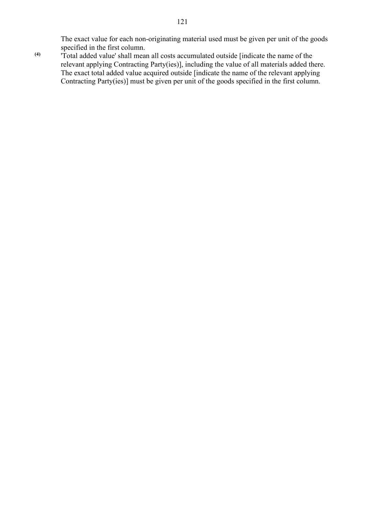The exact value for each non-originating material used must be given per unit of the goods specified in the first column.

(4) 'Total added value' shall mean all costs accumulated outside [indicate the name of the relevant applying Contracting Party(ies)], including the value of all materials added there. The exact total added value acquired outside [indicate the name of the relevant applying Contracting Party(ies)] must be given per unit of the goods specified in the first column.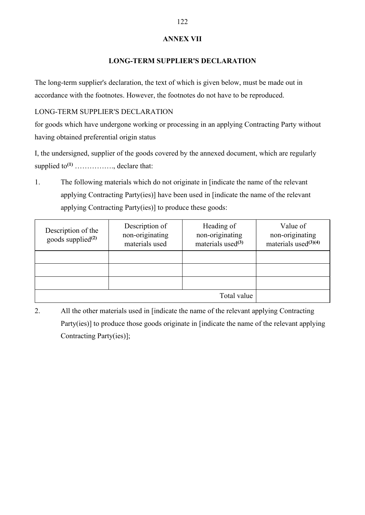### ANNEX VII

### LONG-TERM SUPPLIER'S DECLARATION

The long-term supplier's declaration, the text of which is given below, must be made out in accordance with the footnotes. However, the footnotes do not have to be reproduced.

LONG-TERM SUPPLIER'S DECLARATION

for goods which have undergone working or processing in an applying Contracting Party without having obtained preferential origin status

I, the undersigned, supplier of the goods covered by the annexed document, which are regularly supplied to(1) ……………., declare that:

1. The following materials which do not originate in [indicate the name of the relevant applying Contracting Party(ies)] have been used in [indicate the name of the relevant applying Contracting Party(ies)] to produce these goods:

| Description of the<br>goods supplied <sup>(2)</sup> | Description of<br>non-originating<br>materials used | Heading of<br>non-originating<br>materials used $(3)$ | Value of<br>non-originating<br>materials used $(3)(4)$ |
|-----------------------------------------------------|-----------------------------------------------------|-------------------------------------------------------|--------------------------------------------------------|
|                                                     |                                                     |                                                       |                                                        |
|                                                     |                                                     |                                                       |                                                        |
|                                                     |                                                     |                                                       |                                                        |
|                                                     |                                                     | Total value                                           |                                                        |

2. All the other materials used in [indicate the name of the relevant applying Contracting Party(ies)] to produce those goods originate in [indicate the name of the relevant applying Contracting Party(ies)];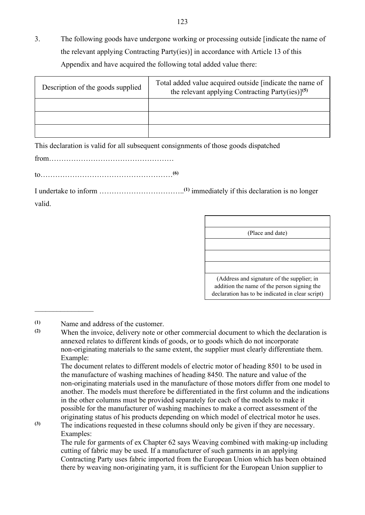3. The following goods have undergone working or processing outside [indicate the name of the relevant applying Contracting Party(ies)] in accordance with Article 13 of this Appendix and have acquired the following total added value there:

| Description of the goods supplied | Total added value acquired outside [indicate the name of<br>the relevant applying Contracting Party(ies)] <sup>(5)</sup> |
|-----------------------------------|--------------------------------------------------------------------------------------------------------------------------|
|                                   |                                                                                                                          |
|                                   |                                                                                                                          |
|                                   |                                                                                                                          |

This declaration is valid for all subsequent consignments of those goods dispatched

from……………………………………………

to………………………………………………(6)

I undertake to inform ……………………………..(1) immediately if this declaration is no longer valid.

| (Place and date)                                                                                                                              |
|-----------------------------------------------------------------------------------------------------------------------------------------------|
|                                                                                                                                               |
|                                                                                                                                               |
| (Address and signature of the supplier; in<br>addition the name of the person signing the<br>declaration has to be indicated in clear script) |

When the invoice, delivery note or other commercial document to which the declaration is annexed relates to different kinds of goods, or to goods which do not incorporate non-originating materials to the same extent, the supplier must clearly differentiate them. Example:

The document relates to different models of electric motor of heading 8501 to be used in the manufacture of washing machines of heading 8450. The nature and value of the non-originating materials used in the manufacture of those motors differ from one model to another. The models must therefore be differentiated in the first column and the indications in the other columns must be provided separately for each of the models to make it possible for the manufacturer of washing machines to make a correct assessment of the originating status of his products depending on which model of electrical motor he uses.

(3) The indications requested in these columns should only be given if they are necessary. Examples: The rule for garments of ex Chapter 62 says Weaving combined with making-up including

cutting of fabric may be used. If a manufacturer of such garments in an applying Contracting Party uses fabric imported from the European Union which has been obtained there by weaving non-originating yarn, it is sufficient for the European Union supplier to

<sup>(1)</sup> Name and address of the customer.<br>(2) When the invoice delivery note or